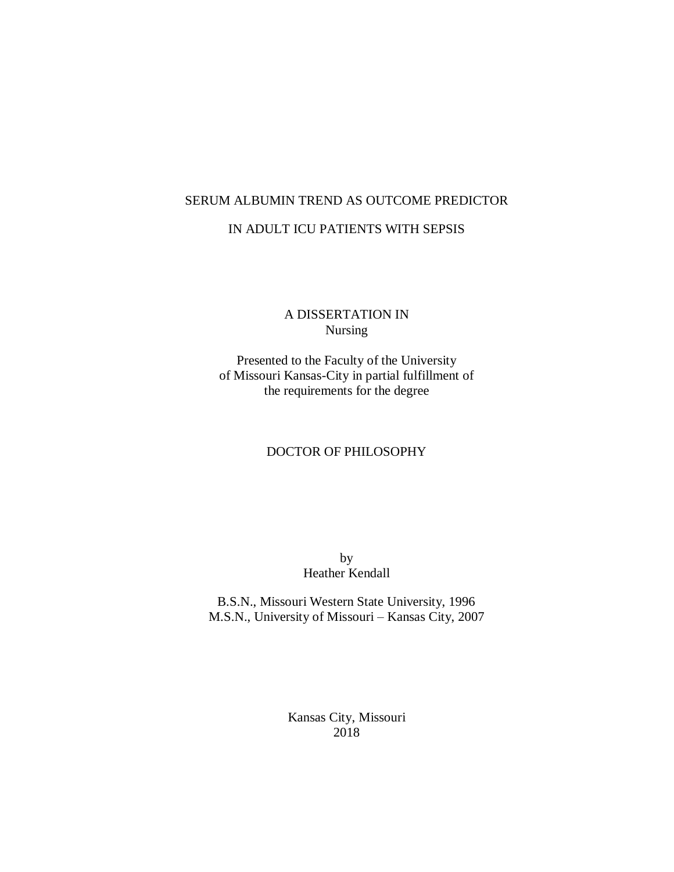## SERUM ALBUMIN TREND AS OUTCOME PREDICTOR

### IN ADULT ICU PATIENTS WITH SEPSIS

### A DISSERTATION IN Nursing

Presented to the Faculty of the University of Missouri Kansas-City in partial fulfillment of the requirements for the degree

### DOCTOR OF PHILOSOPHY

by Heather Kendall

B.S.N., Missouri Western State University, 1996 M.S.N., University of Missouri – Kansas City, 2007

> Kansas City, Missouri 2018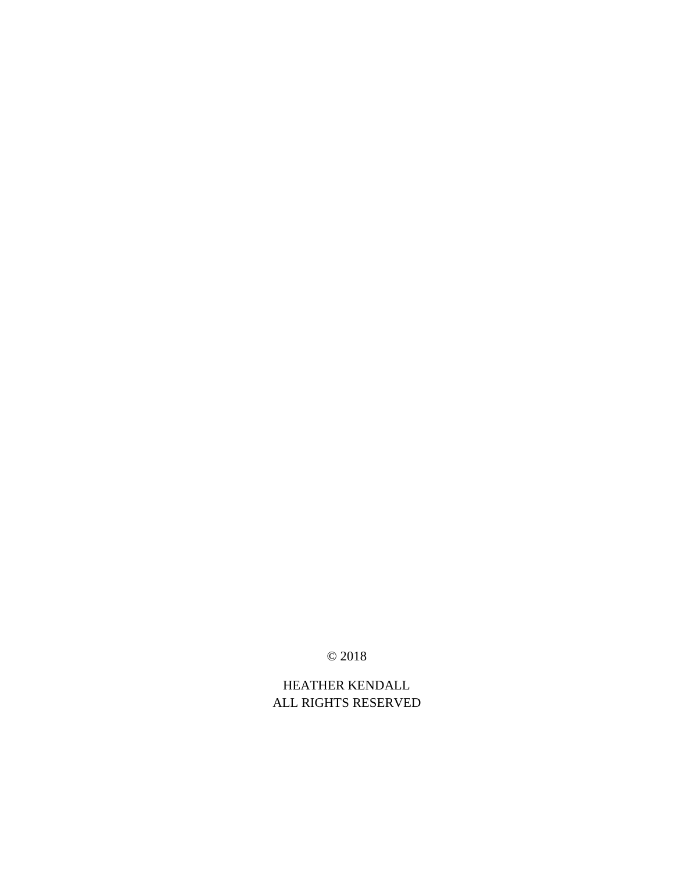© 2018

HEATHER KENDALL ALL RIGHTS RESERVED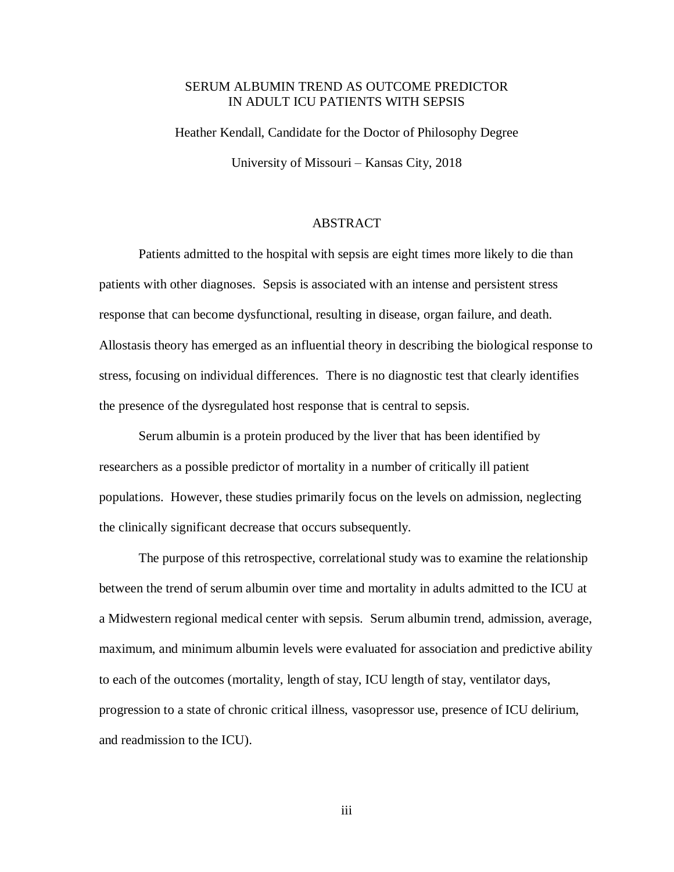## SERUM ALBUMIN TREND AS OUTCOME PREDICTOR IN ADULT ICU PATIENTS WITH SEPSIS

Heather Kendall, Candidate for the Doctor of Philosophy Degree University of Missouri – Kansas City, 2018

### ABSTRACT

Patients admitted to the hospital with sepsis are eight times more likely to die than patients with other diagnoses. Sepsis is associated with an intense and persistent stress response that can become dysfunctional, resulting in disease, organ failure, and death. Allostasis theory has emerged as an influential theory in describing the biological response to stress, focusing on individual differences. There is no diagnostic test that clearly identifies the presence of the dysregulated host response that is central to sepsis.

Serum albumin is a protein produced by the liver that has been identified by researchers as a possible predictor of mortality in a number of critically ill patient populations. However, these studies primarily focus on the levels on admission, neglecting the clinically significant decrease that occurs subsequently.

The purpose of this retrospective, correlational study was to examine the relationship between the trend of serum albumin over time and mortality in adults admitted to the ICU at a Midwestern regional medical center with sepsis. Serum albumin trend, admission, average, maximum, and minimum albumin levels were evaluated for association and predictive ability to each of the outcomes (mortality, length of stay, ICU length of stay, ventilator days, progression to a state of chronic critical illness, vasopressor use, presence of ICU delirium, and readmission to the ICU).

iii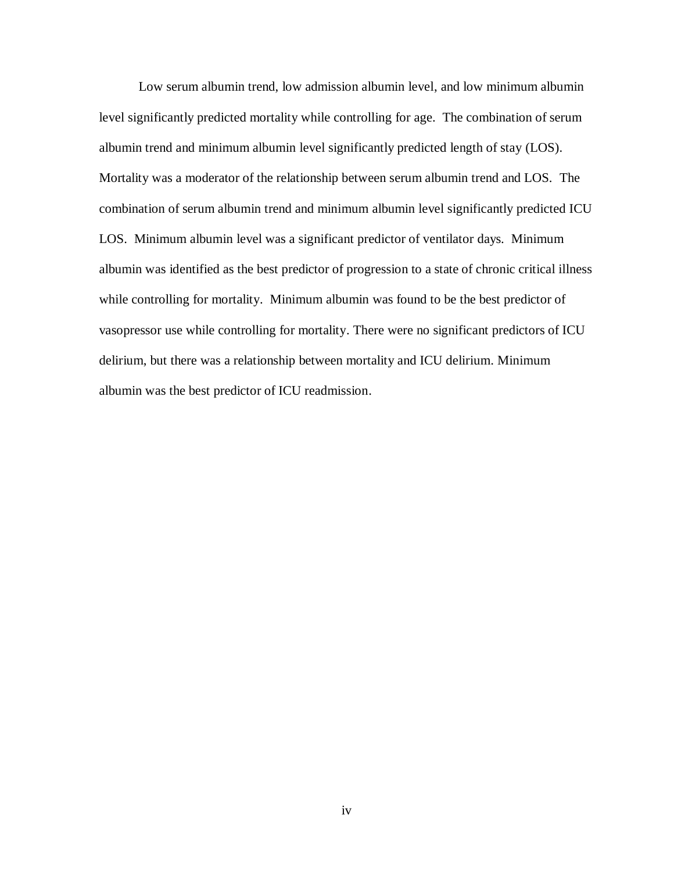Low serum albumin trend, low admission albumin level, and low minimum albumin level significantly predicted mortality while controlling for age. The combination of serum albumin trend and minimum albumin level significantly predicted length of stay (LOS). Mortality was a moderator of the relationship between serum albumin trend and LOS. The combination of serum albumin trend and minimum albumin level significantly predicted ICU LOS. Minimum albumin level was a significant predictor of ventilator days. Minimum albumin was identified as the best predictor of progression to a state of chronic critical illness while controlling for mortality. Minimum albumin was found to be the best predictor of vasopressor use while controlling for mortality. There were no significant predictors of ICU delirium, but there was a relationship between mortality and ICU delirium. Minimum albumin was the best predictor of ICU readmission.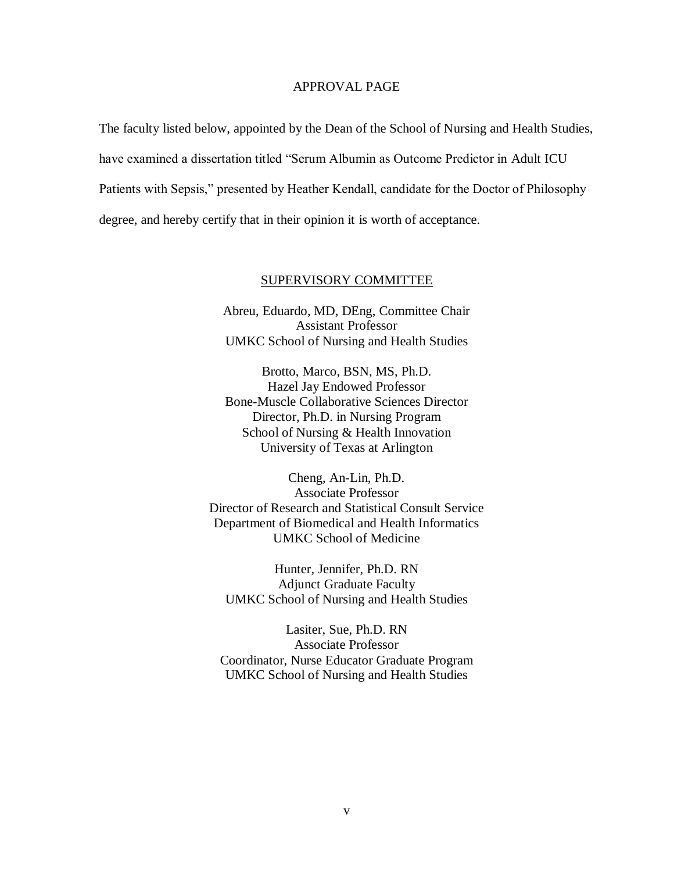### APPROVAL PAGE

The faculty listed below, appointed by the Dean of the School of Nursing and Health Studies, have examined a dissertation titled "Serum Albumin as Outcome Predictor in Adult ICU Patients with Sepsis," presented by Heather Kendall, candidate for the Doctor of Philosophy degree, and hereby certify that in their opinion it is worth of acceptance.

### SUPERVISORY COMMITTEE

Abreu, Eduardo, MD, DEng, Committee Chair Assistant Professor UMKC School of Nursing and Health Studies

Brotto, Marco, BSN, MS, Ph.D. Hazel Jay Endowed Professor Bone-Muscle Collaborative Sciences Director Director, Ph.D. in Nursing Program School of Nursing & Health Innovation University of Texas at Arlington

Cheng, An-Lin, Ph.D. Associate Professor Director of Research and Statistical Consult Service Department of Biomedical and Health Informatics UMKC School of Medicine

Hunter, Jennifer, Ph.D. RN Adjunct Graduate Faculty UMKC School of Nursing and Health Studies

Lasiter, Sue, Ph.D. RN Associate Professor Coordinator, Nurse Educator Graduate Program UMKC School of Nursing and Health Studies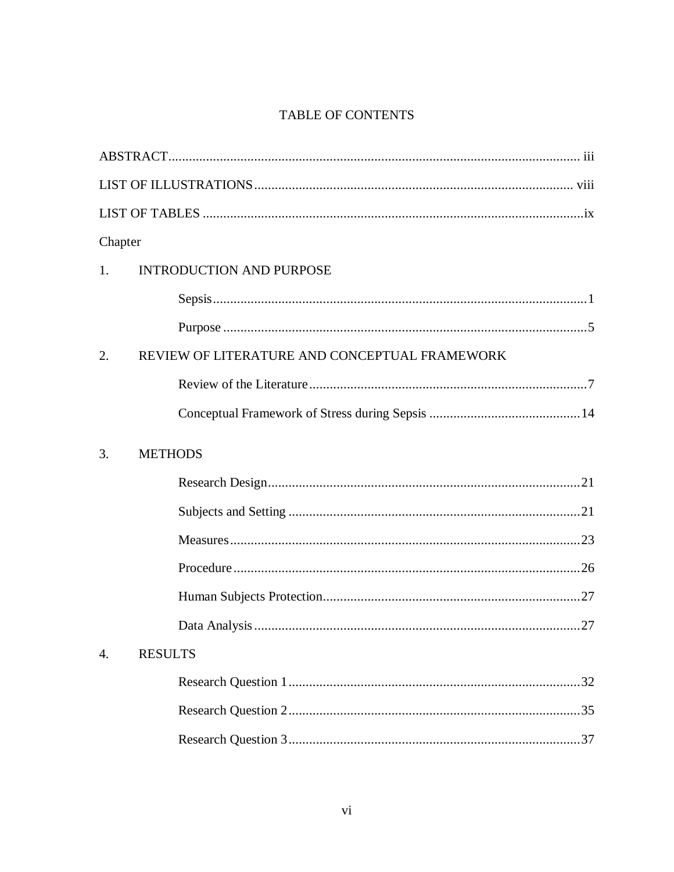## TABLE OF CONTENTS

| Chapter |                                               |
|---------|-----------------------------------------------|
| 1.      | <b>INTRODUCTION AND PURPOSE</b>               |
|         |                                               |
|         |                                               |
| 2.      | REVIEW OF LITERATURE AND CONCEPTUAL FRAMEWORK |
|         |                                               |
|         |                                               |
| 3.      | <b>METHODS</b>                                |
|         |                                               |
|         |                                               |
|         |                                               |
|         |                                               |
|         |                                               |
|         |                                               |
| 4.      | <b>RESULTS</b>                                |
|         |                                               |
|         |                                               |
|         |                                               |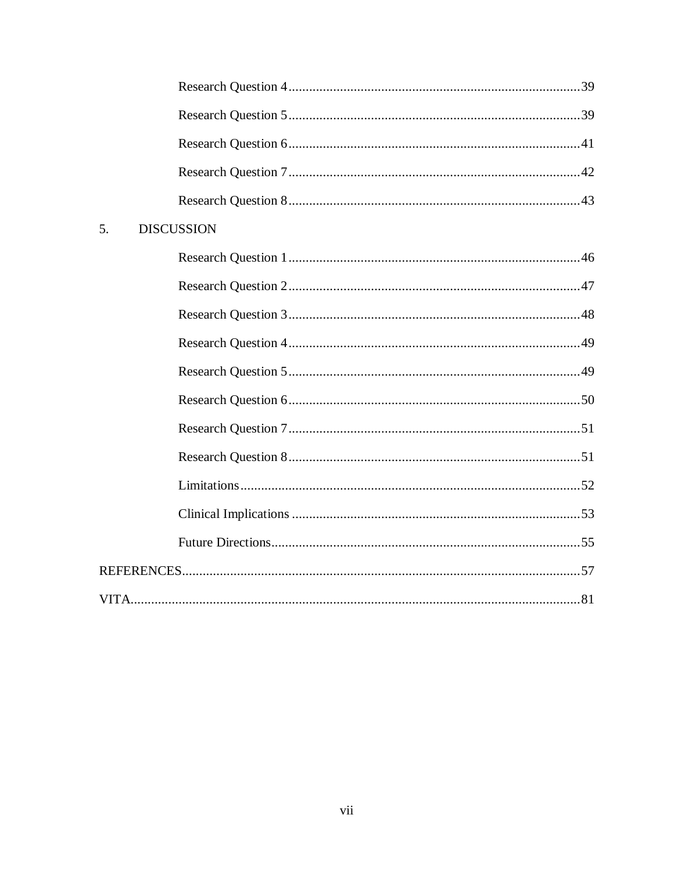| 5. | <b>DISCUSSION</b> |  |
|----|-------------------|--|
|    |                   |  |
|    |                   |  |
|    |                   |  |
|    |                   |  |
|    |                   |  |
|    |                   |  |
|    |                   |  |
|    |                   |  |
|    |                   |  |
|    |                   |  |
|    |                   |  |
|    |                   |  |
|    |                   |  |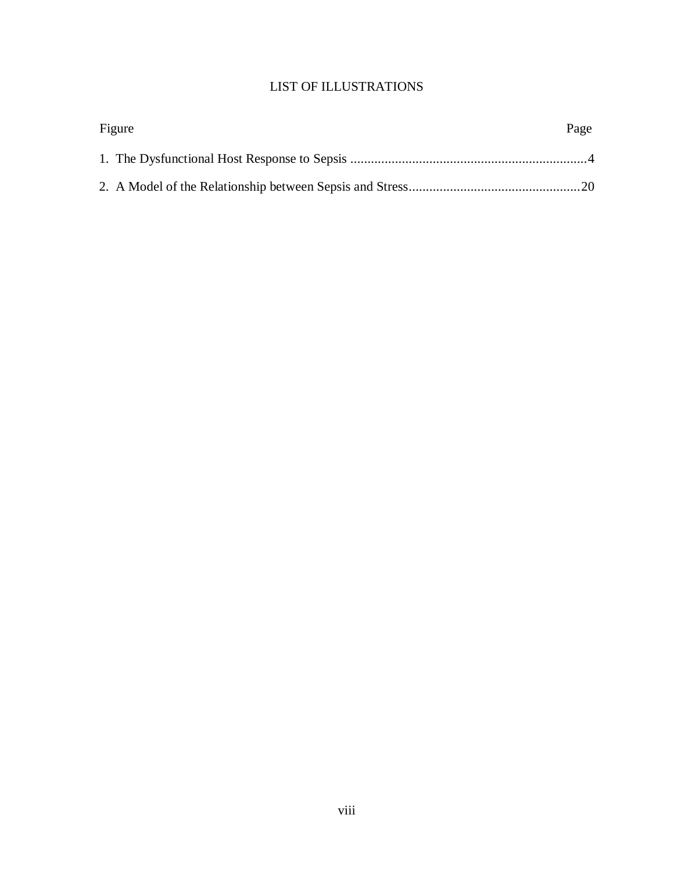## LIST OF ILLUSTRATIONS

| Figure | Page |
|--------|------|
|        |      |
|        |      |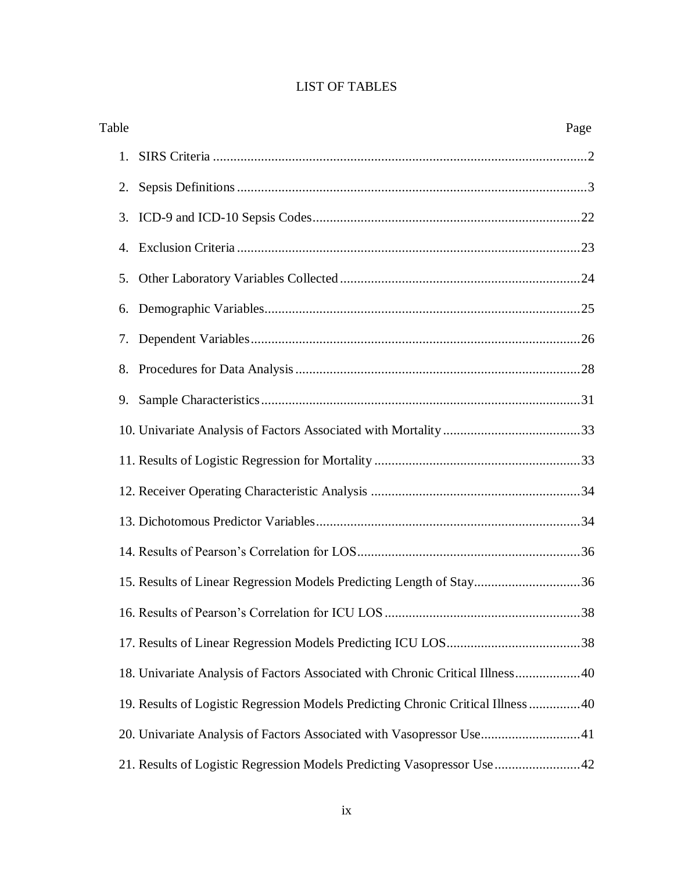## LIST OF TABLES

| Table | Page                                                                            |  |
|-------|---------------------------------------------------------------------------------|--|
| 1.    |                                                                                 |  |
| 2.    |                                                                                 |  |
| 3.    |                                                                                 |  |
| 4.    |                                                                                 |  |
| 5.    |                                                                                 |  |
| 6.    |                                                                                 |  |
| 7.    |                                                                                 |  |
| 8.    |                                                                                 |  |
| 9.    |                                                                                 |  |
|       |                                                                                 |  |
|       |                                                                                 |  |
|       |                                                                                 |  |
|       |                                                                                 |  |
|       |                                                                                 |  |
|       | 15. Results of Linear Regression Models Predicting Length of Stay36             |  |
|       |                                                                                 |  |
|       |                                                                                 |  |
|       | 18. Univariate Analysis of Factors Associated with Chronic Critical Illness 40  |  |
|       | 19. Results of Logistic Regression Models Predicting Chronic Critical Illness40 |  |
|       | 20. Univariate Analysis of Factors Associated with Vasopressor Use41            |  |
|       | 21. Results of Logistic Regression Models Predicting Vasopressor Use 42         |  |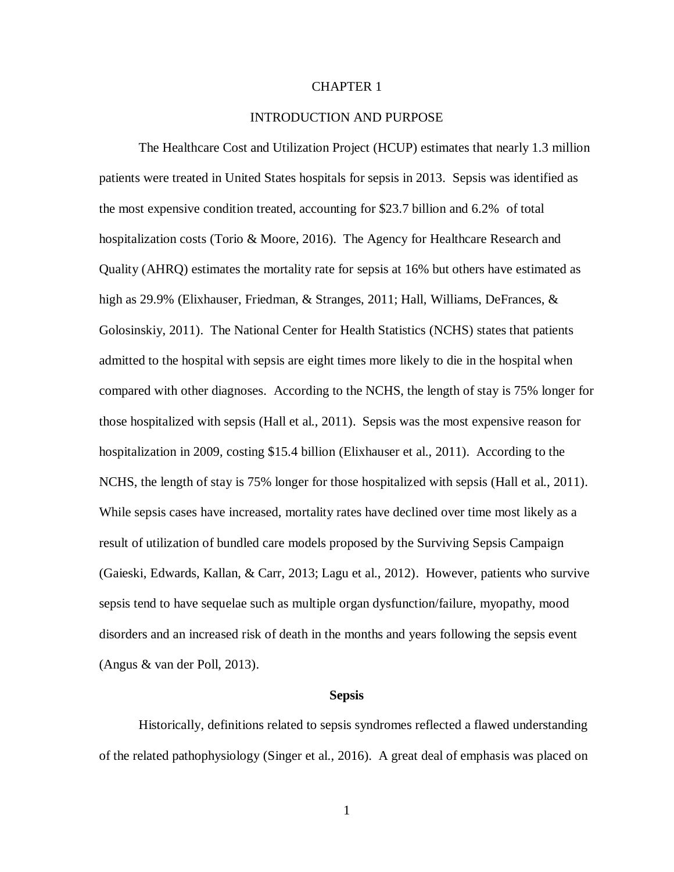### CHAPTER 1

### INTRODUCTION AND PURPOSE

The Healthcare Cost and Utilization Project (HCUP) estimates that nearly 1.3 million patients were treated in United States hospitals for sepsis in 2013. Sepsis was identified as the most expensive condition treated, accounting for \$23.7 billion and 6.2% of total hospitalization costs (Torio & Moore, 2016). The Agency for Healthcare Research and Quality (AHRQ) estimates the mortality rate for sepsis at 16% but others have estimated as high as 29.9% (Elixhauser, Friedman, & Stranges, 2011; Hall, Williams, DeFrances, & Golosinskiy, 2011). The National Center for Health Statistics (NCHS) states that patients admitted to the hospital with sepsis are eight times more likely to die in the hospital when compared with other diagnoses. According to the NCHS, the length of stay is 75% longer for those hospitalized with sepsis (Hall et al., 2011). Sepsis was the most expensive reason for hospitalization in 2009, costing \$15.4 billion (Elixhauser et al., 2011). According to the NCHS, the length of stay is 75% longer for those hospitalized with sepsis (Hall et al., 2011). While sepsis cases have increased, mortality rates have declined over time most likely as a result of utilization of bundled care models proposed by the Surviving Sepsis Campaign (Gaieski, Edwards, Kallan, & Carr, 2013; Lagu et al., 2012). However, patients who survive sepsis tend to have sequelae such as multiple organ dysfunction/failure, myopathy, mood disorders and an increased risk of death in the months and years following the sepsis event (Angus & van der Poll, 2013).

### **Sepsis**

Historically, definitions related to sepsis syndromes reflected a flawed understanding of the related pathophysiology (Singer et al., 2016). A great deal of emphasis was placed on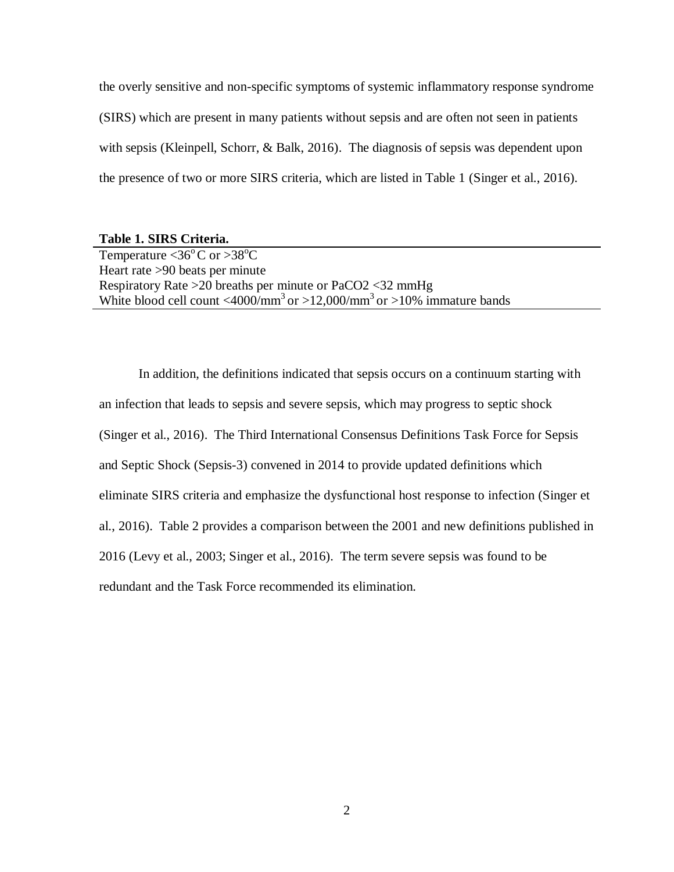the overly sensitive and non-specific symptoms of systemic inflammatory response syndrome (SIRS) which are present in many patients without sepsis and are often not seen in patients with sepsis (Kleinpell, Schorr, & Balk, 2016). The diagnosis of sepsis was dependent upon the presence of two or more SIRS criteria, which are listed in Table 1 (Singer et al., 2016).

### **Table 1. SIRS Criteria.**

Temperature  $\langle 36^{\circ}$ C or  $>38^{\circ}$ C Heart rate >90 beats per minute Respiratory Rate >20 breaths per minute or PaCO2 <32 mmHg White blood cell count  $\langle 4000/\text{mm}^3 \text{ or } >12,000/\text{mm}^3 \text{ or } >10\%$  immature bands

In addition, the definitions indicated that sepsis occurs on a continuum starting with an infection that leads to sepsis and severe sepsis, which may progress to septic shock (Singer et al., 2016). The Third International Consensus Definitions Task Force for Sepsis and Septic Shock (Sepsis-3) convened in 2014 to provide updated definitions which eliminate SIRS criteria and emphasize the dysfunctional host response to infection (Singer et al., 2016). Table 2 provides a comparison between the 2001 and new definitions published in 2016 (Levy et al., 2003; Singer et al., 2016). The term severe sepsis was found to be redundant and the Task Force recommended its elimination.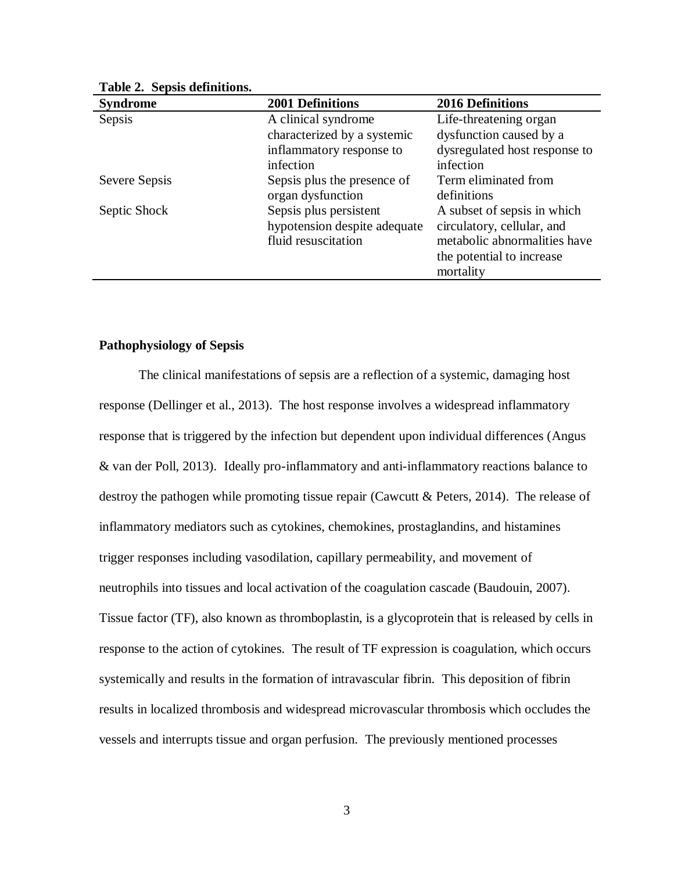| <b>Syndrome</b> | <b>2001 Definitions</b>      | <b>2016 Definitions</b>       |
|-----------------|------------------------------|-------------------------------|
| Sepsis          | A clinical syndrome          | Life-threatening organ        |
|                 | characterized by a systemic  | dysfunction caused by a       |
|                 | inflammatory response to     | dysregulated host response to |
|                 | infection                    | infection                     |
| Severe Sepsis   | Sepsis plus the presence of  | Term eliminated from          |
|                 | organ dysfunction            | definitions                   |
| Septic Shock    | Sepsis plus persistent       | A subset of sepsis in which   |
|                 | hypotension despite adequate | circulatory, cellular, and    |
|                 | fluid resuscitation          | metabolic abnormalities have  |
|                 |                              | the potential to increase     |
|                 |                              | mortality                     |

**Table 2. Sepsis definitions.**

### **Pathophysiology of Sepsis**

The clinical manifestations of sepsis are a reflection of a systemic, damaging host response (Dellinger et al., 2013). The host response involves a widespread inflammatory response that is triggered by the infection but dependent upon individual differences (Angus & van der Poll, 2013). Ideally pro-inflammatory and anti-inflammatory reactions balance to destroy the pathogen while promoting tissue repair (Cawcutt & Peters, 2014). The release of inflammatory mediators such as cytokines, chemokines, prostaglandins, and histamines trigger responses including vasodilation, capillary permeability, and movement of neutrophils into tissues and local activation of the coagulation cascade (Baudouin, 2007). Tissue factor (TF), also known as thromboplastin, is a glycoprotein that is released by cells in response to the action of cytokines. The result of TF expression is coagulation, which occurs systemically and results in the formation of intravascular fibrin. This deposition of fibrin results in localized thrombosis and widespread microvascular thrombosis which occludes the vessels and interrupts tissue and organ perfusion. The previously mentioned processes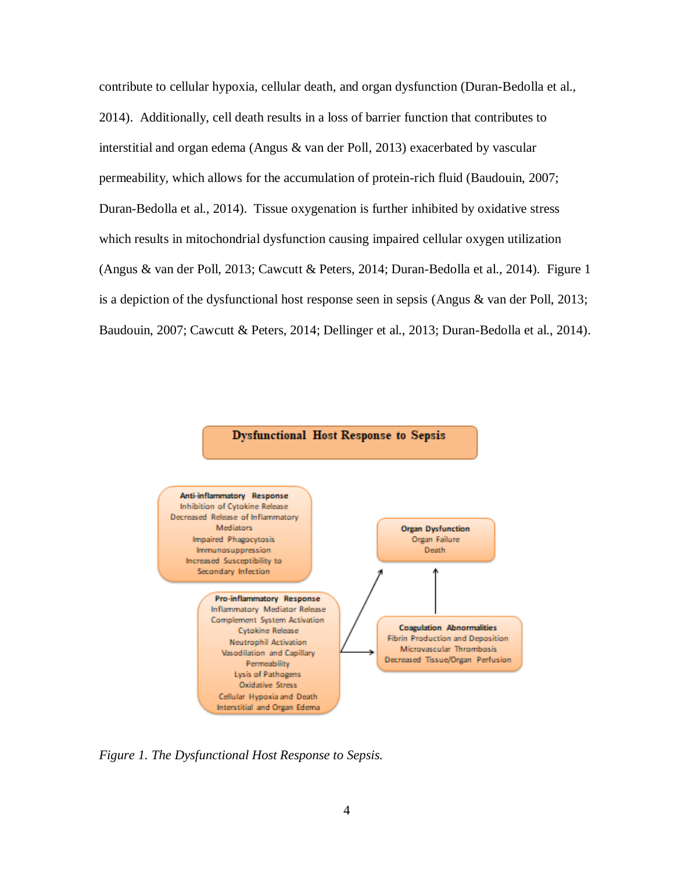contribute to cellular hypoxia, cellular death, and organ dysfunction (Duran-Bedolla et al., 2014). Additionally, cell death results in a loss of barrier function that contributes to interstitial and organ edema (Angus & van der Poll, 2013) exacerbated by vascular permeability, which allows for the accumulation of protein-rich fluid (Baudouin, 2007; Duran-Bedolla et al., 2014). Tissue oxygenation is further inhibited by oxidative stress which results in mitochondrial dysfunction causing impaired cellular oxygen utilization (Angus & van der Poll, 2013; Cawcutt & Peters, 2014; Duran-Bedolla et al., 2014). Figure 1 is a depiction of the dysfunctional host response seen in sepsis (Angus & van der Poll, 2013; Baudouin, 2007; Cawcutt & Peters, 2014; Dellinger et al., 2013; Duran-Bedolla et al., 2014).





*Figure 1. The Dysfunctional Host Response to Sepsis.*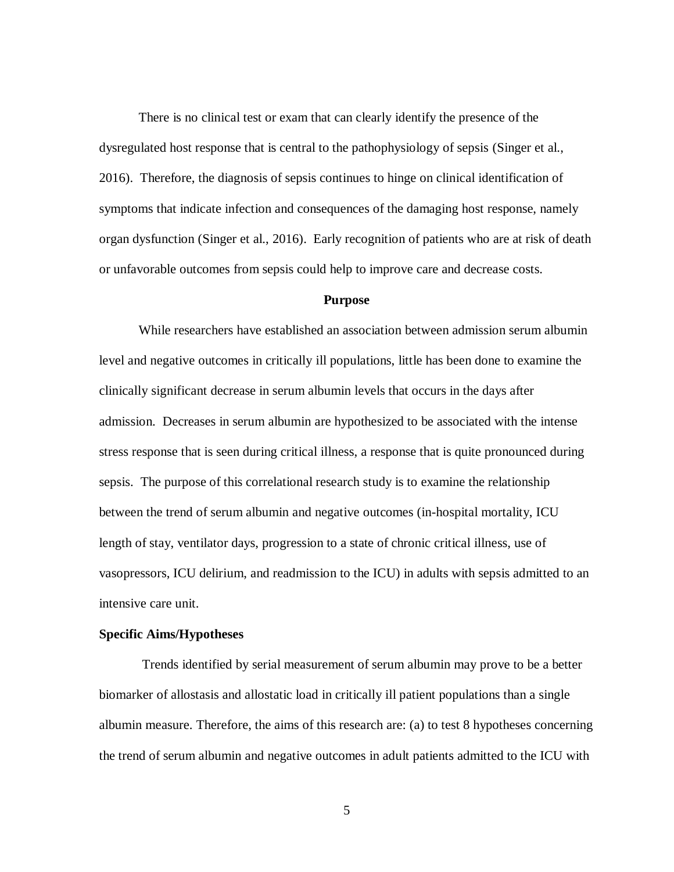There is no clinical test or exam that can clearly identify the presence of the dysregulated host response that is central to the pathophysiology of sepsis (Singer et al., 2016). Therefore, the diagnosis of sepsis continues to hinge on clinical identification of symptoms that indicate infection and consequences of the damaging host response, namely organ dysfunction (Singer et al., 2016). Early recognition of patients who are at risk of death or unfavorable outcomes from sepsis could help to improve care and decrease costs.

### **Purpose**

While researchers have established an association between admission serum albumin level and negative outcomes in critically ill populations, little has been done to examine the clinically significant decrease in serum albumin levels that occurs in the days after admission. Decreases in serum albumin are hypothesized to be associated with the intense stress response that is seen during critical illness, a response that is quite pronounced during sepsis. The purpose of this correlational research study is to examine the relationship between the trend of serum albumin and negative outcomes (in-hospital mortality, ICU length of stay, ventilator days, progression to a state of chronic critical illness, use of vasopressors, ICU delirium, and readmission to the ICU) in adults with sepsis admitted to an intensive care unit.

### **Specific Aims/Hypotheses**

Trends identified by serial measurement of serum albumin may prove to be a better biomarker of allostasis and allostatic load in critically ill patient populations than a single albumin measure. Therefore, the aims of this research are: (a) to test 8 hypotheses concerning the trend of serum albumin and negative outcomes in adult patients admitted to the ICU with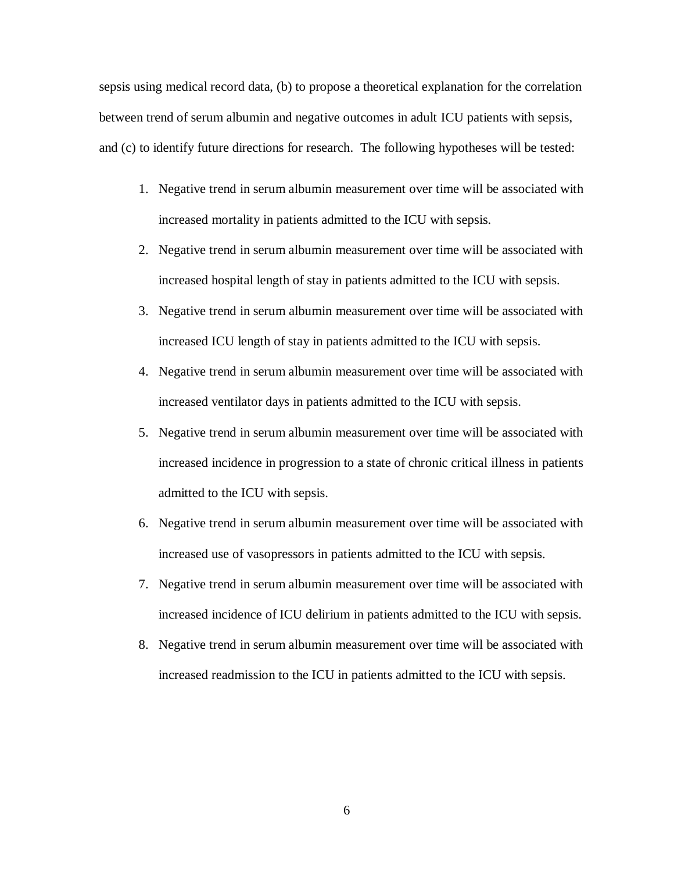sepsis using medical record data, (b) to propose a theoretical explanation for the correlation between trend of serum albumin and negative outcomes in adult ICU patients with sepsis, and (c) to identify future directions for research. The following hypotheses will be tested:

- 1. Negative trend in serum albumin measurement over time will be associated with increased mortality in patients admitted to the ICU with sepsis.
- 2. Negative trend in serum albumin measurement over time will be associated with increased hospital length of stay in patients admitted to the ICU with sepsis.
- 3. Negative trend in serum albumin measurement over time will be associated with increased ICU length of stay in patients admitted to the ICU with sepsis.
- 4. Negative trend in serum albumin measurement over time will be associated with increased ventilator days in patients admitted to the ICU with sepsis.
- 5. Negative trend in serum albumin measurement over time will be associated with increased incidence in progression to a state of chronic critical illness in patients admitted to the ICU with sepsis.
- 6. Negative trend in serum albumin measurement over time will be associated with increased use of vasopressors in patients admitted to the ICU with sepsis.
- 7. Negative trend in serum albumin measurement over time will be associated with increased incidence of ICU delirium in patients admitted to the ICU with sepsis.
- 8. Negative trend in serum albumin measurement over time will be associated with increased readmission to the ICU in patients admitted to the ICU with sepsis.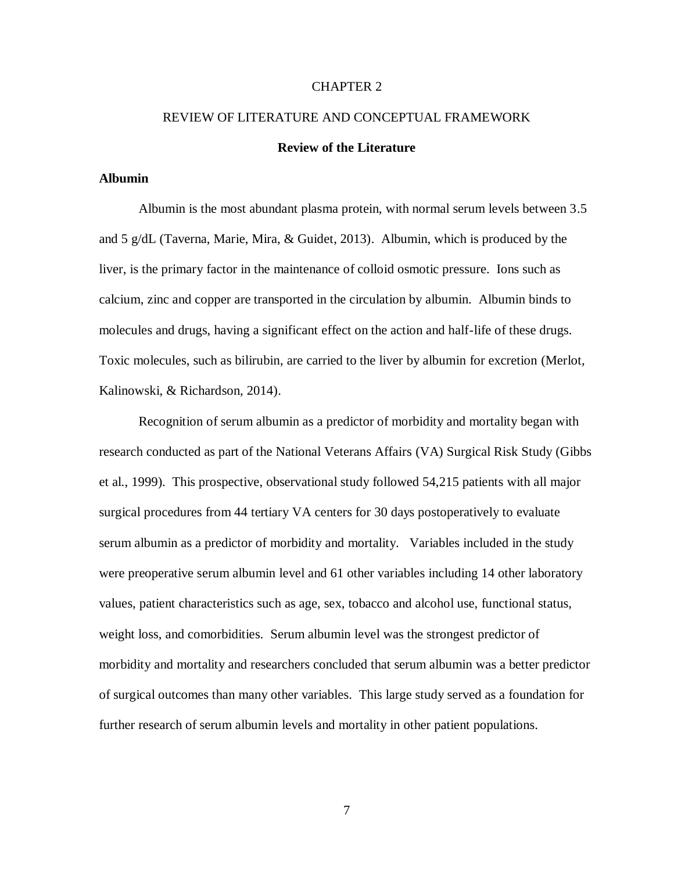### CHAPTER 2

# REVIEW OF LITERATURE AND CONCEPTUAL FRAMEWORK **Review of the Literature**

### **Albumin**

Albumin is the most abundant plasma protein, with normal serum levels between 3.5 and 5 g/dL (Taverna, Marie, Mira, & Guidet, 2013). Albumin, which is produced by the liver, is the primary factor in the maintenance of colloid osmotic pressure. Ions such as calcium, zinc and copper are transported in the circulation by albumin. Albumin binds to molecules and drugs, having a significant effect on the action and half-life of these drugs. Toxic molecules, such as bilirubin, are carried to the liver by albumin for excretion (Merlot, Kalinowski, & Richardson, 2014).

Recognition of serum albumin as a predictor of morbidity and mortality began with research conducted as part of the National Veterans Affairs (VA) Surgical Risk Study (Gibbs et al., 1999). This prospective, observational study followed 54,215 patients with all major surgical procedures from 44 tertiary VA centers for 30 days postoperatively to evaluate serum albumin as a predictor of morbidity and mortality. Variables included in the study were preoperative serum albumin level and 61 other variables including 14 other laboratory values, patient characteristics such as age, sex, tobacco and alcohol use, functional status, weight loss, and comorbidities. Serum albumin level was the strongest predictor of morbidity and mortality and researchers concluded that serum albumin was a better predictor of surgical outcomes than many other variables. This large study served as a foundation for further research of serum albumin levels and mortality in other patient populations.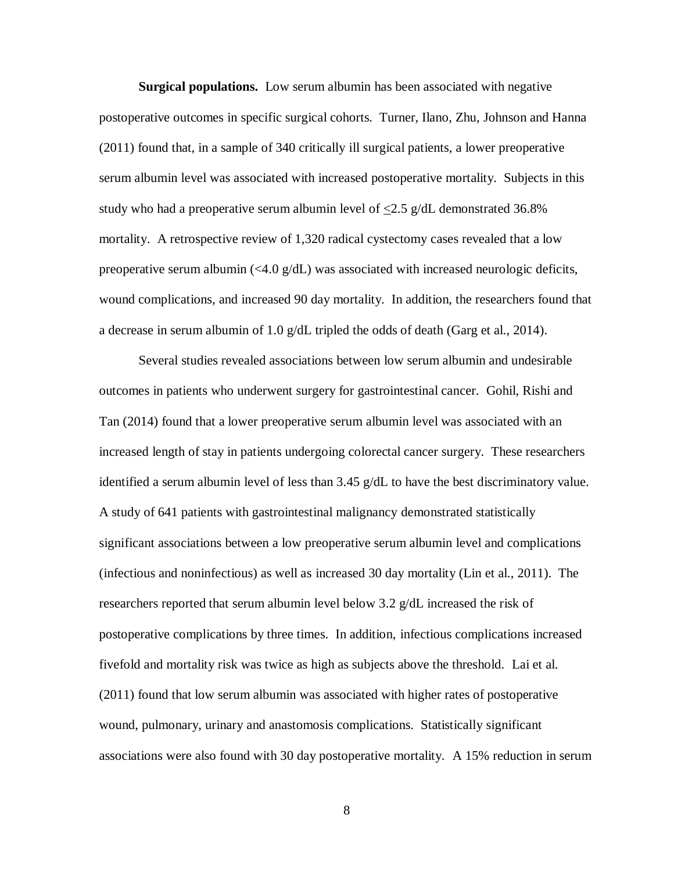**Surgical populations.** Low serum albumin has been associated with negative postoperative outcomes in specific surgical cohorts. Turner, Ilano, Zhu, Johnson and Hanna (2011) found that, in a sample of 340 critically ill surgical patients, a lower preoperative serum albumin level was associated with increased postoperative mortality. Subjects in this study who had a preoperative serum albumin level of  $\langle 2.5 \text{ g/d}$ L demonstrated 36.8% mortality. A retrospective review of 1,320 radical cystectomy cases revealed that a low preoperative serum albumin  $\langle \langle 4.0 \rangle$  g/dL) was associated with increased neurologic deficits, wound complications, and increased 90 day mortality. In addition, the researchers found that a decrease in serum albumin of 1.0  $g/dL$  tripled the odds of death (Garg et al., 2014).

Several studies revealed associations between low serum albumin and undesirable outcomes in patients who underwent surgery for gastrointestinal cancer. Gohil, Rishi and Tan (2014) found that a lower preoperative serum albumin level was associated with an increased length of stay in patients undergoing colorectal cancer surgery. These researchers identified a serum albumin level of less than 3.45 g/dL to have the best discriminatory value. A study of 641 patients with gastrointestinal malignancy demonstrated statistically significant associations between a low preoperative serum albumin level and complications (infectious and noninfectious) as well as increased 30 day mortality (Lin et al., 2011). The researchers reported that serum albumin level below 3.2 g/dL increased the risk of postoperative complications by three times. In addition, infectious complications increased fivefold and mortality risk was twice as high as subjects above the threshold. Lai et al. (2011) found that low serum albumin was associated with higher rates of postoperative wound, pulmonary, urinary and anastomosis complications. Statistically significant associations were also found with 30 day postoperative mortality. A 15% reduction in serum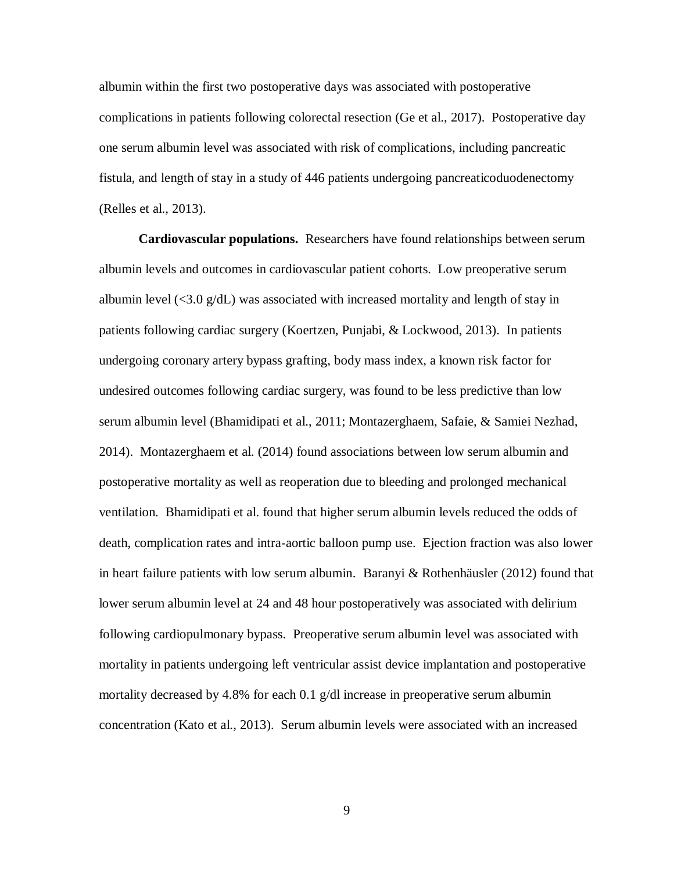albumin within the first two postoperative days was associated with postoperative complications in patients following colorectal resection (Ge et al., 2017). Postoperative day one serum albumin level was associated with risk of complications, including pancreatic fistula, and length of stay in a study of 446 patients undergoing pancreaticoduodenectomy (Relles et al., 2013).

**Cardiovascular populations.** Researchers have found relationships between serum albumin levels and outcomes in cardiovascular patient cohorts. Low preoperative serum albumin level  $\langle 3.0 \text{ g/d} \rangle$  was associated with increased mortality and length of stay in patients following cardiac surgery (Koertzen, Punjabi, & Lockwood, 2013). In patients undergoing coronary artery bypass grafting, body mass index, a known risk factor for undesired outcomes following cardiac surgery, was found to be less predictive than low serum albumin level (Bhamidipati et al., 2011; Montazerghaem, Safaie, & Samiei Nezhad, 2014). Montazerghaem et al. (2014) found associations between low serum albumin and postoperative mortality as well as reoperation due to bleeding and prolonged mechanical ventilation. Bhamidipati et al. found that higher serum albumin levels reduced the odds of death, complication rates and intra-aortic balloon pump use. Ejection fraction was also lower in heart failure patients with low serum albumin. Baranyi  $\&$  Rothenhäusler (2012) found that lower serum albumin level at 24 and 48 hour postoperatively was associated with delirium following cardiopulmonary bypass. Preoperative serum albumin level was associated with mortality in patients undergoing left ventricular assist device implantation and postoperative mortality decreased by 4.8% for each 0.1 g/dl increase in preoperative serum albumin concentration (Kato et al., 2013). Serum albumin levels were associated with an increased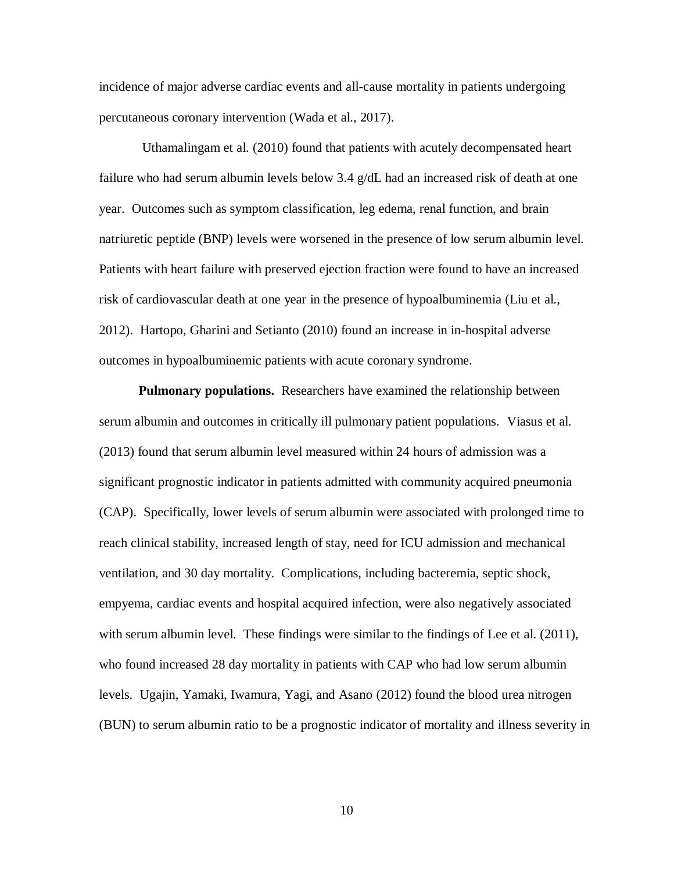incidence of major adverse cardiac events and all-cause mortality in patients undergoing percutaneous coronary intervention (Wada et al., 2017).

Uthamalingam et al. (2010) found that patients with acutely decompensated heart failure who had serum albumin levels below 3.4 g/dL had an increased risk of death at one year. Outcomes such as symptom classification, leg edema, renal function, and brain natriuretic peptide (BNP) levels were worsened in the presence of low serum albumin level. Patients with heart failure with preserved ejection fraction were found to have an increased risk of cardiovascular death at one year in the presence of hypoalbuminemia (Liu et al., 2012). Hartopo, Gharini and Setianto (2010) found an increase in in-hospital adverse outcomes in hypoalbuminemic patients with acute coronary syndrome.

**Pulmonary populations.** Researchers have examined the relationship between serum albumin and outcomes in critically ill pulmonary patient populations. Viasus et al. (2013) found that serum albumin level measured within 24 hours of admission was a significant prognostic indicator in patients admitted with community acquired pneumonia (CAP). Specifically, lower levels of serum albumin were associated with prolonged time to reach clinical stability, increased length of stay, need for ICU admission and mechanical ventilation, and 30 day mortality. Complications, including bacteremia, septic shock, empyema, cardiac events and hospital acquired infection, were also negatively associated with serum albumin level. These findings were similar to the findings of Lee et al. (2011), who found increased 28 day mortality in patients with CAP who had low serum albumin levels. Ugajin, Yamaki, Iwamura, Yagi, and Asano (2012) found the blood urea nitrogen (BUN) to serum albumin ratio to be a prognostic indicator of mortality and illness severity in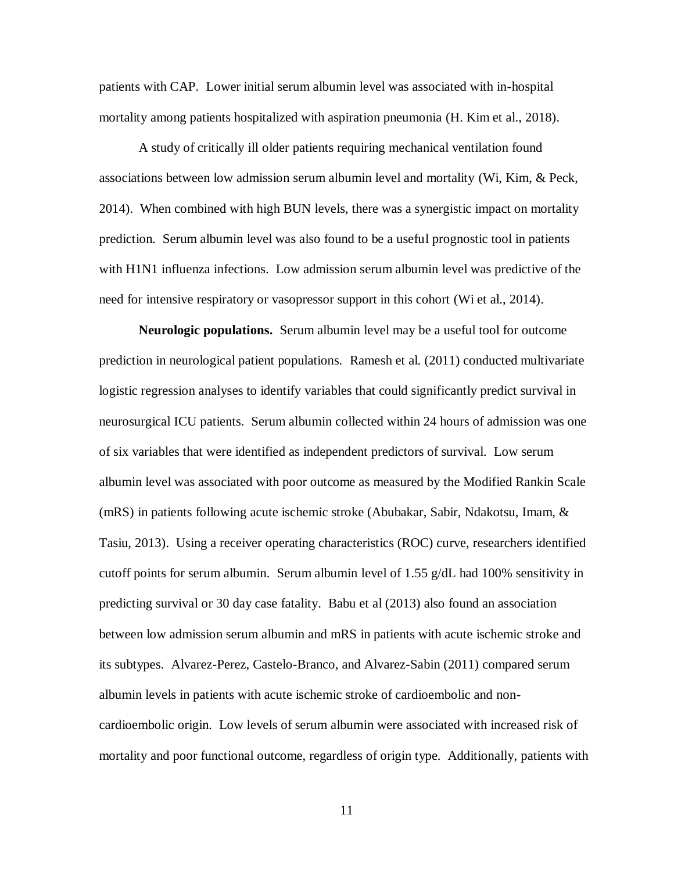patients with CAP. Lower initial serum albumin level was associated with in-hospital mortality among patients hospitalized with aspiration pneumonia (H. Kim et al., 2018).

A study of critically ill older patients requiring mechanical ventilation found associations between low admission serum albumin level and mortality (Wi, Kim, & Peck, 2014). When combined with high BUN levels, there was a synergistic impact on mortality prediction. Serum albumin level was also found to be a useful prognostic tool in patients with H1N1 influenza infections. Low admission serum albumin level was predictive of the need for intensive respiratory or vasopressor support in this cohort (Wi et al., 2014).

**Neurologic populations.** Serum albumin level may be a useful tool for outcome prediction in neurological patient populations. Ramesh et al. (2011) conducted multivariate logistic regression analyses to identify variables that could significantly predict survival in neurosurgical ICU patients. Serum albumin collected within 24 hours of admission was one of six variables that were identified as independent predictors of survival. Low serum albumin level was associated with poor outcome as measured by the Modified Rankin Scale (mRS) in patients following acute ischemic stroke (Abubakar, Sabir, Ndakotsu, Imam, & Tasiu, 2013). Using a receiver operating characteristics (ROC) curve, researchers identified cutoff points for serum albumin. Serum albumin level of 1.55  $g/dL$  had 100% sensitivity in predicting survival or 30 day case fatality. Babu et al (2013) also found an association between low admission serum albumin and mRS in patients with acute ischemic stroke and its subtypes. Alvarez-Perez, Castelo-Branco, and Alvarez-Sabin (2011) compared serum albumin levels in patients with acute ischemic stroke of cardioembolic and noncardioembolic origin. Low levels of serum albumin were associated with increased risk of mortality and poor functional outcome, regardless of origin type. Additionally, patients with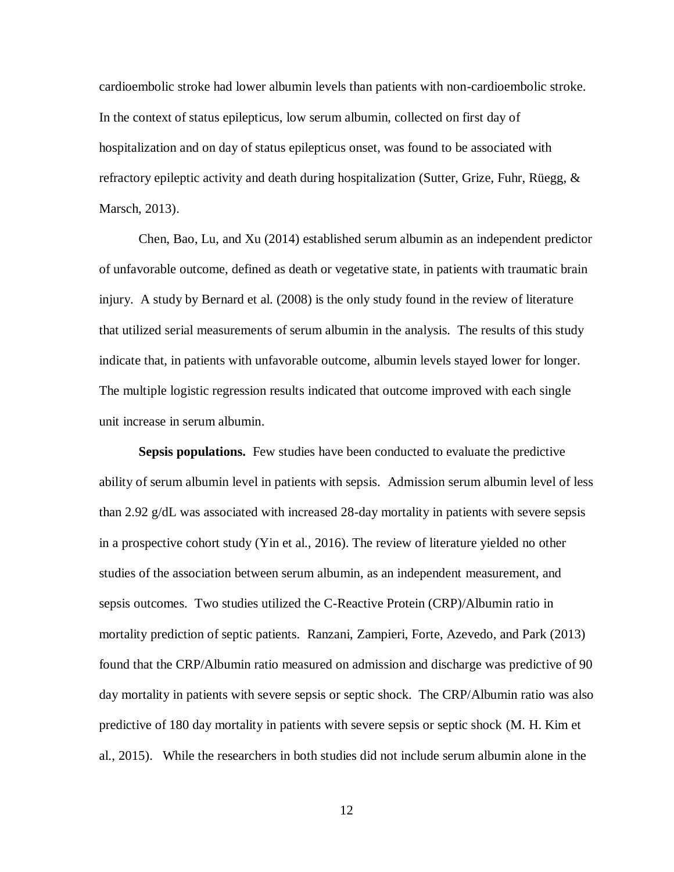cardioembolic stroke had lower albumin levels than patients with non-cardioembolic stroke. In the context of status epilepticus, low serum albumin, collected on first day of hospitalization and on day of status epilepticus onset, was found to be associated with refractory epileptic activity and death during hospitalization (Sutter, Grize, Fuhr, Rüegg, & Marsch, 2013).

Chen, Bao, Lu, and Xu (2014) established serum albumin as an independent predictor of unfavorable outcome, defined as death or vegetative state, in patients with traumatic brain injury. A study by Bernard et al. (2008) is the only study found in the review of literature that utilized serial measurements of serum albumin in the analysis. The results of this study indicate that, in patients with unfavorable outcome, albumin levels stayed lower for longer. The multiple logistic regression results indicated that outcome improved with each single unit increase in serum albumin.

**Sepsis populations.** Few studies have been conducted to evaluate the predictive ability of serum albumin level in patients with sepsis. Admission serum albumin level of less than 2.92 g/dL was associated with increased 28-day mortality in patients with severe sepsis in a prospective cohort study (Yin et al., 2016). The review of literature yielded no other studies of the association between serum albumin, as an independent measurement, and sepsis outcomes. Two studies utilized the C-Reactive Protein (CRP)/Albumin ratio in mortality prediction of septic patients. Ranzani, Zampieri, Forte, Azevedo, and Park (2013) found that the CRP/Albumin ratio measured on admission and discharge was predictive of 90 day mortality in patients with severe sepsis or septic shock. The CRP/Albumin ratio was also predictive of 180 day mortality in patients with severe sepsis or septic shock (M. H. Kim et al., 2015). While the researchers in both studies did not include serum albumin alone in the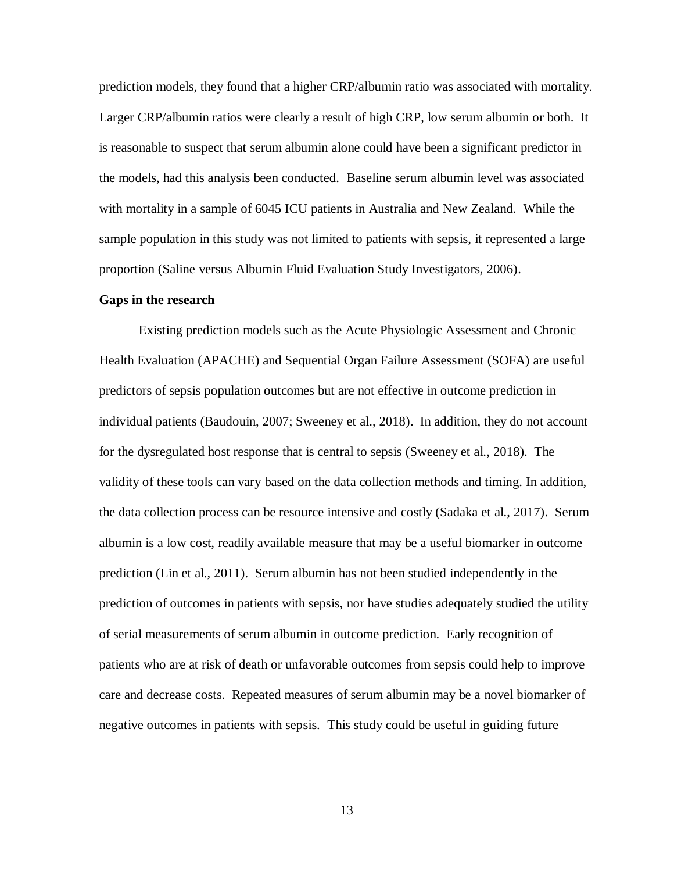prediction models, they found that a higher CRP/albumin ratio was associated with mortality. Larger CRP/albumin ratios were clearly a result of high CRP, low serum albumin or both. It is reasonable to suspect that serum albumin alone could have been a significant predictor in the models, had this analysis been conducted. Baseline serum albumin level was associated with mortality in a sample of 6045 ICU patients in Australia and New Zealand. While the sample population in this study was not limited to patients with sepsis, it represented a large proportion (Saline versus Albumin Fluid Evaluation Study Investigators, 2006).

### **Gaps in the research**

Existing prediction models such as the Acute Physiologic Assessment and Chronic Health Evaluation (APACHE) and Sequential Organ Failure Assessment (SOFA) are useful predictors of sepsis population outcomes but are not effective in outcome prediction in individual patients (Baudouin, 2007; Sweeney et al., 2018). In addition, they do not account for the dysregulated host response that is central to sepsis (Sweeney et al., 2018). The validity of these tools can vary based on the data collection methods and timing. In addition, the data collection process can be resource intensive and costly (Sadaka et al., 2017). Serum albumin is a low cost, readily available measure that may be a useful biomarker in outcome prediction (Lin et al., 2011). Serum albumin has not been studied independently in the prediction of outcomes in patients with sepsis, nor have studies adequately studied the utility of serial measurements of serum albumin in outcome prediction. Early recognition of patients who are at risk of death or unfavorable outcomes from sepsis could help to improve care and decrease costs. Repeated measures of serum albumin may be a novel biomarker of negative outcomes in patients with sepsis. This study could be useful in guiding future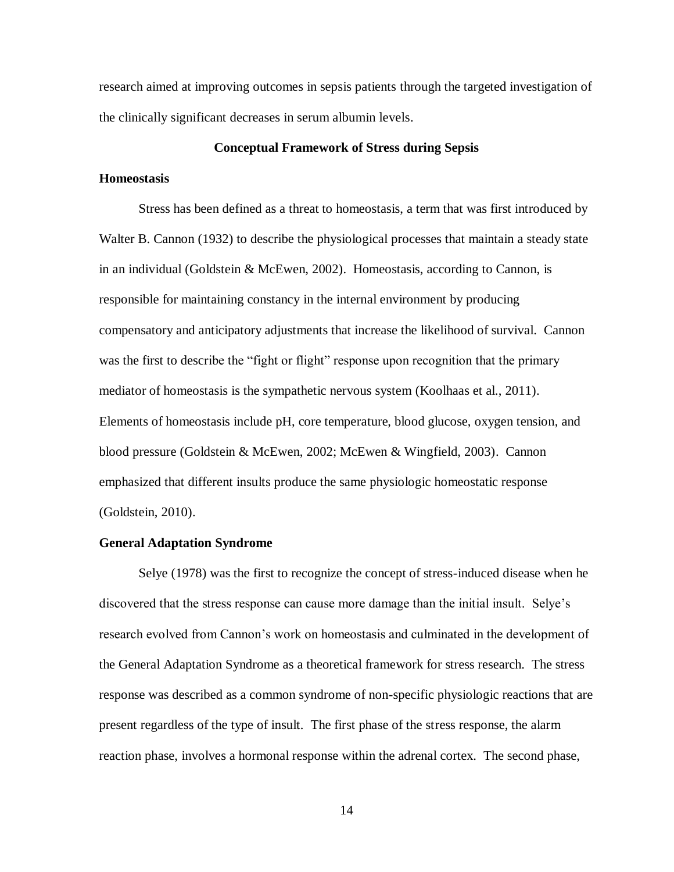research aimed at improving outcomes in sepsis patients through the targeted investigation of the clinically significant decreases in serum albumin levels.

### **Conceptual Framework of Stress during Sepsis**

### **Homeostasis**

Stress has been defined as a threat to homeostasis, a term that was first introduced by Walter B. Cannon (1932) to describe the physiological processes that maintain a steady state in an individual (Goldstein  $&$  McEwen, 2002). Homeostasis, according to Cannon, is responsible for maintaining constancy in the internal environment by producing compensatory and anticipatory adjustments that increase the likelihood of survival. Cannon was the first to describe the "fight or flight" response upon recognition that the primary mediator of homeostasis is the sympathetic nervous system (Koolhaas et al., 2011). Elements of homeostasis include pH, core temperature, blood glucose, oxygen tension, and blood pressure (Goldstein & McEwen, 2002; McEwen & Wingfield, 2003). Cannon emphasized that different insults produce the same physiologic homeostatic response (Goldstein, 2010).

### **General Adaptation Syndrome**

Selye (1978) was the first to recognize the concept of stress-induced disease when he discovered that the stress response can cause more damage than the initial insult. Selye's research evolved from Cannon's work on homeostasis and culminated in the development of the General Adaptation Syndrome as a theoretical framework for stress research. The stress response was described as a common syndrome of non-specific physiologic reactions that are present regardless of the type of insult. The first phase of the stress response, the alarm reaction phase, involves a hormonal response within the adrenal cortex. The second phase,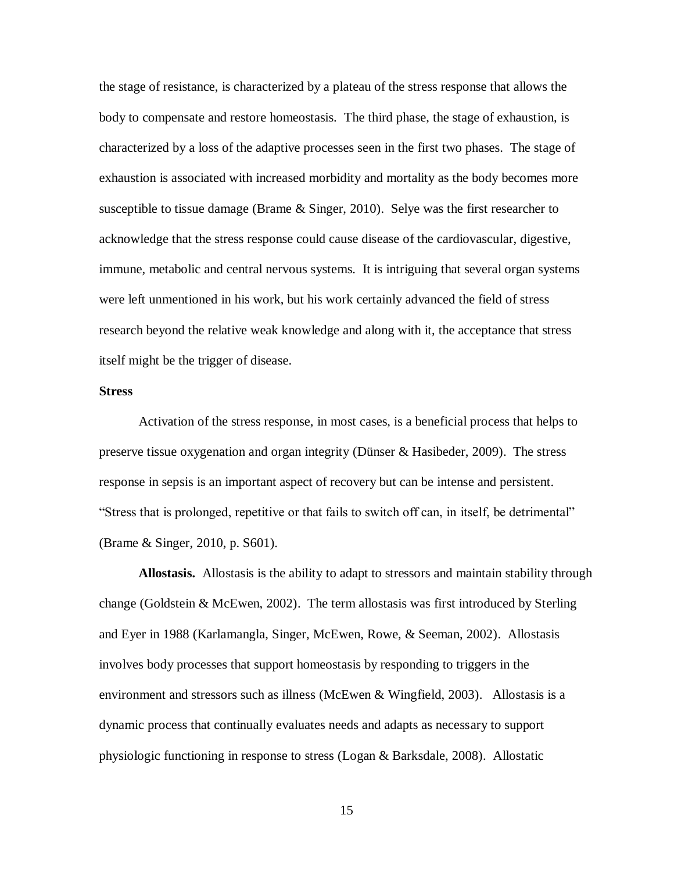the stage of resistance, is characterized by a plateau of the stress response that allows the body to compensate and restore homeostasis. The third phase, the stage of exhaustion, is characterized by a loss of the adaptive processes seen in the first two phases. The stage of exhaustion is associated with increased morbidity and mortality as the body becomes more susceptible to tissue damage (Brame  $\&$  Singer, 2010). Selye was the first researcher to acknowledge that the stress response could cause disease of the cardiovascular, digestive, immune, metabolic and central nervous systems. It is intriguing that several organ systems were left unmentioned in his work, but his work certainly advanced the field of stress research beyond the relative weak knowledge and along with it, the acceptance that stress itself might be the trigger of disease.

### **Stress**

Activation of the stress response, in most cases, is a beneficial process that helps to preserve tissue oxygenation and organ integrity (Dünser & Hasibeder, 2009). The stress response in sepsis is an important aspect of recovery but can be intense and persistent. "Stress that is prolonged, repetitive or that fails to switch off can, in itself, be detrimental" (Brame & Singer, 2010, p. S601).

**Allostasis.** Allostasis is the ability to adapt to stressors and maintain stability through change (Goldstein & McEwen, 2002). The term allostasis was first introduced by Sterling and Eyer in 1988 (Karlamangla, Singer, McEwen, Rowe, & Seeman, 2002). Allostasis involves body processes that support homeostasis by responding to triggers in the environment and stressors such as illness (McEwen & Wingfield, 2003). Allostasis is a dynamic process that continually evaluates needs and adapts as necessary to support physiologic functioning in response to stress (Logan & Barksdale, 2008). Allostatic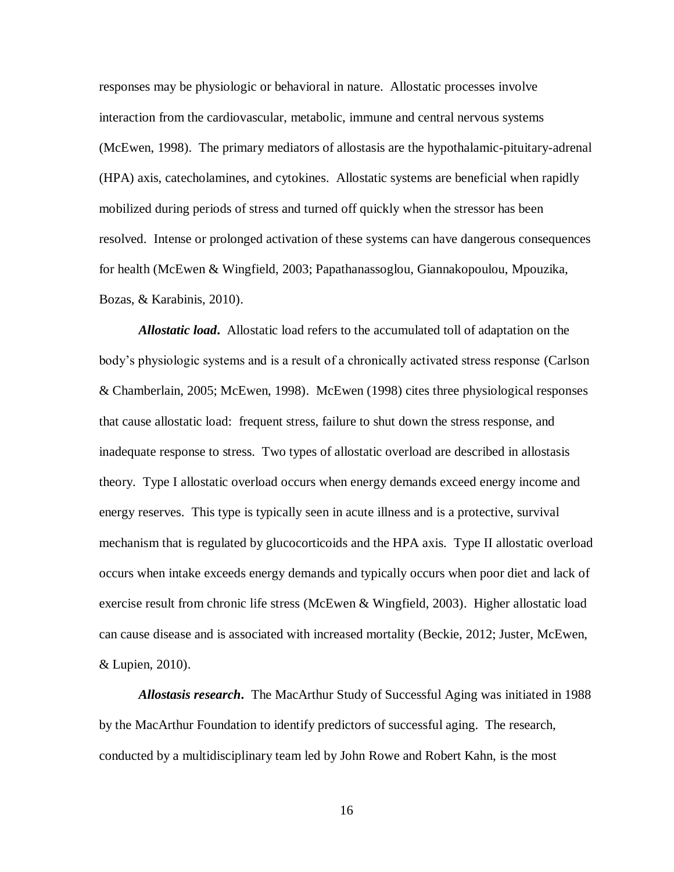responses may be physiologic or behavioral in nature. Allostatic processes involve interaction from the cardiovascular, metabolic, immune and central nervous systems (McEwen, 1998). The primary mediators of allostasis are the hypothalamic-pituitary-adrenal (HPA) axis, catecholamines, and cytokines. Allostatic systems are beneficial when rapidly mobilized during periods of stress and turned off quickly when the stressor has been resolved. Intense or prolonged activation of these systems can have dangerous consequences for health (McEwen & Wingfield, 2003; Papathanassoglou, Giannakopoulou, Mpouzika, Bozas, & Karabinis, 2010).

*Allostatic load***.** Allostatic load refers to the accumulated toll of adaptation on the body's physiologic systems and is a result of a chronically activated stress response (Carlson & Chamberlain, 2005; McEwen, 1998). McEwen (1998) cites three physiological responses that cause allostatic load: frequent stress, failure to shut down the stress response, and inadequate response to stress. Two types of allostatic overload are described in allostasis theory. Type I allostatic overload occurs when energy demands exceed energy income and energy reserves. This type is typically seen in acute illness and is a protective, survival mechanism that is regulated by glucocorticoids and the HPA axis. Type II allostatic overload occurs when intake exceeds energy demands and typically occurs when poor diet and lack of exercise result from chronic life stress (McEwen & Wingfield, 2003). Higher allostatic load can cause disease and is associated with increased mortality (Beckie, 2012; Juster, McEwen, & Lupien, 2010).

*Allostasis research***.** The MacArthur Study of Successful Aging was initiated in 1988 by the MacArthur Foundation to identify predictors of successful aging. The research, conducted by a multidisciplinary team led by John Rowe and Robert Kahn, is the most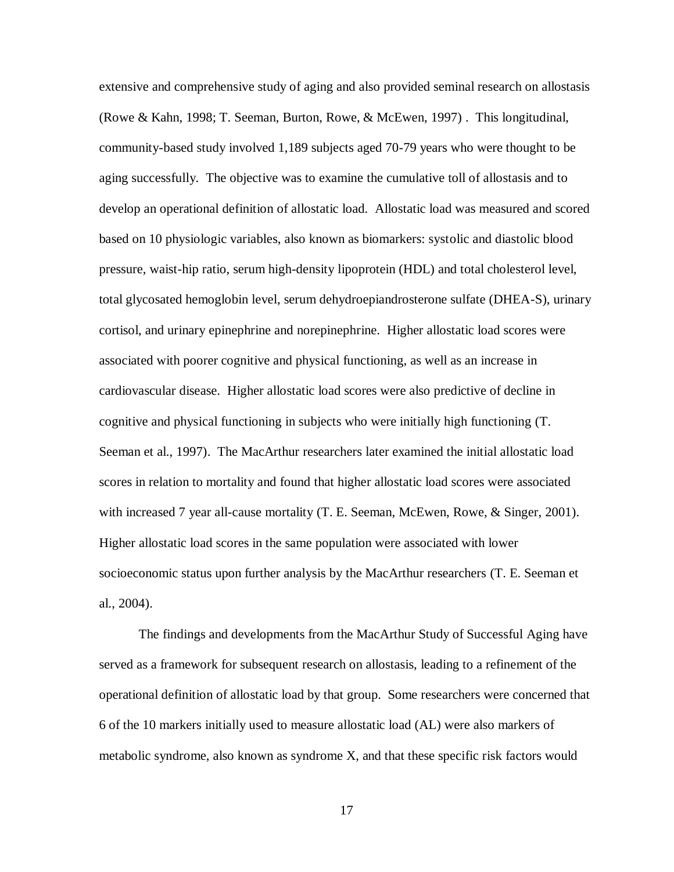extensive and comprehensive study of aging and also provided seminal research on allostasis (Rowe & Kahn, 1998; T. Seeman, Burton, Rowe, & McEwen, 1997) . This longitudinal, community-based study involved 1,189 subjects aged 70-79 years who were thought to be aging successfully. The objective was to examine the cumulative toll of allostasis and to develop an operational definition of allostatic load. Allostatic load was measured and scored based on 10 physiologic variables, also known as biomarkers: systolic and diastolic blood pressure, waist-hip ratio, serum high-density lipoprotein (HDL) and total cholesterol level, total glycosated hemoglobin level, serum dehydroepiandrosterone sulfate (DHEA-S), urinary cortisol, and urinary epinephrine and norepinephrine. Higher allostatic load scores were associated with poorer cognitive and physical functioning, as well as an increase in cardiovascular disease. Higher allostatic load scores were also predictive of decline in cognitive and physical functioning in subjects who were initially high functioning (T. Seeman et al., 1997). The MacArthur researchers later examined the initial allostatic load scores in relation to mortality and found that higher allostatic load scores were associated with increased 7 year all-cause mortality (T. E. Seeman, McEwen, Rowe, & Singer, 2001). Higher allostatic load scores in the same population were associated with lower socioeconomic status upon further analysis by the MacArthur researchers (T. E. Seeman et al., 2004).

The findings and developments from the MacArthur Study of Successful Aging have served as a framework for subsequent research on allostasis, leading to a refinement of the operational definition of allostatic load by that group. Some researchers were concerned that 6 of the 10 markers initially used to measure allostatic load (AL) were also markers of metabolic syndrome, also known as syndrome X, and that these specific risk factors would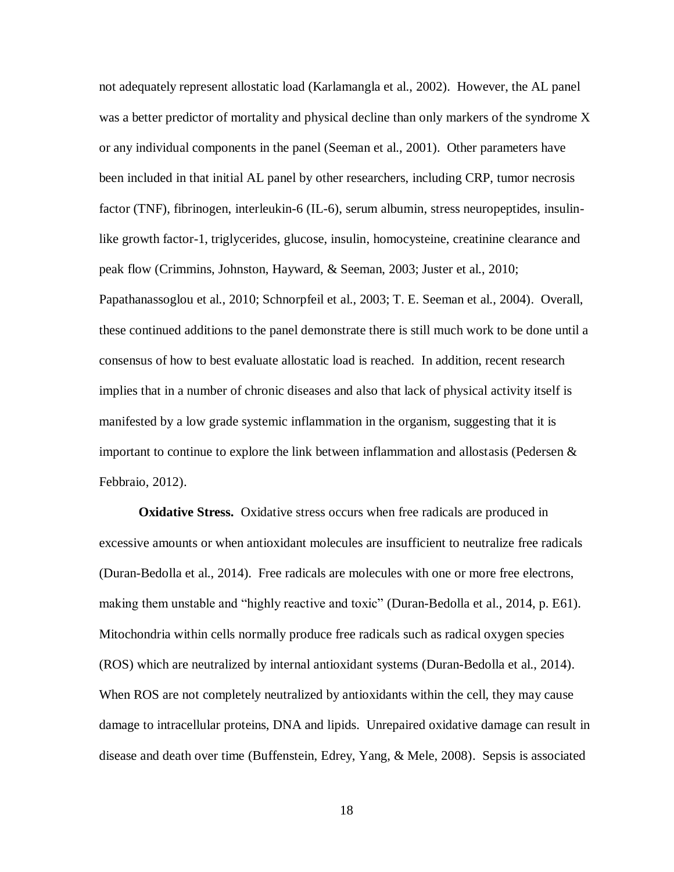not adequately represent allostatic load (Karlamangla et al., 2002). However, the AL panel was a better predictor of mortality and physical decline than only markers of the syndrome X or any individual components in the panel (Seeman et al., 2001). Other parameters have been included in that initial AL panel by other researchers, including CRP, tumor necrosis factor (TNF), fibrinogen, interleukin-6 (IL-6), serum albumin, stress neuropeptides, insulinlike growth factor-1, triglycerides, glucose, insulin, homocysteine, creatinine clearance and peak flow (Crimmins, Johnston, Hayward, & Seeman, 2003; Juster et al., 2010; Papathanassoglou et al., 2010; Schnorpfeil et al., 2003; T. E. Seeman et al., 2004). Overall, these continued additions to the panel demonstrate there is still much work to be done until a consensus of how to best evaluate allostatic load is reached. In addition, recent research implies that in a number of chronic diseases and also that lack of physical activity itself is manifested by a low grade systemic inflammation in the organism, suggesting that it is important to continue to explore the link between inflammation and allostasis (Pedersen & Febbraio, 2012).

**Oxidative Stress.** Oxidative stress occurs when free radicals are produced in excessive amounts or when antioxidant molecules are insufficient to neutralize free radicals (Duran-Bedolla et al., 2014). Free radicals are molecules with one or more free electrons, making them unstable and "highly reactive and toxic" (Duran-Bedolla et al., 2014, p. E61). Mitochondria within cells normally produce free radicals such as radical oxygen species (ROS) which are neutralized by internal antioxidant systems (Duran-Bedolla et al., 2014). When ROS are not completely neutralized by antioxidants within the cell, they may cause damage to intracellular proteins, DNA and lipids. Unrepaired oxidative damage can result in disease and death over time (Buffenstein, Edrey, Yang, & Mele, 2008). Sepsis is associated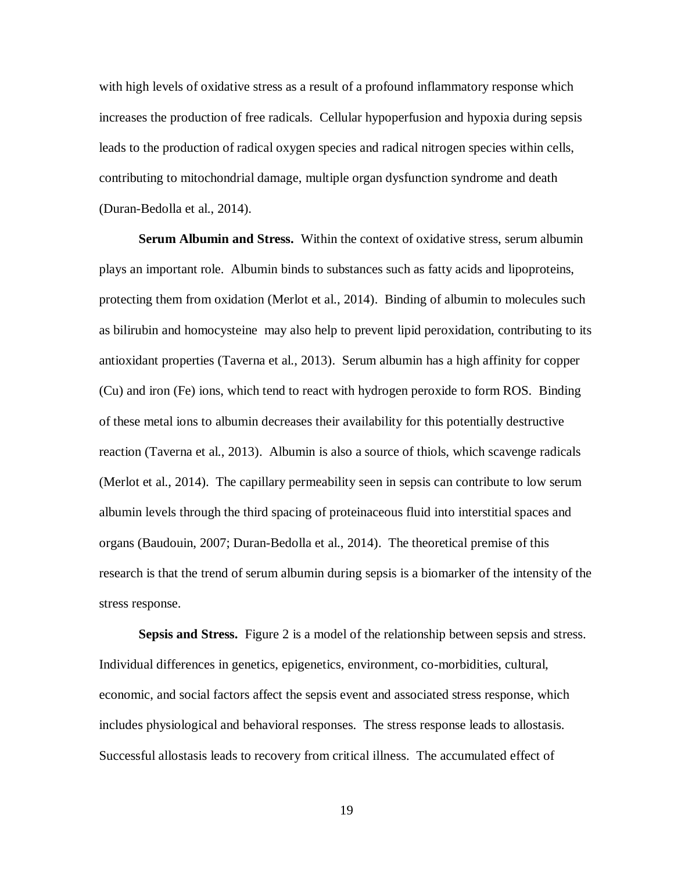with high levels of oxidative stress as a result of a profound inflammatory response which increases the production of free radicals. Cellular hypoperfusion and hypoxia during sepsis leads to the production of radical oxygen species and radical nitrogen species within cells, contributing to mitochondrial damage, multiple organ dysfunction syndrome and death (Duran-Bedolla et al., 2014).

**Serum Albumin and Stress.** Within the context of oxidative stress, serum albumin plays an important role. Albumin binds to substances such as fatty acids and lipoproteins, protecting them from oxidation (Merlot et al., 2014). Binding of albumin to molecules such as bilirubin and homocysteine may also help to prevent lipid peroxidation, contributing to its antioxidant properties (Taverna et al., 2013). Serum albumin has a high affinity for copper (Cu) and iron (Fe) ions, which tend to react with hydrogen peroxide to form ROS. Binding of these metal ions to albumin decreases their availability for this potentially destructive reaction (Taverna et al., 2013). Albumin is also a source of thiols, which scavenge radicals (Merlot et al., 2014). The capillary permeability seen in sepsis can contribute to low serum albumin levels through the third spacing of proteinaceous fluid into interstitial spaces and organs (Baudouin, 2007; Duran-Bedolla et al., 2014). The theoretical premise of this research is that the trend of serum albumin during sepsis is a biomarker of the intensity of the stress response.

**Sepsis and Stress.** Figure 2 is a model of the relationship between sepsis and stress. Individual differences in genetics, epigenetics, environment, co-morbidities, cultural, economic, and social factors affect the sepsis event and associated stress response, which includes physiological and behavioral responses. The stress response leads to allostasis. Successful allostasis leads to recovery from critical illness. The accumulated effect of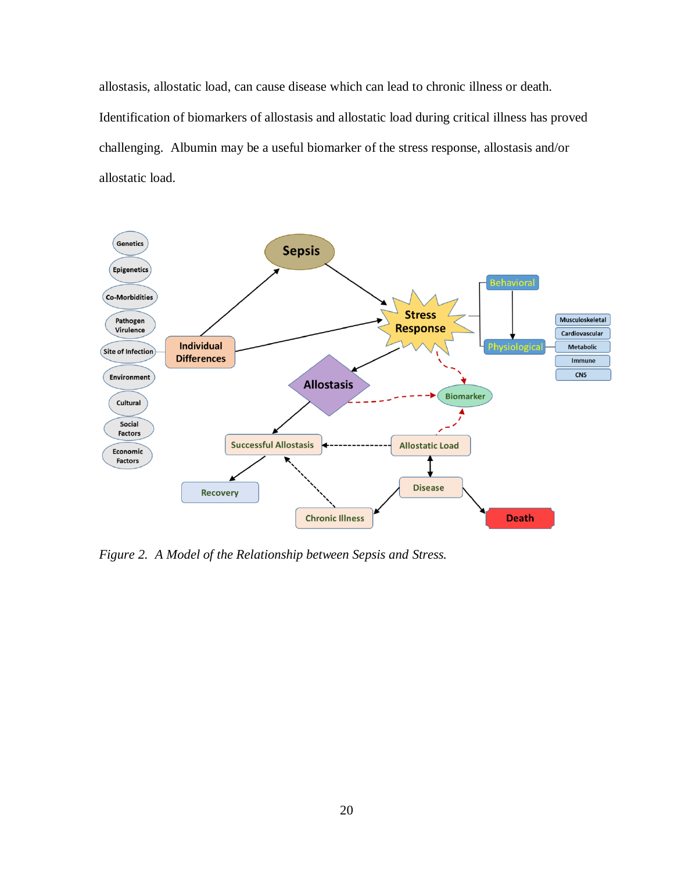allostasis, allostatic load, can cause disease which can lead to chronic illness or death. Identification of biomarkers of allostasis and allostatic load during critical illness has proved challenging. Albumin may be a useful biomarker of the stress response, allostasis and/or allostatic load.



*Figure 2. A Model of the Relationship between Sepsis and Stress.*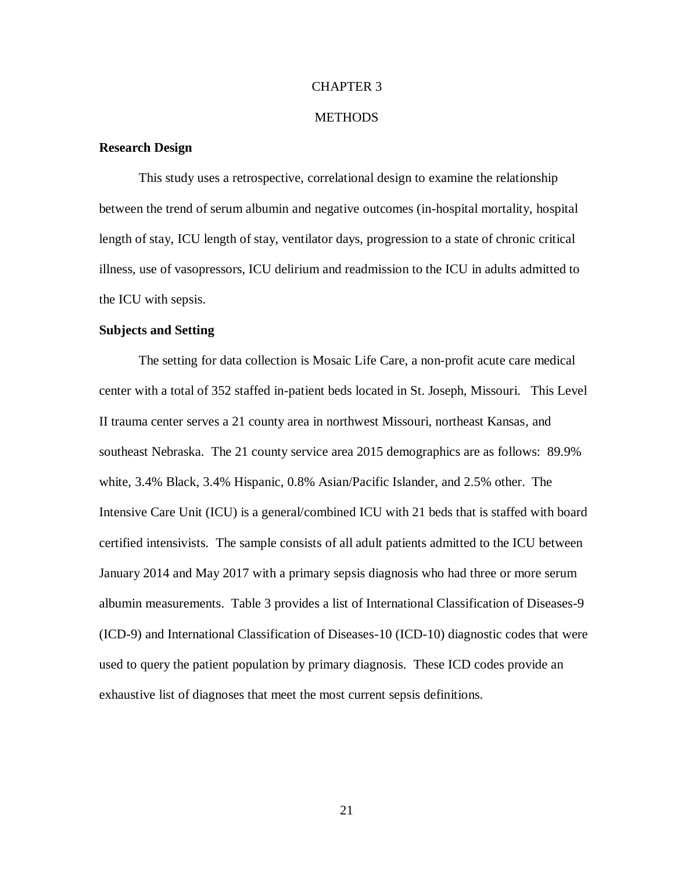### CHAPTER 3

### **METHODS**

### **Research Design**

This study uses a retrospective, correlational design to examine the relationship between the trend of serum albumin and negative outcomes (in-hospital mortality, hospital length of stay, ICU length of stay, ventilator days, progression to a state of chronic critical illness, use of vasopressors, ICU delirium and readmission to the ICU in adults admitted to the ICU with sepsis.

### **Subjects and Setting**

The setting for data collection is Mosaic Life Care, a non-profit acute care medical center with a total of 352 staffed in-patient beds located in St. Joseph, Missouri. This Level II trauma center serves a 21 county area in northwest Missouri, northeast Kansas, and southeast Nebraska. The 21 county service area 2015 demographics are as follows: 89.9% white, 3.4% Black, 3.4% Hispanic, 0.8% Asian/Pacific Islander, and 2.5% other. The Intensive Care Unit (ICU) is a general/combined ICU with 21 beds that is staffed with board certified intensivists. The sample consists of all adult patients admitted to the ICU between January 2014 and May 2017 with a primary sepsis diagnosis who had three or more serum albumin measurements. Table 3 provides a list of International Classification of Diseases-9 (ICD-9) and International Classification of Diseases-10 (ICD-10) diagnostic codes that were used to query the patient population by primary diagnosis. These ICD codes provide an exhaustive list of diagnoses that meet the most current sepsis definitions.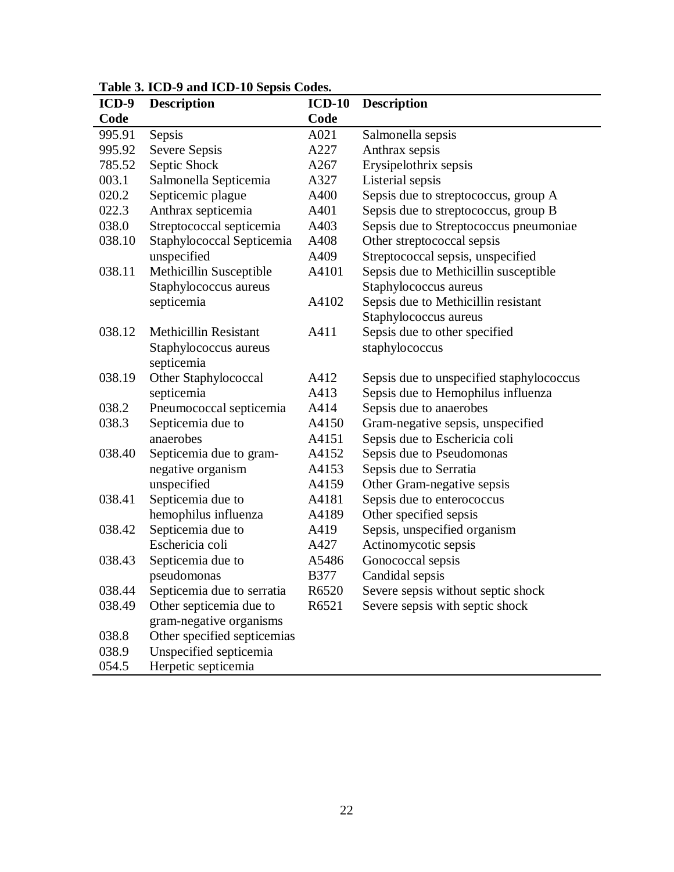| $ICD-9$ | <b>Description</b>                | $ICD-10$    | <b>Description</b>                       |
|---------|-----------------------------------|-------------|------------------------------------------|
| Code    |                                   | Code        |                                          |
| 995.91  | Sepsis                            | A021        | Salmonella sepsis                        |
| 995.92  | Severe Sepsis                     | A227        | Anthrax sepsis                           |
| 785.52  | Septic Shock                      | A267        | Erysipelothrix sepsis                    |
| 003.1   | Salmonella Septicemia             | A327        | Listerial sepsis                         |
| 020.2   | Septicemic plague                 | A400        | Sepsis due to streptococcus, group A     |
| 022.3   | Anthrax septicemia                | A401        | Sepsis due to streptococcus, group B     |
| 038.0   | Streptococcal septicemia          | A403        | Sepsis due to Streptococcus pneumoniae   |
| 038.10  | Staphylococcal Septicemia         | A408        | Other streptococcal sepsis               |
|         | unspecified                       | A409        | Streptococcal sepsis, unspecified        |
| 038.11  | Methicillin Susceptible           | A4101       | Sepsis due to Methicillin susceptible    |
|         | Staphylococcus aureus             |             | Staphylococcus aureus                    |
|         | septicemia                        | A4102       | Sepsis due to Methicillin resistant      |
|         |                                   |             | Staphylococcus aureus                    |
| 038.12  | <b>Methicillin Resistant</b>      | A411        | Sepsis due to other specified            |
|         | Staphylococcus aureus             |             | staphylococcus                           |
|         | septicemia                        |             |                                          |
| 038.19  | Other Staphylococcal              | A412        | Sepsis due to unspecified staphylococcus |
|         | septicemia                        | A413        | Sepsis due to Hemophilus influenza       |
| 038.2   | Pneumococcal septicemia           | A414        | Sepsis due to anaerobes                  |
| 038.3   | Septicemia due to                 | A4150       | Gram-negative sepsis, unspecified        |
|         | anaerobes                         | A4151       | Sepsis due to Eschericia coli            |
| 038.40  | Septicemia due to gram-           | A4152       | Sepsis due to Pseudomonas                |
|         | negative organism                 | A4153       | Sepsis due to Serratia                   |
|         | unspecified                       | A4159       | Other Gram-negative sepsis               |
| 038.41  | Septicemia due to                 | A4181       | Sepsis due to enterococcus               |
|         | hemophilus influenza              | A4189       | Other specified sepsis                   |
| 038.42  | Septicemia due to                 | A419        | Sepsis, unspecified organism             |
|         | Eschericia coli                   | A427        | Actinomycotic sepsis                     |
| 038.43  | Septicemia due to                 | A5486       | Gonococcal sepsis                        |
|         | pseudomonas                       | <b>B377</b> | Candidal sepsis                          |
|         | 038.44 Septicemia due to serratia | R6520       | Severe sepsis without septic shock       |
| 038.49  | Other septicemia due to           | R6521       | Severe sepsis with septic shock          |
|         | gram-negative organisms           |             |                                          |
| 038.8   | Other specified septicemias       |             |                                          |
| 038.9   | Unspecified septicemia            |             |                                          |
| 054.5   | Herpetic septicemia               |             |                                          |

## **Table 3. ICD-9 and ICD-10 Sepsis Codes.**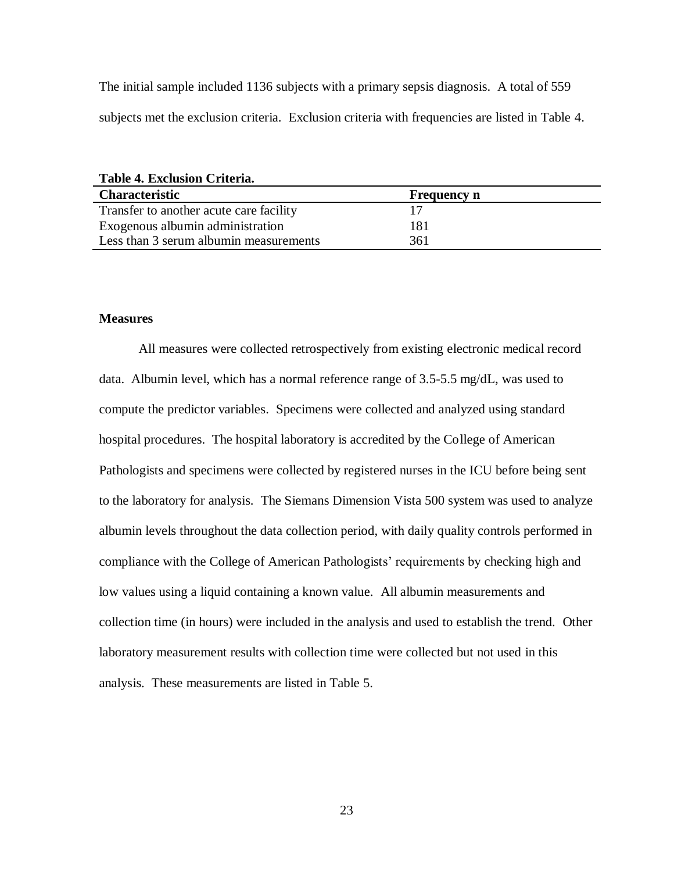The initial sample included 1136 subjects with a primary sepsis diagnosis. A total of 559 subjects met the exclusion criteria. Exclusion criteria with frequencies are listed in Table 4.

**Table 4. Exclusion Criteria.**

| <b>Characteristic</b>                   | <b>Frequency n</b> |  |
|-----------------------------------------|--------------------|--|
| Transfer to another acute care facility |                    |  |
| Exogenous albumin administration        | 181                |  |
| Less than 3 serum albumin measurements  | 361                |  |

### **Measures**

All measures were collected retrospectively from existing electronic medical record data. Albumin level, which has a normal reference range of 3.5-5.5 mg/dL, was used to compute the predictor variables. Specimens were collected and analyzed using standard hospital procedures. The hospital laboratory is accredited by the College of American Pathologists and specimens were collected by registered nurses in the ICU before being sent to the laboratory for analysis. The Siemans Dimension Vista 500 system was used to analyze albumin levels throughout the data collection period, with daily quality controls performed in compliance with the College of American Pathologists' requirements by checking high and low values using a liquid containing a known value. All albumin measurements and collection time (in hours) were included in the analysis and used to establish the trend. Other laboratory measurement results with collection time were collected but not used in this analysis. These measurements are listed in Table 5.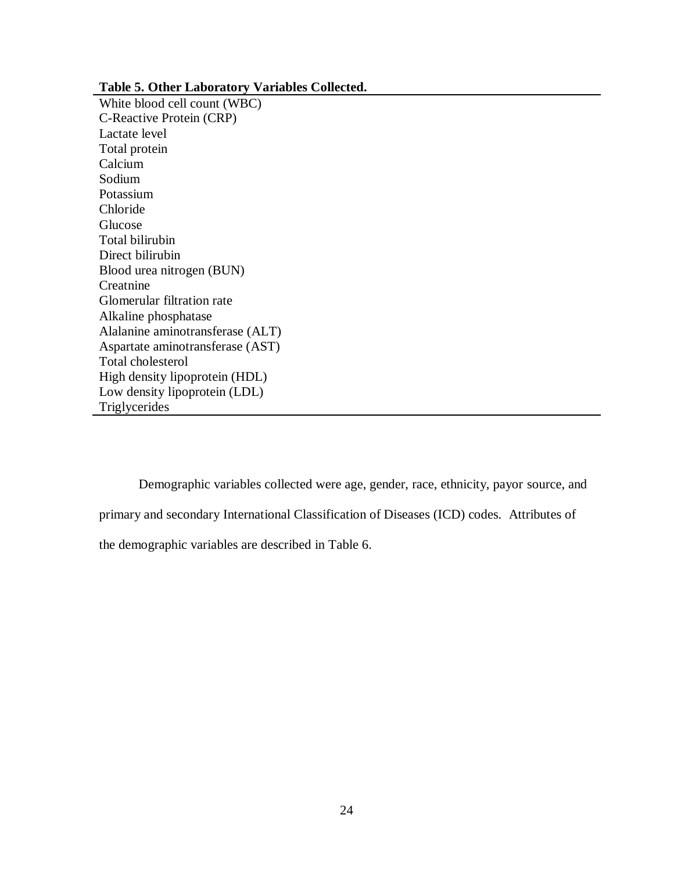### **Table 5. Other Laboratory Variables Collected.**

White blood cell count (WBC) C-Reactive Protein (CRP) Lactate level Total protein Calcium Sodium Potassium Chloride Glucose Total bilirubin Direct bilirubin Blood urea nitrogen (BUN) Creatnine Glomerular filtration rate Alkaline phosphatase Alalanine aminotransferase (ALT) Aspartate aminotransferase (AST) Total cholesterol High density lipoprotein (HDL) Low density lipoprotein (LDL) **Triglycerides** 

Demographic variables collected were age, gender, race, ethnicity, payor source, and primary and secondary International Classification of Diseases (ICD) codes. Attributes of the demographic variables are described in Table 6.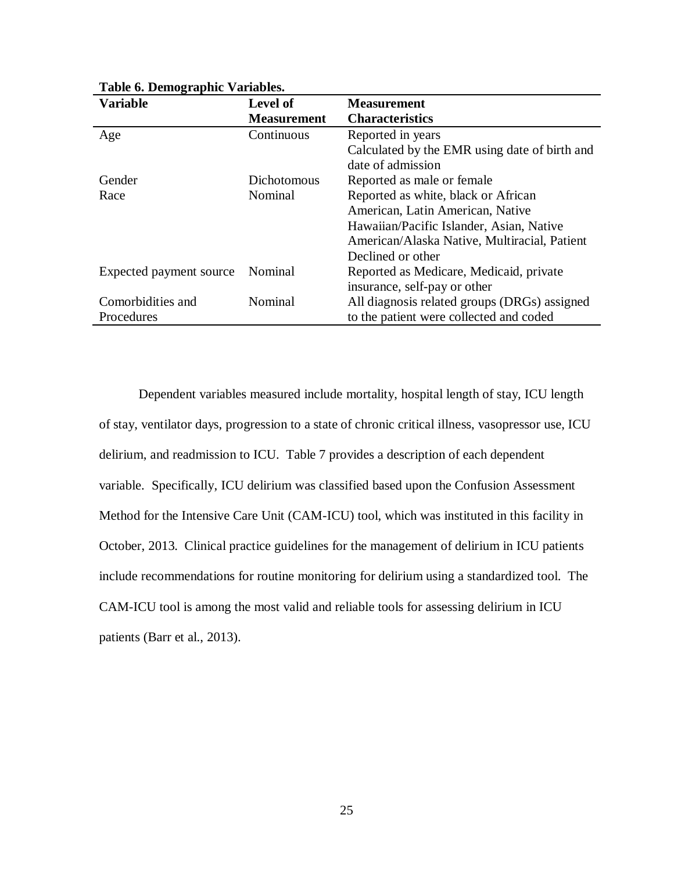| <b>Variable</b>         | <b>Level of</b>    | <b>Measurement</b>                            |
|-------------------------|--------------------|-----------------------------------------------|
|                         | <b>Measurement</b> | <b>Characteristics</b>                        |
| Age                     | Continuous         | Reported in years                             |
|                         |                    | Calculated by the EMR using date of birth and |
|                         |                    | date of admission                             |
| Gender                  | Dichotomous        | Reported as male or female.                   |
| Race                    | Nominal            | Reported as white, black or African           |
|                         |                    | American, Latin American, Native              |
|                         |                    | Hawaiian/Pacific Islander, Asian, Native      |
|                         |                    | American/Alaska Native, Multiracial, Patient  |
|                         |                    | Declined or other                             |
| Expected payment source | Nominal            | Reported as Medicare, Medicaid, private       |
|                         |                    | insurance, self-pay or other                  |
| Comorbidities and       | Nominal            | All diagnosis related groups (DRGs) assigned  |
| Procedures              |                    | to the patient were collected and coded       |

**Table 6. Demographic Variables.**

Dependent variables measured include mortality, hospital length of stay, ICU length of stay, ventilator days, progression to a state of chronic critical illness, vasopressor use, ICU delirium, and readmission to ICU. Table 7 provides a description of each dependent variable. Specifically, ICU delirium was classified based upon the Confusion Assessment Method for the Intensive Care Unit (CAM-ICU) tool, which was instituted in this facility in October, 2013. Clinical practice guidelines for the management of delirium in ICU patients include recommendations for routine monitoring for delirium using a standardized tool. The CAM-ICU tool is among the most valid and reliable tools for assessing delirium in ICU patients (Barr et al., 2013).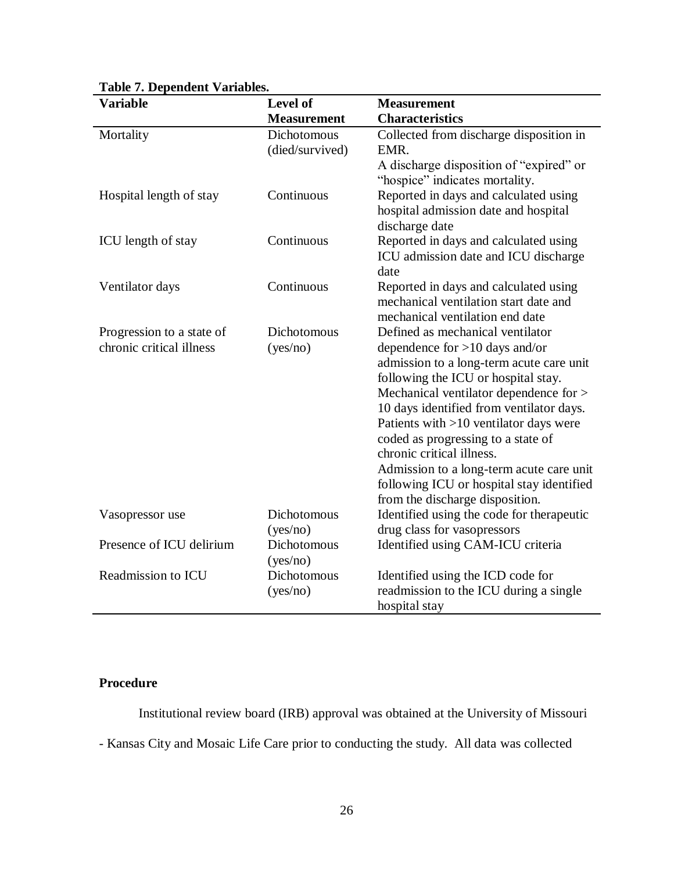| <b>Variable</b>           | Level of           | <b>Measurement</b>                                                                 |
|---------------------------|--------------------|------------------------------------------------------------------------------------|
|                           | <b>Measurement</b> | <b>Characteristics</b>                                                             |
| Mortality                 | Dichotomous        | Collected from discharge disposition in                                            |
|                           | (died/survived)    | EMR.                                                                               |
|                           |                    | A discharge disposition of "expired" or                                            |
|                           |                    | "hospice" indicates mortality.                                                     |
| Hospital length of stay   | Continuous         | Reported in days and calculated using                                              |
|                           |                    | hospital admission date and hospital                                               |
|                           |                    | discharge date                                                                     |
| ICU length of stay        | Continuous         | Reported in days and calculated using                                              |
|                           |                    | ICU admission date and ICU discharge                                               |
|                           |                    | date                                                                               |
| Ventilator days           | Continuous         | Reported in days and calculated using                                              |
|                           |                    | mechanical ventilation start date and                                              |
|                           |                    | mechanical ventilation end date                                                    |
| Progression to a state of | Dichotomous        | Defined as mechanical ventilator                                                   |
| chronic critical illness  | (yes/no)           | dependence for $>10$ days and/or                                                   |
|                           |                    | admission to a long-term acute care unit                                           |
|                           |                    | following the ICU or hospital stay.                                                |
|                           |                    | Mechanical ventilator dependence for ><br>10 days identified from ventilator days. |
|                           |                    | Patients with $>10$ ventilator days were                                           |
|                           |                    | coded as progressing to a state of                                                 |
|                           |                    | chronic critical illness.                                                          |
|                           |                    | Admission to a long-term acute care unit                                           |
|                           |                    | following ICU or hospital stay identified                                          |
|                           |                    | from the discharge disposition.                                                    |
| Vasopressor use           | Dichotomous        | Identified using the code for therapeutic                                          |
|                           | (yes/no)           | drug class for vasopressors                                                        |
| Presence of ICU delirium  | Dichotomous        | Identified using CAM-ICU criteria                                                  |
|                           | (yes/no)           |                                                                                    |
| Readmission to ICU        | <b>Dichotomous</b> | Identified using the ICD code for                                                  |
|                           | (yes/no)           | readmission to the ICU during a single                                             |
|                           |                    | hospital stay                                                                      |

## **Table 7. Dependent Variables.**

## **Procedure**

Institutional review board (IRB) approval was obtained at the University of Missouri

- Kansas City and Mosaic Life Care prior to conducting the study. All data was collected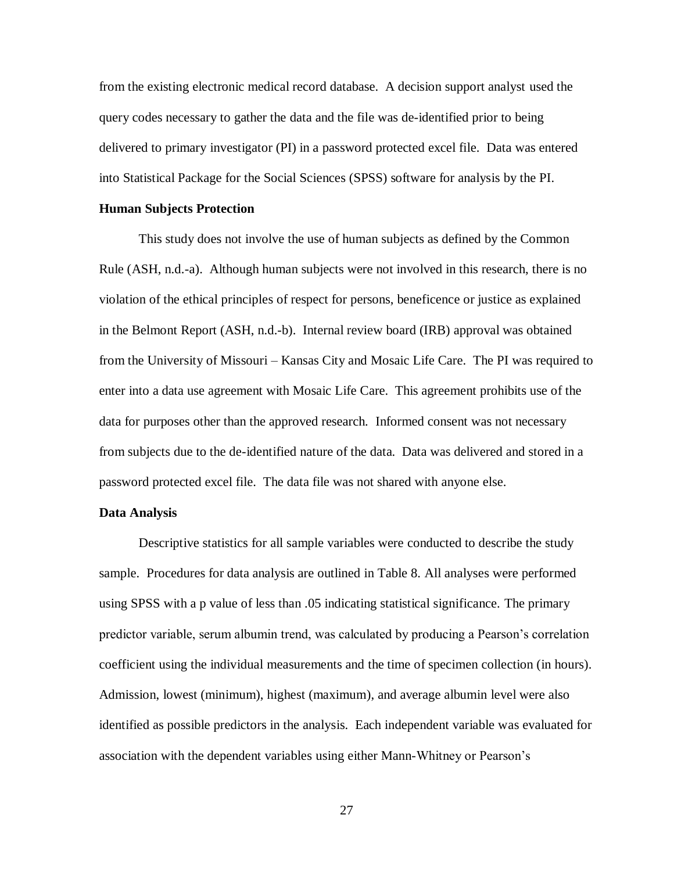from the existing electronic medical record database. A decision support analyst used the query codes necessary to gather the data and the file was de-identified prior to being delivered to primary investigator (PI) in a password protected excel file. Data was entered into Statistical Package for the Social Sciences (SPSS) software for analysis by the PI.

### **Human Subjects Protection**

This study does not involve the use of human subjects as defined by the Common Rule (ASH, n.d.-a). Although human subjects were not involved in this research, there is no violation of the ethical principles of respect for persons, beneficence or justice as explained in the Belmont Report (ASH, n.d.-b). Internal review board (IRB) approval was obtained from the University of Missouri – Kansas City and Mosaic Life Care. The PI was required to enter into a data use agreement with Mosaic Life Care. This agreement prohibits use of the data for purposes other than the approved research. Informed consent was not necessary from subjects due to the de-identified nature of the data. Data was delivered and stored in a password protected excel file. The data file was not shared with anyone else.

### **Data Analysis**

Descriptive statistics for all sample variables were conducted to describe the study sample. Procedures for data analysis are outlined in Table 8. All analyses were performed using SPSS with a p value of less than .05 indicating statistical significance. The primary predictor variable, serum albumin trend, was calculated by producing a Pearson's correlation coefficient using the individual measurements and the time of specimen collection (in hours). Admission, lowest (minimum), highest (maximum), and average albumin level were also identified as possible predictors in the analysis. Each independent variable was evaluated for association with the dependent variables using either Mann-Whitney or Pearson's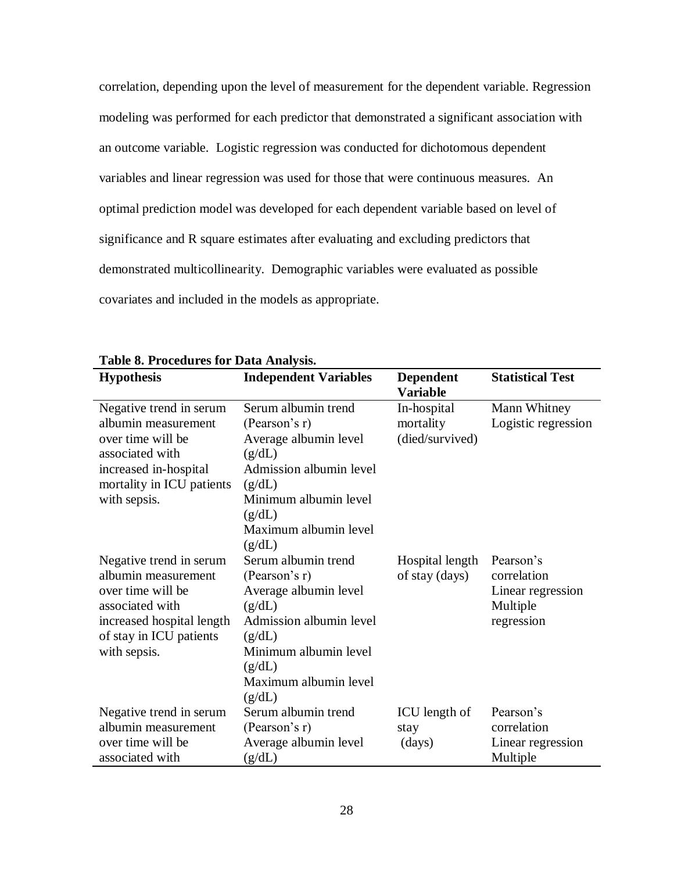correlation, depending upon the level of measurement for the dependent variable. Regression modeling was performed for each predictor that demonstrated a significant association with an outcome variable. Logistic regression was conducted for dichotomous dependent variables and linear regression was used for those that were continuous measures. An optimal prediction model was developed for each dependent variable based on level of significance and R square estimates after evaluating and excluding predictors that demonstrated multicollinearity. Demographic variables were evaluated as possible covariates and included in the models as appropriate.

|                           | raon of Froceauto for Data Amaryons |                  |                         |  |  |
|---------------------------|-------------------------------------|------------------|-------------------------|--|--|
| <b>Hypothesis</b>         | <b>Independent Variables</b>        | <b>Dependent</b> | <b>Statistical Test</b> |  |  |
|                           |                                     | <b>Variable</b>  |                         |  |  |
| Negative trend in serum   | Serum albumin trend                 | In-hospital      | Mann Whitney            |  |  |
| albumin measurement       | (Pearson's r)                       | mortality        | Logistic regression     |  |  |
| over time will be         | Average albumin level               | (died/survived)  |                         |  |  |
| associated with           | (g/dL)                              |                  |                         |  |  |
| increased in-hospital     | Admission albumin level             |                  |                         |  |  |
| mortality in ICU patients | (g/dL)                              |                  |                         |  |  |
| with sepsis.              | Minimum albumin level               |                  |                         |  |  |
|                           | (g/dL)                              |                  |                         |  |  |
|                           | Maximum albumin level               |                  |                         |  |  |
|                           | (g/dL)                              |                  |                         |  |  |
| Negative trend in serum   | Serum albumin trend                 | Hospital length  | Pearson's               |  |  |
| albumin measurement       | (Pearson's r)                       | of stay (days)   | correlation             |  |  |
| over time will be         | Average albumin level               |                  | Linear regression       |  |  |
| associated with           | (g/dL)                              |                  | Multiple                |  |  |
| increased hospital length | Admission albumin level             |                  | regression              |  |  |
| of stay in ICU patients   | (g/dL)                              |                  |                         |  |  |
| with sepsis.              | Minimum albumin level               |                  |                         |  |  |
|                           | (g/dL)                              |                  |                         |  |  |
|                           | Maximum albumin level               |                  |                         |  |  |
|                           | (g/dL)                              |                  |                         |  |  |
| Negative trend in serum   | Serum albumin trend                 | ICU length of    | Pearson's               |  |  |
| albumin measurement       | (Pearson's r)                       | stay             | correlation             |  |  |
| over time will be         | Average albumin level               | (days)           | Linear regression       |  |  |
| associated with           | (g/dL)                              |                  | Multiple                |  |  |

**Table 8. Procedures for Data Analysis.**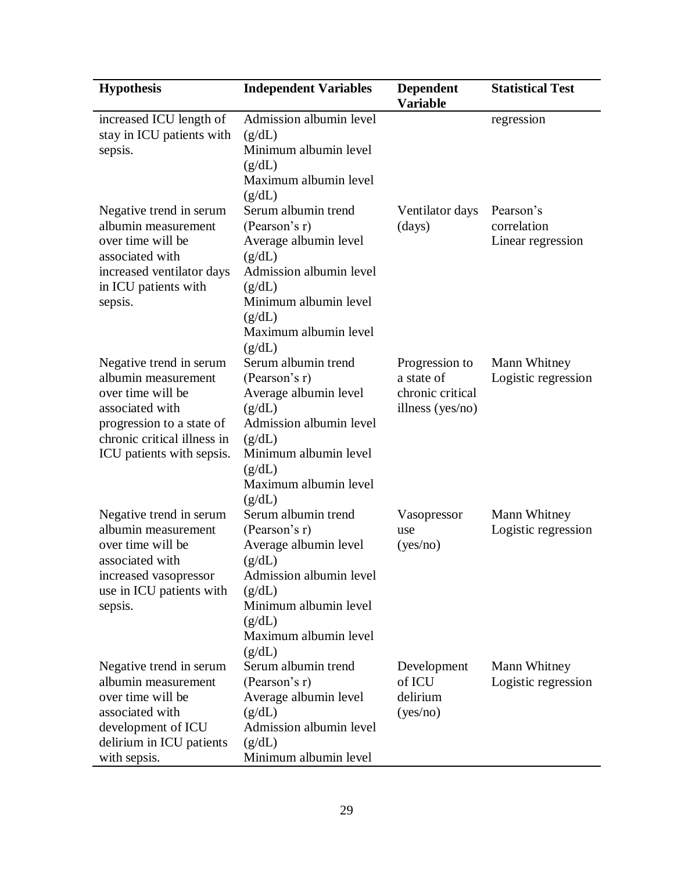| <b>Hypothesis</b>                                                                                                                                                               | <b>Independent Variables</b>                                                                                                                                                       | <b>Dependent</b><br><b>Variable</b>                                     | <b>Statistical Test</b>                       |
|---------------------------------------------------------------------------------------------------------------------------------------------------------------------------------|------------------------------------------------------------------------------------------------------------------------------------------------------------------------------------|-------------------------------------------------------------------------|-----------------------------------------------|
| increased ICU length of<br>stay in ICU patients with<br>sepsis.                                                                                                                 | Admission albumin level<br>(g/dL)<br>Minimum albumin level<br>(g/dL)<br>Maximum albumin level<br>(g/dL)                                                                            |                                                                         | regression                                    |
| Negative trend in serum<br>albumin measurement<br>over time will be<br>associated with<br>increased ventilator days<br>in ICU patients with<br>sepsis.                          | Serum albumin trend<br>(Pearson's r)<br>Average albumin level<br>(g/dL)<br>Admission albumin level<br>(g/dL)<br>Minimum albumin level<br>(g/dL)<br>Maximum albumin level<br>(g/dL) | Ventilator days<br>(days)                                               | Pearson's<br>correlation<br>Linear regression |
| Negative trend in serum<br>albumin measurement<br>over time will be<br>associated with<br>progression to a state of<br>chronic critical illness in<br>ICU patients with sepsis. | Serum albumin trend<br>(Pearson's r)<br>Average albumin level<br>(g/dL)<br>Admission albumin level<br>(g/dL)<br>Minimum albumin level<br>(g/dL)<br>Maximum albumin level<br>(g/dL) | Progression to<br>a state of<br>chronic critical<br>illness ( $yes/no)$ | Mann Whitney<br>Logistic regression           |
| Negative trend in serum<br>albumin measurement<br>over time will be<br>associated with<br>increased vasopressor<br>use in ICU patients with<br>sepsis.                          | Serum albumin trend<br>(Pearson's r)<br>Average albumin level<br>(g/dL)<br>Admission albumin level<br>(g/dL)<br>Minimum albumin level<br>(g/dL)<br>Maximum albumin level<br>(g/dL) | Vasopressor<br>use<br>(yes/no)                                          | Mann Whitney<br>Logistic regression           |
| Negative trend in serum<br>albumin measurement<br>over time will be<br>associated with<br>development of ICU<br>delirium in ICU patients<br>with sepsis.                        | Serum albumin trend<br>(Pearson's r)<br>Average albumin level<br>(g/dL)<br>Admission albumin level<br>(g/dL)<br>Minimum albumin level                                              | Development<br>of ICU<br>delirium<br>(yes/no)                           | Mann Whitney<br>Logistic regression           |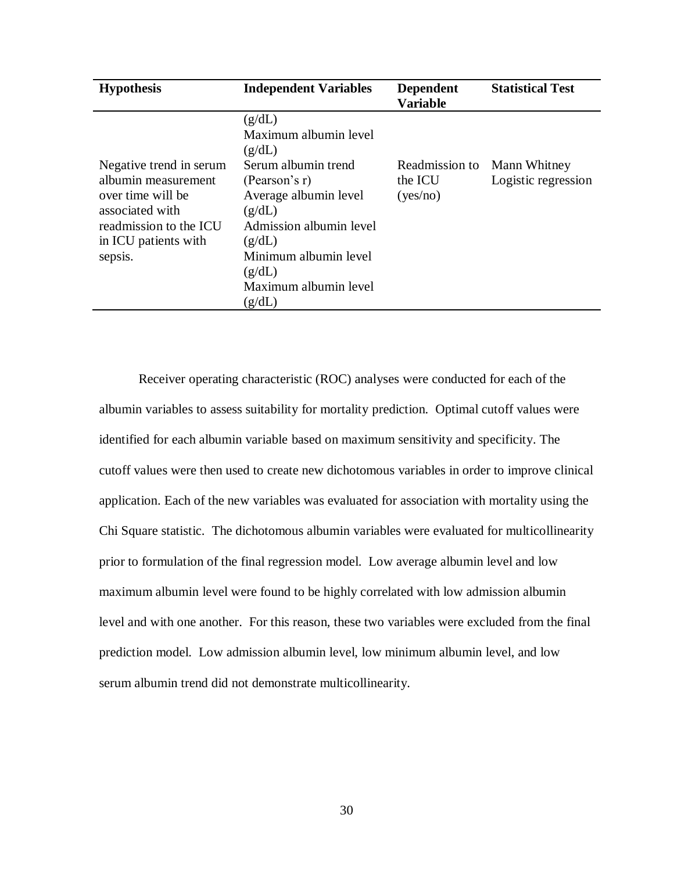| <b>Hypothesis</b>                                                                                                                                   | <b>Independent Variables</b>                                                                                                                                                                                                    | <b>Dependent</b><br><b>Variable</b>   | <b>Statistical Test</b>             |
|-----------------------------------------------------------------------------------------------------------------------------------------------------|---------------------------------------------------------------------------------------------------------------------------------------------------------------------------------------------------------------------------------|---------------------------------------|-------------------------------------|
| Negative trend in serum<br>albumin measurement<br>over time will be<br>associated with<br>readmission to the ICU<br>in ICU patients with<br>sepsis. | (g/dL)<br>Maximum albumin level<br>(g/dL)<br>Serum albumin trend<br>(Pearson's r)<br>Average albumin level<br>(g/dL)<br>Admission albumin level<br>(g/dL)<br>Minimum albumin level<br>(g/dL)<br>Maximum albumin level<br>(g/dL) | Readmission to<br>the ICU<br>(yes/no) | Mann Whitney<br>Logistic regression |

Receiver operating characteristic (ROC) analyses were conducted for each of the albumin variables to assess suitability for mortality prediction. Optimal cutoff values were identified for each albumin variable based on maximum sensitivity and specificity. The cutoff values were then used to create new dichotomous variables in order to improve clinical application. Each of the new variables was evaluated for association with mortality using the Chi Square statistic. The dichotomous albumin variables were evaluated for multicollinearity prior to formulation of the final regression model. Low average albumin level and low maximum albumin level were found to be highly correlated with low admission albumin level and with one another. For this reason, these two variables were excluded from the final prediction model. Low admission albumin level, low minimum albumin level, and low serum albumin trend did not demonstrate multicollinearity.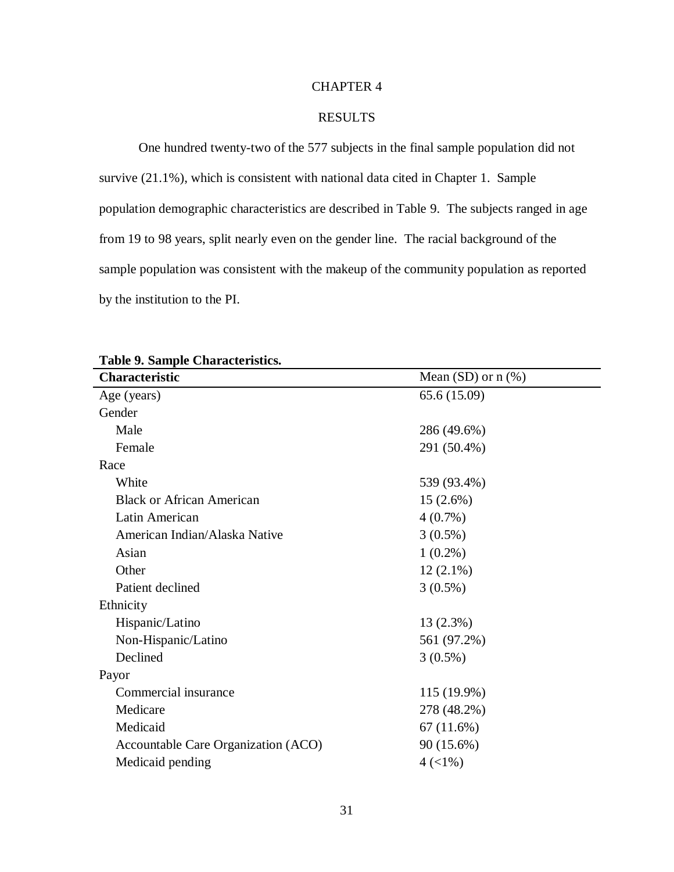# CHAPTER 4

# RESULTS

One hundred twenty-two of the 577 subjects in the final sample population did not survive (21.1%), which is consistent with national data cited in Chapter 1. Sample population demographic characteristics are described in Table 9. The subjects ranged in age from 19 to 98 years, split nearly even on the gender line. The racial background of the sample population was consistent with the makeup of the community population as reported by the institution to the PI.

| Table 7. Balliple Characteristics.  |                           |  |
|-------------------------------------|---------------------------|--|
| Characteristic                      | Mean $(SD)$ or $n$ $(\%)$ |  |
| Age (years)                         | 65.6 (15.09)              |  |
| Gender                              |                           |  |
| Male                                | 286 (49.6%)               |  |
| Female                              | 291 (50.4%)               |  |
| Race                                |                           |  |
| White                               | 539 (93.4%)               |  |
| <b>Black or African American</b>    | $15(2.6\%)$               |  |
| Latin American                      | $4(0.7\%)$                |  |
| American Indian/Alaska Native       | $3(0.5\%)$                |  |
| Asian                               | $1(0.2\%)$                |  |
| Other                               | $12(2.1\%)$               |  |
| Patient declined                    | $3(0.5\%)$                |  |
| Ethnicity                           |                           |  |
| Hispanic/Latino                     | 13(2.3%)                  |  |
| Non-Hispanic/Latino                 | 561 (97.2%)               |  |
| Declined                            | $3(0.5\%)$                |  |
| Payor                               |                           |  |
| Commercial insurance                | 115 (19.9%)               |  |
| Medicare                            | 278 (48.2%)               |  |
| Medicaid                            | 67(11.6%)                 |  |
| Accountable Care Organization (ACO) | 90 (15.6%)                |  |
| Medicaid pending                    | $4 (< 1\%)$               |  |

**Table 9. Sample Characteristics.**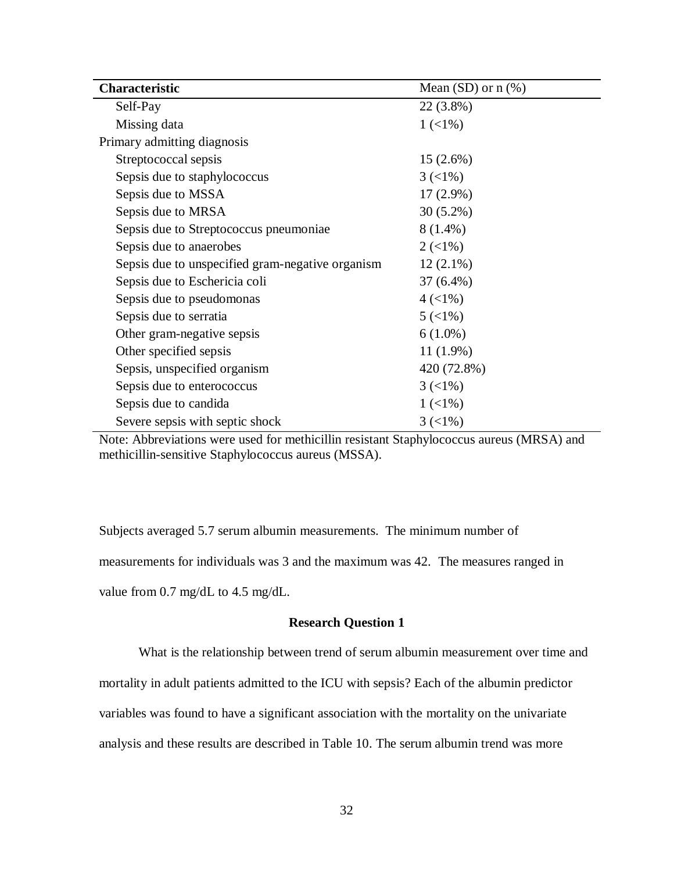| Characteristic                                   | Mean $(SD)$ or $n$ $%$ )       |
|--------------------------------------------------|--------------------------------|
| Self-Pay                                         | 22 (3.8%)                      |
| Missing data                                     | $1 (< 1\%)$                    |
| Primary admitting diagnosis                      |                                |
| Streptococcal sepsis                             | $15(2.6\%)$                    |
| Sepsis due to staphylococcus                     | $3 \left( \frac{1}{6} \right)$ |
| Sepsis due to MSSA                               | $17(2.9\%)$                    |
| Sepsis due to MRSA                               | $30(5.2\%)$                    |
| Sepsis due to Streptococcus pneumoniae           | $8(1.4\%)$                     |
| Sepsis due to anaerobes                          | $2(<1\%)$                      |
| Sepsis due to unspecified gram-negative organism | $12(2.1\%)$                    |
| Sepsis due to Eschericia coli                    | $37(6.4\%)$                    |
| Sepsis due to pseudomonas                        | $4 (< 1\%)$                    |
| Sepsis due to serratia                           | $5(1\%)$                       |
| Other gram-negative sepsis                       | $6(1.0\%)$                     |
| Other specified sepsis                           | $11(1.9\%)$                    |
| Sepsis, unspecified organism                     | 420 (72.8%)                    |
| Sepsis due to enterococcus                       | $3 \left( \frac{1}{6} \right)$ |
| Sepsis due to candida                            | $1(1\%)$                       |
| Severe sepsis with septic shock                  | $3 \left( \frac{1}{6} \right)$ |

Note: Abbreviations were used for methicillin resistant Staphylococcus aureus (MRSA) and methicillin-sensitive Staphylococcus aureus (MSSA).

Subjects averaged 5.7 serum albumin measurements. The minimum number of measurements for individuals was 3 and the maximum was 42. The measures ranged in value from 0.7 mg/dL to 4.5 mg/dL.

# **Research Question 1**

What is the relationship between trend of serum albumin measurement over time and

mortality in adult patients admitted to the ICU with sepsis? Each of the albumin predictor

variables was found to have a significant association with the mortality on the univariate

analysis and these results are described in Table 10. The serum albumin trend was more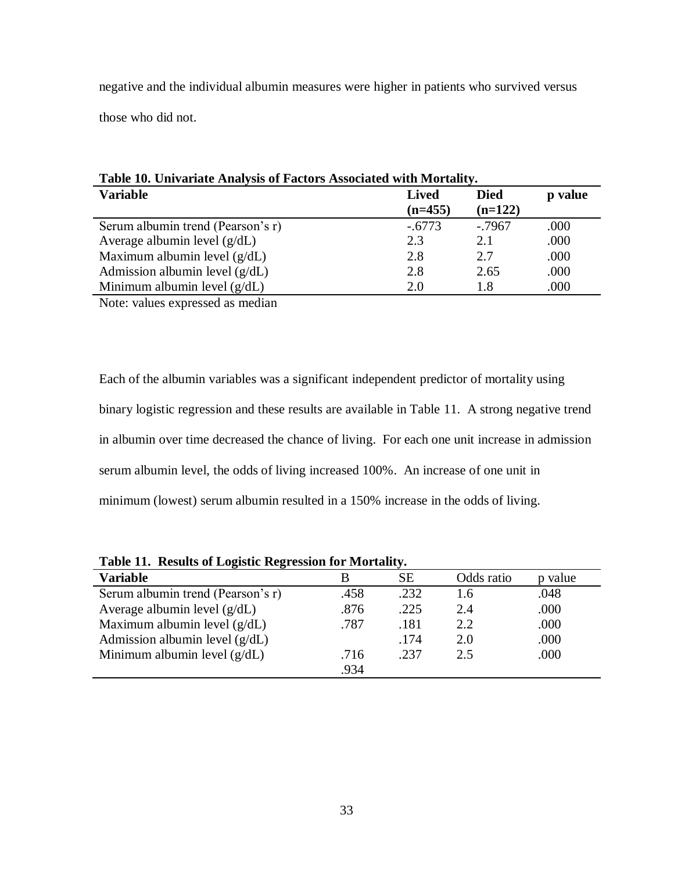negative and the individual albumin measures were higher in patients who survived versus

those who did not.

| Table 10. Univariate Analysis of Factors Associated with Mortality. |                          |           |      |  |  |  |
|---------------------------------------------------------------------|--------------------------|-----------|------|--|--|--|
| <b>Variable</b>                                                     | <b>Died</b><br>$(n=122)$ | p value   |      |  |  |  |
| Serum albumin trend (Pearson's r)                                   | $(n=455)$<br>$-.6773$    | $-0.7967$ | .000 |  |  |  |
| Average albumin level $(g/dL)$                                      | 2.3                      | 2.1       | .000 |  |  |  |
| Maximum albumin level $(g/dL)$                                      | 2.8                      | 2.7       | .000 |  |  |  |
| Admission albumin level $(g/dL)$                                    | 2.8                      | 2.65      | .000 |  |  |  |
| Minimum albumin level $(g/dL)$                                      | 2.0                      | 1.8       | .000 |  |  |  |

Note: values expressed as median

Each of the albumin variables was a significant independent predictor of mortality using binary logistic regression and these results are available in Table 11. A strong negative trend in albumin over time decreased the chance of living. For each one unit increase in admission serum albumin level, the odds of living increased 100%. An increase of one unit in minimum (lowest) serum albumin resulted in a 150% increase in the odds of living.

**Table 11. Results of Logistic Regression for Mortality.**

| Tuble 11. Rebuild of Euglidge Regional for Hadriancy. |      |      |            |         |
|-------------------------------------------------------|------|------|------------|---------|
| <b>Variable</b>                                       |      | SE.  | Odds ratio | p value |
| Serum albumin trend (Pearson's r)                     | .458 | .232 | 1.6        | .048    |
| Average albumin level $(g/dL)$                        | .876 | .225 | 2.4        | .000    |
| Maximum albumin level $(g/dL)$                        | .787 | .181 | 2.2        | .000    |
| Admission albumin level $(g/dL)$                      |      | .174 | 2.0        | .000    |
| Minimum albumin level $(g/dL)$                        | .716 | .237 | 2.5        | .000    |
|                                                       | .934 |      |            |         |
|                                                       |      |      |            |         |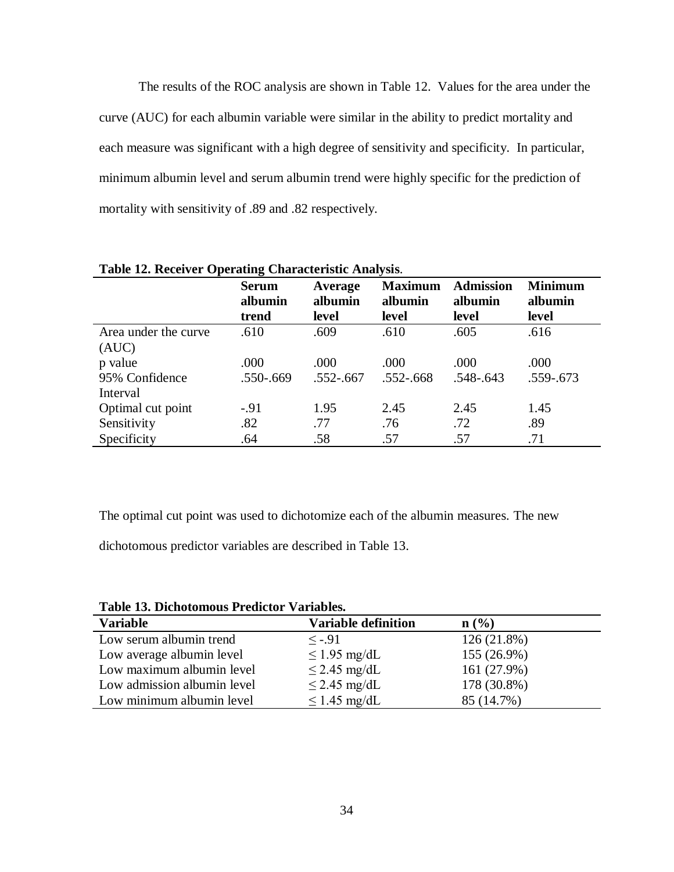The results of the ROC analysis are shown in Table 12. Values for the area under the curve (AUC) for each albumin variable were similar in the ability to predict mortality and each measure was significant with a high degree of sensitivity and specificity. In particular, minimum albumin level and serum albumin trend were highly specific for the prediction of mortality with sensitivity of .89 and .82 respectively.

|                               | 0<br><b>Serum</b><br>albumin | Average<br>albumin | <b>Maximum</b><br>albumin | <b>Admission</b><br>albumin | <b>Minimum</b><br>albumin |
|-------------------------------|------------------------------|--------------------|---------------------------|-----------------------------|---------------------------|
|                               | trend                        | level              | level                     | level                       | level                     |
| Area under the curve<br>(AUC) | .610                         | .609               | .610                      | .605                        | .616                      |
| p value                       | .000                         | .000               | .000                      | .000                        | .000                      |
| 95% Confidence<br>Interval    | .550-.669                    | $.552 - .667$      | $.552 - .668$             | $.548 - .643$               | .559-.673                 |
| Optimal cut point             | $-.91$                       | 1.95               | 2.45                      | 2.45                        | 1.45                      |
| Sensitivity                   | .82                          | .77                | .76                       | .72                         | .89                       |
| Specificity                   | .64                          | .58                | .57                       | .57                         | .71                       |

**Table 12. Receiver Operating Characteristic Analysis**.

The optimal cut point was used to dichotomize each of the albumin measures. The new

dichotomous predictor variables are described in Table 13.

**Table 13. Dichotomous Predictor Variables.**

| $\sim$ 0.000 $\sim$ 0.000 $\sim$ 0.000 $\sim$ 0.000 $\sim$ 0.000 $\sim$ 0.000 $\sim$ 0.000 $\sim$ |                            |             |
|---------------------------------------------------------------------------------------------------|----------------------------|-------------|
| <b>Variable</b>                                                                                   | <b>Variable definition</b> | n(%)        |
| Low serum albumin trend                                                                           | $\leq -0.91$               | 126 (21.8%) |
| Low average albumin level                                                                         | $\leq$ 1.95 mg/dL          | 155 (26.9%) |
| Low maximum albumin level                                                                         | $\leq$ 2.45 mg/dL          | 161 (27.9%) |
| Low admission albumin level                                                                       | $\leq$ 2.45 mg/dL          | 178 (30.8%) |
| Low minimum albumin level                                                                         | $\leq$ 1.45 mg/dL          | 85 (14.7%)  |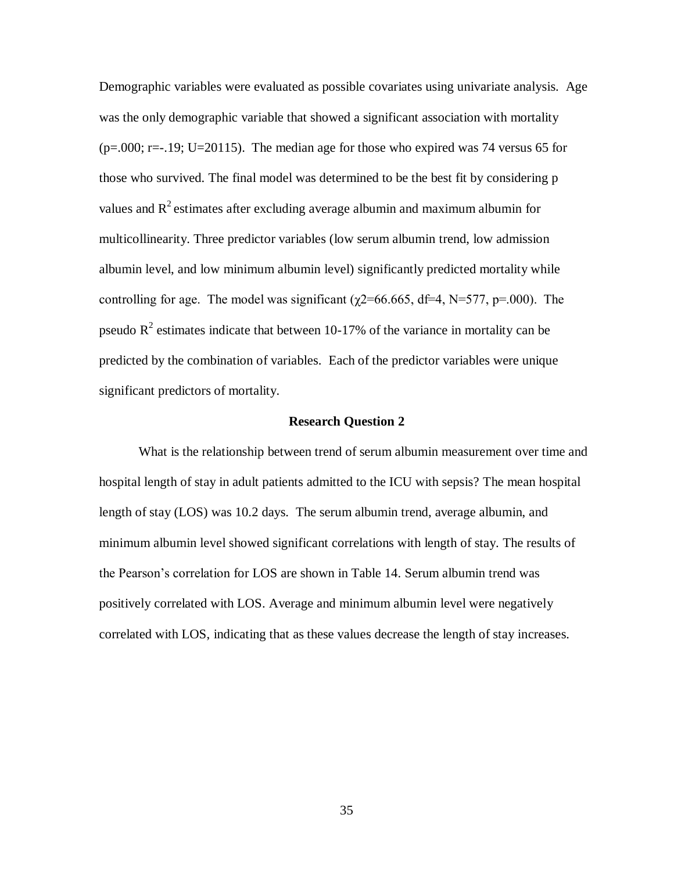Demographic variables were evaluated as possible covariates using univariate analysis. Age was the only demographic variable that showed a significant association with mortality  $(p=0.00; r=-1.19; U=20115)$ . The median age for those who expired was 74 versus 65 for those who survived. The final model was determined to be the best fit by considering p values and  $\mathbb{R}^2$  estimates after excluding average albumin and maximum albumin for multicollinearity. Three predictor variables (low serum albumin trend, low admission albumin level, and low minimum albumin level) significantly predicted mortality while controlling for age. The model was significant ( $\chi$ 2=66.665, df=4, N=577, p=.000). The pseudo  $R^2$  estimates indicate that between 10-17% of the variance in mortality can be predicted by the combination of variables. Each of the predictor variables were unique significant predictors of mortality.

### **Research Question 2**

What is the relationship between trend of serum albumin measurement over time and hospital length of stay in adult patients admitted to the ICU with sepsis? The mean hospital length of stay (LOS) was 10.2 days. The serum albumin trend, average albumin, and minimum albumin level showed significant correlations with length of stay. The results of the Pearson's correlation for LOS are shown in Table 14. Serum albumin trend was positively correlated with LOS. Average and minimum albumin level were negatively correlated with LOS, indicating that as these values decrease the length of stay increases.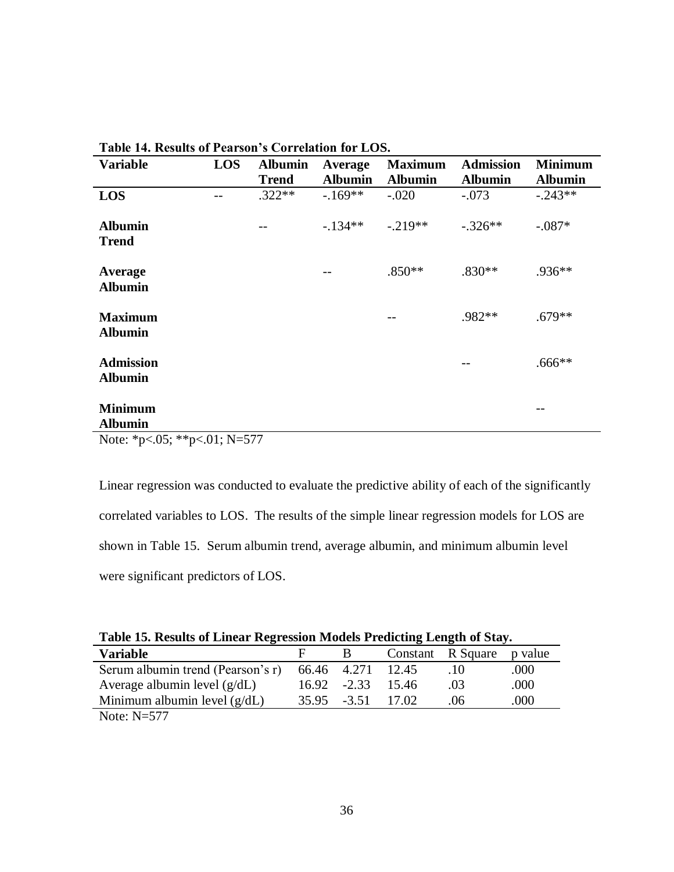| radio r il romano di romodi o correlation for EOD. |            |                |                |                |                  |                |
|----------------------------------------------------|------------|----------------|----------------|----------------|------------------|----------------|
| <b>Variable</b>                                    | <b>LOS</b> | <b>Albumin</b> | Average        | <b>Maximum</b> | <b>Admission</b> | <b>Minimum</b> |
|                                                    |            | <b>Trend</b>   | <b>Albumin</b> | <b>Albumin</b> | <b>Albumin</b>   | <b>Albumin</b> |
| LOS                                                |            | $.322**$       | $-169**$       | $-.020$        | $-.073$          | $-.243**$      |
| <b>Albumin</b><br><b>Trend</b>                     |            |                | $-134**$       | $-.219**$      | $-.326**$        | $-.087*$       |
| Average<br><b>Albumin</b>                          |            |                |                | $.850**$       | $.830**$         | .936**         |
| <b>Maximum</b><br><b>Albumin</b>                   |            |                |                |                | .982**           | $.679**$       |
| <b>Admission</b><br><b>Albumin</b>                 |            |                |                |                |                  | $.666**$       |
| <b>Minimum</b><br><b>Albumin</b>                   |            |                |                |                |                  |                |

**Table 14. Results of Pearson's Correlation for LOS.**

Note: \*p<.05; \*\*p<.01; N=577

Linear regression was conducted to evaluate the predictive ability of each of the significantly correlated variables to LOS. The results of the simple linear regression models for LOS are shown in Table 15. Serum albumin trend, average albumin, and minimum albumin level were significant predictors of LOS.

|  | Table 15. Results of Linear Regression Models Predicting Length of Stay. |  |  |
|--|--------------------------------------------------------------------------|--|--|
|  |                                                                          |  |  |

| <b>Variable</b>                                     | H |                   |         | Constant R Square p value |      |
|-----------------------------------------------------|---|-------------------|---------|---------------------------|------|
| Serum albumin trend (Pearson's r) 66.46 4.271 12.45 |   |                   |         | .10                       | .000 |
| Average albumin level $(g/dL)$                      |   | 16.92 -2.33       | - 15.46 | -03                       | .000 |
| Minimum albumin level $(g/dL)$                      |   | 35.95 -3.51 17.02 |         | .06                       | .000 |
| $\mathbf{M}$ $\mathbf{M}$ $\mathbf{F}$              |   |                   |         |                           |      |

Note: N=577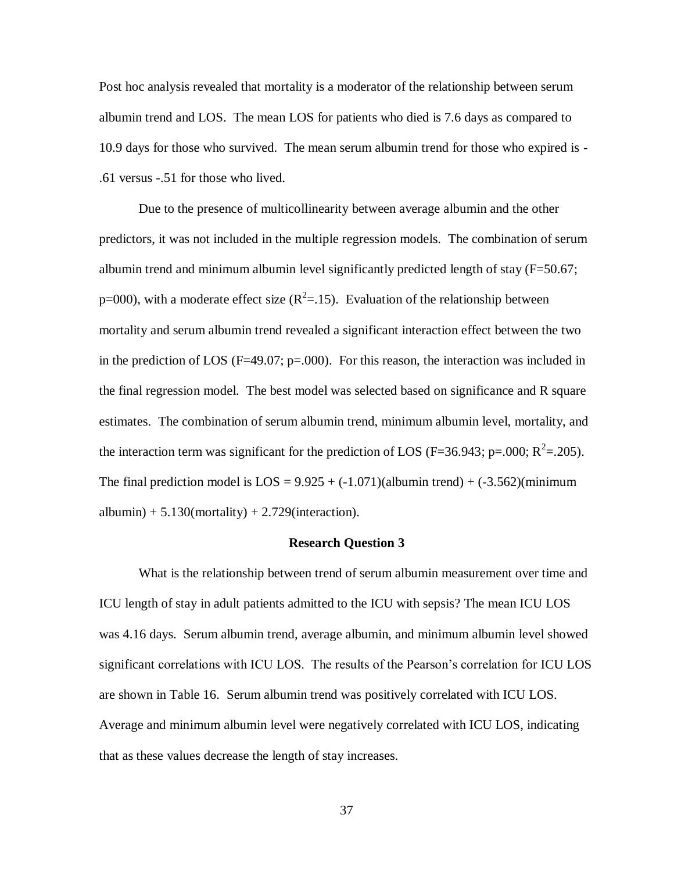Post hoc analysis revealed that mortality is a moderator of the relationship between serum albumin trend and LOS. The mean LOS for patients who died is 7.6 days as compared to 10.9 days for those who survived. The mean serum albumin trend for those who expired is - .61 versus -.51 for those who lived.

Due to the presence of multicollinearity between average albumin and the other predictors, it was not included in the multiple regression models. The combination of serum albumin trend and minimum albumin level significantly predicted length of stay (F=50.67; p=000), with a moderate effect size  $(R^2=1.15)$ . Evaluation of the relationship between mortality and serum albumin trend revealed a significant interaction effect between the two in the prediction of LOS ( $F=49.07$ ;  $p=.000$ ). For this reason, the interaction was included in the final regression model. The best model was selected based on significance and R square estimates. The combination of serum albumin trend, minimum albumin level, mortality, and the interaction term was significant for the prediction of LOS (F=36.943; p=.000;  $R^2$ =.205). The final prediction model is  $LOS = 9.925 + (-1.071)(albumin trend) + (-3.562)(minimum)$ albumin)  $+ 5.130$ (mortality)  $+ 2.729$ (interaction).

#### **Research Question 3**

What is the relationship between trend of serum albumin measurement over time and ICU length of stay in adult patients admitted to the ICU with sepsis? The mean ICU LOS was 4.16 days. Serum albumin trend, average albumin, and minimum albumin level showed significant correlations with ICU LOS. The results of the Pearson's correlation for ICU LOS are shown in Table 16. Serum albumin trend was positively correlated with ICU LOS. Average and minimum albumin level were negatively correlated with ICU LOS, indicating that as these values decrease the length of stay increases.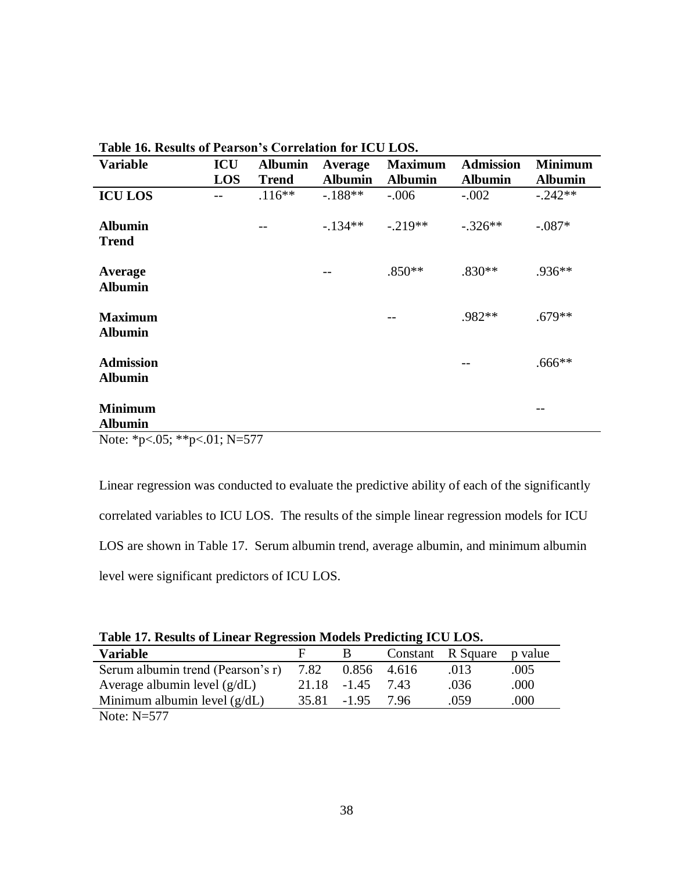| <b>Variable</b>                    | ICU | <b>Albumin</b> | Average        | <b>Maximum</b> | <b>Admission</b> | <b>Minimum</b> |
|------------------------------------|-----|----------------|----------------|----------------|------------------|----------------|
|                                    | LOS | <b>Trend</b>   | <b>Albumin</b> | <b>Albumin</b> | <b>Albumin</b>   | <b>Albumin</b> |
| <b>ICU LOS</b>                     | --  | $.116**$       | $-.188**$      | $-.006$        | $-.002$          | $-.242**$      |
| <b>Albumin</b><br><b>Trend</b>     |     |                | $-134**$       | $-.219**$      | $-.326**$        | $-.087*$       |
| Average<br><b>Albumin</b>          |     |                | --             | $.850**$       | $.830**$         | $.936**$       |
| <b>Maximum</b><br><b>Albumin</b>   |     |                |                |                | .982**           | $.679**$       |
| <b>Admission</b><br><b>Albumin</b> |     |                |                |                |                  | $.666**$       |
| <b>Minimum</b><br><b>Albumin</b>   |     |                |                |                |                  |                |

**Table 16. Results of Pearson's Correlation for ICU LOS.**

Note: \*p<.05; \*\*p<.01; N=577

Linear regression was conducted to evaluate the predictive ability of each of the significantly correlated variables to ICU LOS. The results of the simple linear regression models for ICU LOS are shown in Table 17. Serum albumin trend, average albumin, and minimum albumin level were significant predictors of ICU LOS.

|  | Table 17. Results of Linear Regression Models Predicting ICU LOS. |  |  |
|--|-------------------------------------------------------------------|--|--|
|  |                                                                   |  |  |

| <b>Variable</b>                   |      |             |        | Constant R Square p value |      |  |
|-----------------------------------|------|-------------|--------|---------------------------|------|--|
| Serum albumin trend (Pearson's r) | 7.82 | 0.856 4.616 |        | .013                      | .005 |  |
| Average albumin level $(g/dL)$    |      | 21.18 -1.45 | 7.43   | .036                      | .000 |  |
| Minimum albumin level $(g/dL)$    |      | 35.81 -1.95 | - 7.96 | .059                      | .000 |  |
| $N_{\text{max}} N$ $577$          |      |             |        |                           |      |  |

Note: N=577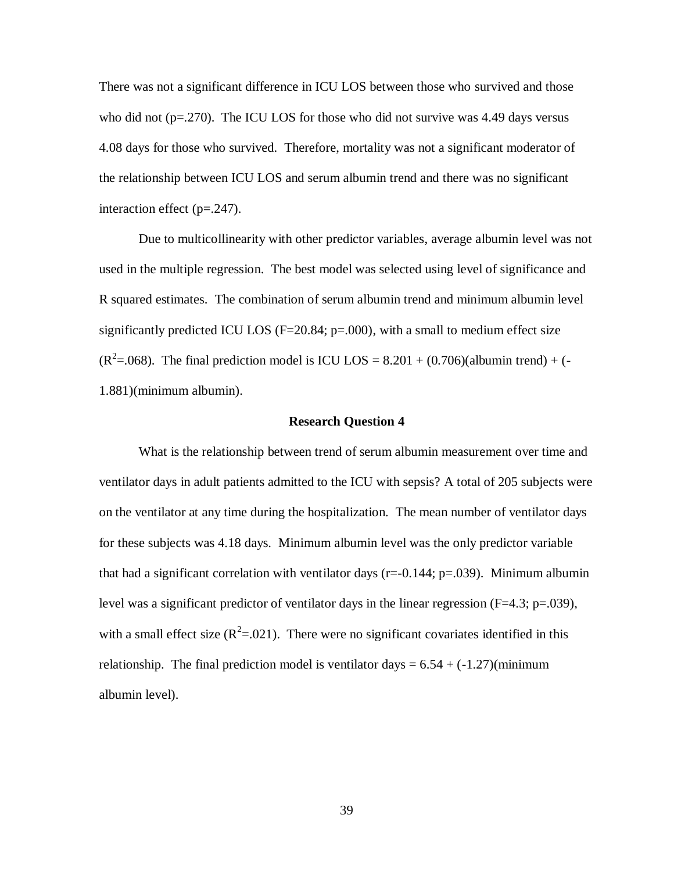There was not a significant difference in ICU LOS between those who survived and those who did not  $(p=.270)$ . The ICU LOS for those who did not survive was 4.49 days versus 4.08 days for those who survived. Therefore, mortality was not a significant moderator of the relationship between ICU LOS and serum albumin trend and there was no significant interaction effect (p=.247).

Due to multicollinearity with other predictor variables, average albumin level was not used in the multiple regression. The best model was selected using level of significance and R squared estimates. The combination of serum albumin trend and minimum albumin level significantly predicted ICU LOS ( $F=20.84$ ;  $p=.000$ ), with a small to medium effect size  $(R^2 = .068)$ . The final prediction model is ICU LOS = 8.201 + (0.706)(albumin trend) + (-1.881)(minimum albumin).

#### **Research Question 4**

What is the relationship between trend of serum albumin measurement over time and ventilator days in adult patients admitted to the ICU with sepsis? A total of 205 subjects were on the ventilator at any time during the hospitalization. The mean number of ventilator days for these subjects was 4.18 days. Minimum albumin level was the only predictor variable that had a significant correlation with ventilator days ( $r = -0.144$ ;  $p = .039$ ). Minimum albumin level was a significant predictor of ventilator days in the linear regression (F=4.3; p=.039), with a small effect size  $(R^2 = 0.021)$ . There were no significant covariates identified in this relationship. The final prediction model is ventilator days  $= 6.54 + (-1.27)$ (minimum albumin level).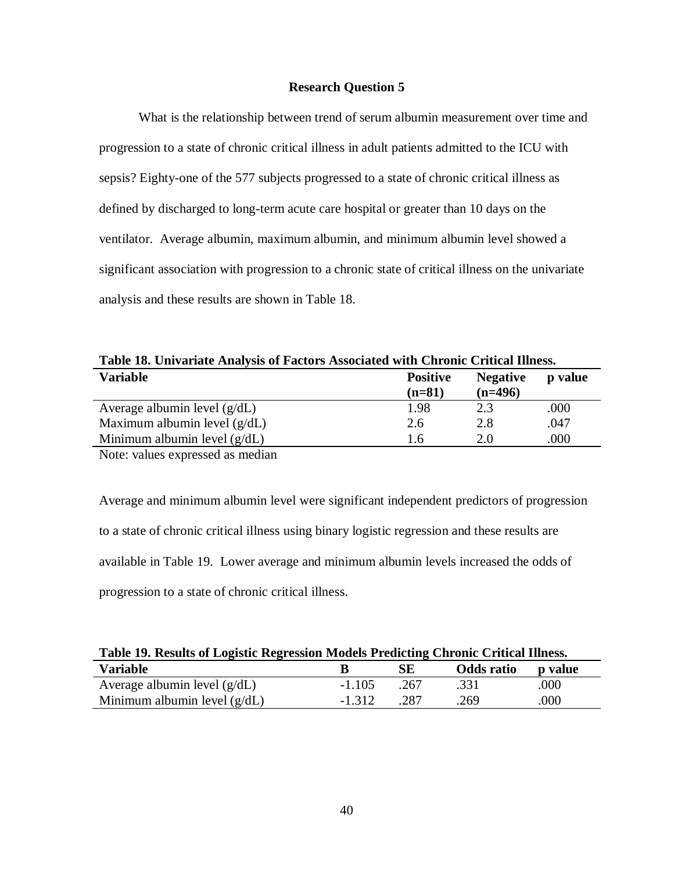# **Research Question 5**

What is the relationship between trend of serum albumin measurement over time and progression to a state of chronic critical illness in adult patients admitted to the ICU with sepsis? Eighty-one of the 577 subjects progressed to a state of chronic critical illness as defined by discharged to long-term acute care hospital or greater than 10 days on the ventilator. Average albumin, maximum albumin, and minimum albumin level showed a significant association with progression to a chronic state of critical illness on the univariate analysis and these results are shown in Table 18.

| Table 18. Univariate Analysis of Factors Associated with Chronic Critical Illness. |                             |                              |         |  |  |
|------------------------------------------------------------------------------------|-----------------------------|------------------------------|---------|--|--|
| <b>Variable</b>                                                                    | <b>Positive</b><br>$(n=81)$ | <b>Negative</b><br>$(n=496)$ | p value |  |  |
| Average albumin level $(g/dL)$                                                     | 1.98                        | 2.3                          | .000    |  |  |
| Maximum albumin level $(g/dL)$                                                     | 2.6                         | 2.8                          | .047    |  |  |
| Minimum albumin level $(g/dL)$                                                     | 1.6                         | 2.0                          | .000    |  |  |

**Table 18. Univariate Analysis of Factors Associated with Chronic Critical Illness.**

Note: values expressed as median

Average and minimum albumin level were significant independent predictors of progression to a state of chronic critical illness using binary logistic regression and these results are available in Table 19. Lower average and minimum albumin levels increased the odds of progression to a state of chronic critical illness.

| Table 19. Results of Logistic Regression Models Predicting Chronic Critical Illness. |          |      |            |         |  |  |
|--------------------------------------------------------------------------------------|----------|------|------------|---------|--|--|
| <b>Variable</b>                                                                      |          |      | Odds ratio | p value |  |  |
| Average albumin level $(g/dL)$                                                       | $-1.105$ | -267 | .331       | .000    |  |  |
| Minimum albumin level $(g/dL)$                                                       | $-1.312$ | 287  | 269        | .000    |  |  |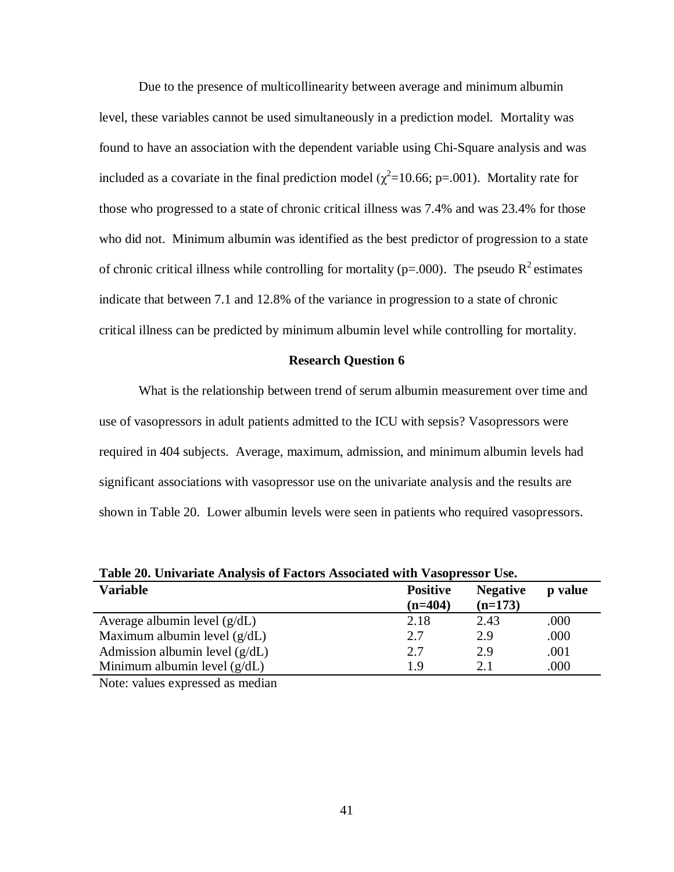Due to the presence of multicollinearity between average and minimum albumin level, these variables cannot be used simultaneously in a prediction model. Mortality was found to have an association with the dependent variable using Chi-Square analysis and was included as a covariate in the final prediction model ( $\chi^2$ =10.66; p=.001). Mortality rate for those who progressed to a state of chronic critical illness was 7.4% and was 23.4% for those who did not. Minimum albumin was identified as the best predictor of progression to a state of chronic critical illness while controlling for mortality ( $p=.000$ ). The pseudo  $R^2$  estimates indicate that between 7.1 and 12.8% of the variance in progression to a state of chronic critical illness can be predicted by minimum albumin level while controlling for mortality.

### **Research Question 6**

What is the relationship between trend of serum albumin measurement over time and use of vasopressors in adult patients admitted to the ICU with sepsis? Vasopressors were required in 404 subjects. Average, maximum, admission, and minimum albumin levels had significant associations with vasopressor use on the univariate analysis and the results are shown in Table 20. Lower albumin levels were seen in patients who required vasopressors.

| Table 20. Univariate Analysis of Pacture Associated with vasopressur Ose. |                              |                              |         |  |
|---------------------------------------------------------------------------|------------------------------|------------------------------|---------|--|
| <b>Variable</b>                                                           | <b>Positive</b><br>$(n=404)$ | <b>Negative</b><br>$(n=173)$ | p value |  |
| Average albumin level $(g/dL)$                                            | 2.18                         | 2.43                         | .000    |  |
| Maximum albumin level $(g/dL)$                                            | 2.7                          | 2.9                          | .000    |  |
| Admission albumin level $(g/dL)$                                          | 2.7                          | 2.9                          | .001    |  |
| Minimum albumin level $(g/dL)$                                            | 19                           | 2.1                          | .000    |  |
|                                                                           |                              |                              |         |  |

**Table 20. Univariate Analysis of Factors Associated with Vasopressor Use.**

Note: values expressed as median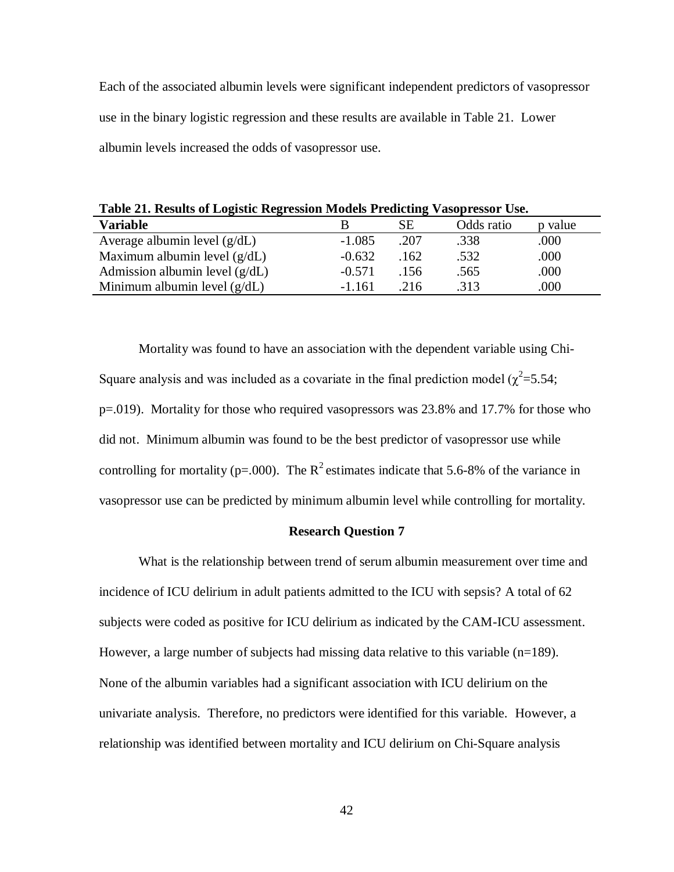Each of the associated albumin levels were significant independent predictors of vasopressor use in the binary logistic regression and these results are available in Table 21. Lower albumin levels increased the odds of vasopressor use.

**Table 21. Results of Logistic Regression Models Predicting Vasopressor Use.**

| <b>Variable</b>                  |          | SЕ   | Odds ratio | p value |
|----------------------------------|----------|------|------------|---------|
| Average albumin level $(g/dL)$   | $-1.085$ | .207 | .338       | .000    |
| Maximum albumin level $(g/dL)$   | $-0.632$ | .162 | .532       | .000    |
| Admission albumin level $(g/dL)$ | $-0.571$ | .156 | .565       | .000    |
| Minimum albumin level $(g/dL)$   | $-1.161$ | .216 | .313       | 000     |

Mortality was found to have an association with the dependent variable using Chi-Square analysis and was included as a covariate in the final prediction model ( $\chi^2$ =5.54; p=.019). Mortality for those who required vasopressors was 23.8% and 17.7% for those who did not. Minimum albumin was found to be the best predictor of vasopressor use while controlling for mortality (p=.000). The  $R^2$  estimates indicate that 5.6-8% of the variance in vasopressor use can be predicted by minimum albumin level while controlling for mortality.

### **Research Question 7**

What is the relationship between trend of serum albumin measurement over time and incidence of ICU delirium in adult patients admitted to the ICU with sepsis? A total of 62 subjects were coded as positive for ICU delirium as indicated by the CAM-ICU assessment. However, a large number of subjects had missing data relative to this variable  $(n=189)$ . None of the albumin variables had a significant association with ICU delirium on the univariate analysis. Therefore, no predictors were identified for this variable. However, a relationship was identified between mortality and ICU delirium on Chi-Square analysis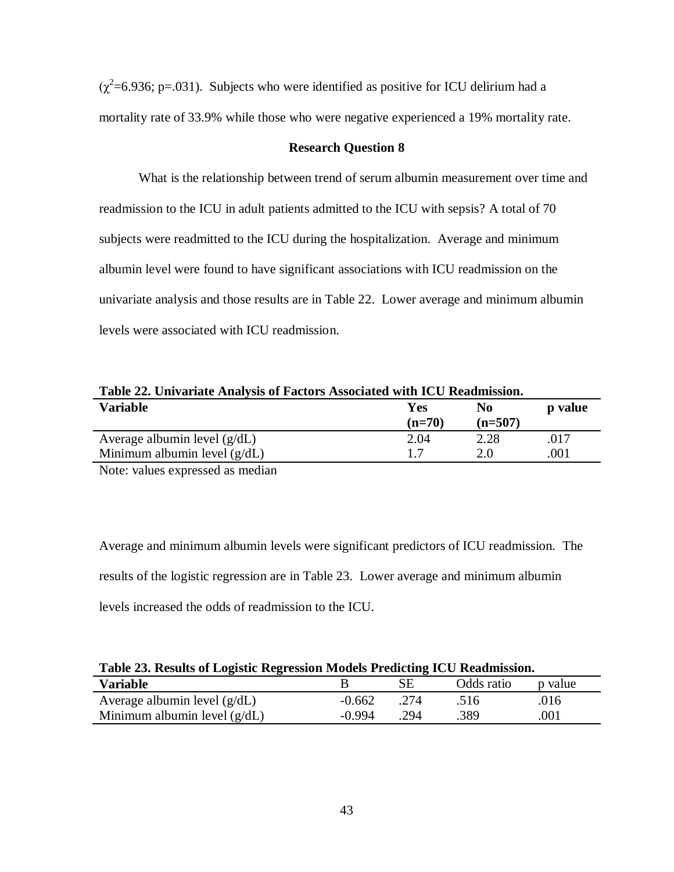$(\chi^2$ =6.936; p=.031). Subjects who were identified as positive for ICU delirium had a mortality rate of 33.9% while those who were negative experienced a 19% mortality rate.

### **Research Question 8**

What is the relationship between trend of serum albumin measurement over time and readmission to the ICU in adult patients admitted to the ICU with sepsis? A total of 70 subjects were readmitted to the ICU during the hospitalization. Average and minimum albumin level were found to have significant associations with ICU readmission on the univariate analysis and those results are in Table 22. Lower average and minimum albumin levels were associated with ICU readmission.

| Table 22. Univariate Analysis of Factors Associated with ICU Readmission. |                 |                  |         |  |  |
|---------------------------------------------------------------------------|-----------------|------------------|---------|--|--|
| Variable                                                                  | Yes<br>$(n=70)$ | No.<br>$(n=507)$ | p value |  |  |
| Average albumin level $(g/dL)$                                            | 2.04            | 2.28             | -017    |  |  |

1.7

2.0

.001

Minimum albumin level (g/dL) Note: values expressed as median

Average and minimum albumin levels were significant predictors of ICU readmission. The results of the logistic regression are in Table 23. Lower average and minimum albumin levels increased the odds of readmission to the ICU.

| Table 23. Results of Logistic Regression Models Predicting ICU Readmission. |          |      |            |         |  |  |
|-----------------------------------------------------------------------------|----------|------|------------|---------|--|--|
| <b>Variable</b>                                                             |          | SЕ   | Odds ratio | p value |  |  |
| Average albumin level $(g/dL)$                                              | $-0.662$ | -274 | .516       | .016    |  |  |
| Minimum albumin level $(g/dL)$                                              | $-0.994$ | -294 | 389        | .001    |  |  |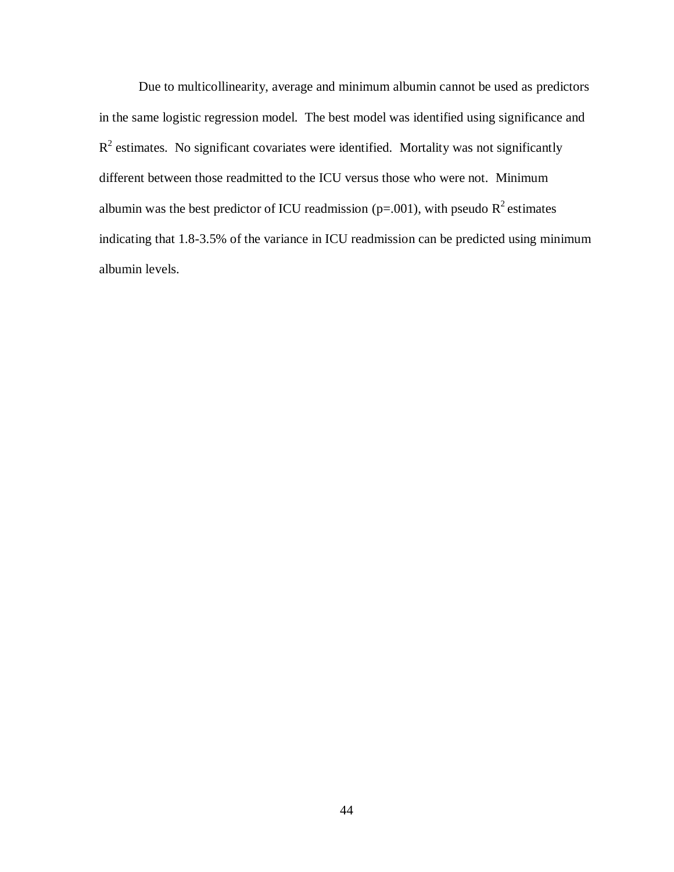Due to multicollinearity, average and minimum albumin cannot be used as predictors in the same logistic regression model. The best model was identified using significance and  $R<sup>2</sup>$  estimates. No significant covariates were identified. Mortality was not significantly different between those readmitted to the ICU versus those who were not. Minimum albumin was the best predictor of ICU readmission (p=.001), with pseudo  $R^2$  estimates indicating that 1.8-3.5% of the variance in ICU readmission can be predicted using minimum albumin levels.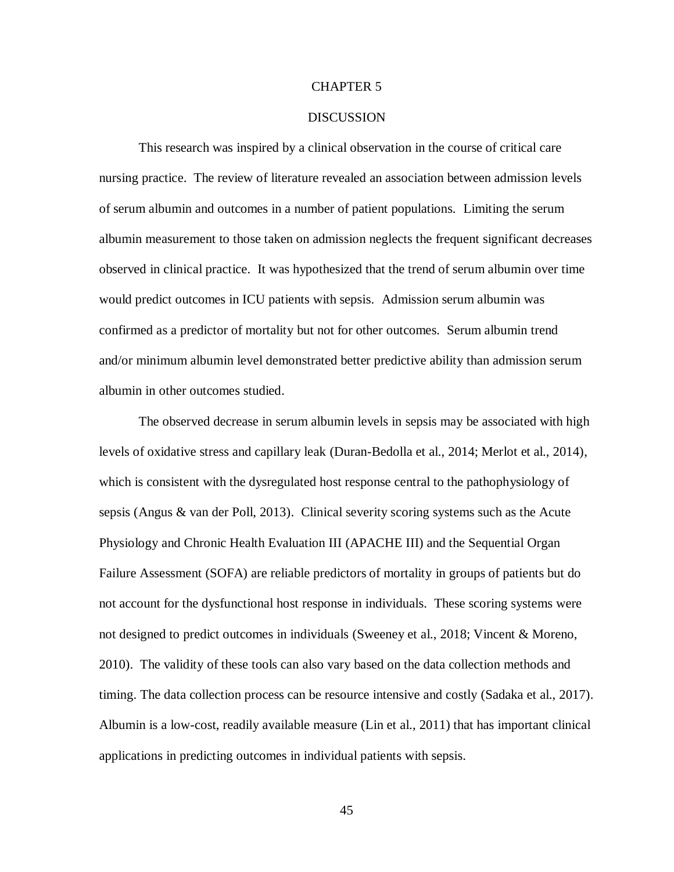### CHAPTER 5

### **DISCUSSION**

This research was inspired by a clinical observation in the course of critical care nursing practice. The review of literature revealed an association between admission levels of serum albumin and outcomes in a number of patient populations. Limiting the serum albumin measurement to those taken on admission neglects the frequent significant decreases observed in clinical practice. It was hypothesized that the trend of serum albumin over time would predict outcomes in ICU patients with sepsis. Admission serum albumin was confirmed as a predictor of mortality but not for other outcomes. Serum albumin trend and/or minimum albumin level demonstrated better predictive ability than admission serum albumin in other outcomes studied.

The observed decrease in serum albumin levels in sepsis may be associated with high levels of oxidative stress and capillary leak (Duran-Bedolla et al., 2014; Merlot et al., 2014), which is consistent with the dysregulated host response central to the pathophysiology of sepsis (Angus & van der Poll, 2013). Clinical severity scoring systems such as the Acute Physiology and Chronic Health Evaluation III (APACHE III) and the Sequential Organ Failure Assessment (SOFA) are reliable predictors of mortality in groups of patients but do not account for the dysfunctional host response in individuals. These scoring systems were not designed to predict outcomes in individuals (Sweeney et al., 2018; Vincent & Moreno, 2010). The validity of these tools can also vary based on the data collection methods and timing. The data collection process can be resource intensive and costly (Sadaka et al., 2017). Albumin is a low-cost, readily available measure (Lin et al., 2011) that has important clinical applications in predicting outcomes in individual patients with sepsis.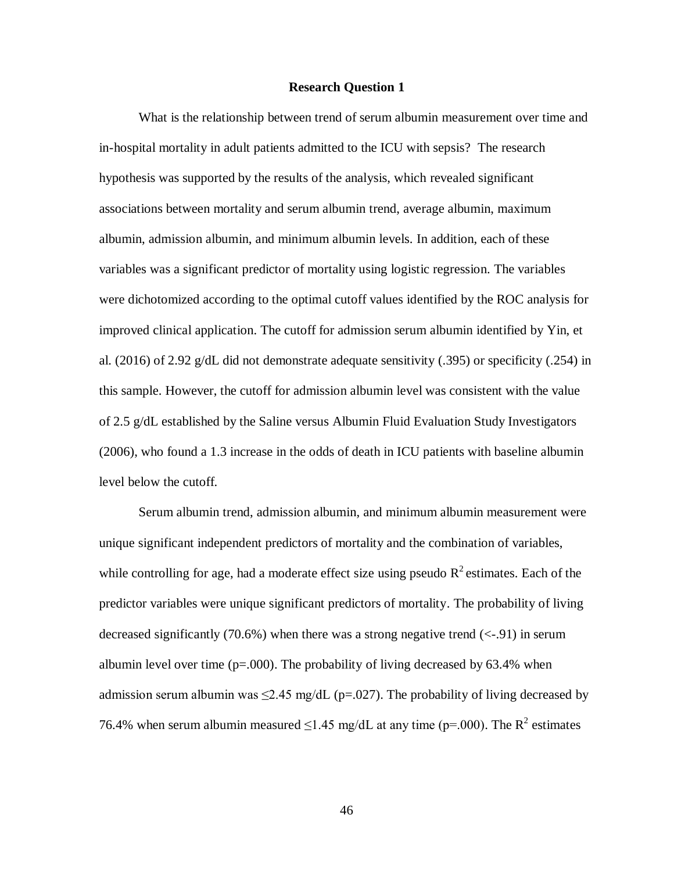### **Research Question 1**

What is the relationship between trend of serum albumin measurement over time and in-hospital mortality in adult patients admitted to the ICU with sepsis? The research hypothesis was supported by the results of the analysis, which revealed significant associations between mortality and serum albumin trend, average albumin, maximum albumin, admission albumin, and minimum albumin levels. In addition, each of these variables was a significant predictor of mortality using logistic regression. The variables were dichotomized according to the optimal cutoff values identified by the ROC analysis for improved clinical application. The cutoff for admission serum albumin identified by Yin, et al. (2016) of 2.92 g/dL did not demonstrate adequate sensitivity (.395) or specificity (.254) in this sample. However, the cutoff for admission albumin level was consistent with the value of 2.5 g/dL established by the Saline versus Albumin Fluid Evaluation Study Investigators (2006), who found a 1.3 increase in the odds of death in ICU patients with baseline albumin level below the cutoff.

Serum albumin trend, admission albumin, and minimum albumin measurement were unique significant independent predictors of mortality and the combination of variables, while controlling for age, had a moderate effect size using pseudo  $R^2$  estimates. Each of the predictor variables were unique significant predictors of mortality. The probability of living decreased significantly (70.6%) when there was a strong negative trend  $(\leq 0.91)$  in serum albumin level over time ( $p=0.000$ ). The probability of living decreased by 63.4% when admission serum albumin was  $\leq$ 2.45 mg/dL (p=.027). The probability of living decreased by 76.4% when serum albumin measured  $\leq$ 1.45 mg/dL at any time (p=.000). The R<sup>2</sup> estimates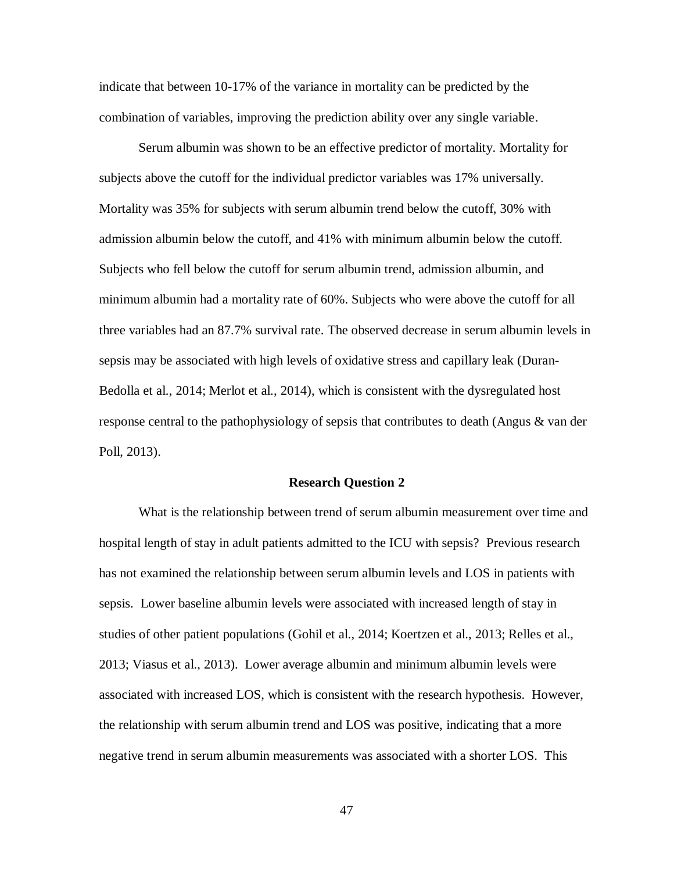indicate that between 10-17% of the variance in mortality can be predicted by the combination of variables, improving the prediction ability over any single variable.

Serum albumin was shown to be an effective predictor of mortality. Mortality for subjects above the cutoff for the individual predictor variables was 17% universally. Mortality was 35% for subjects with serum albumin trend below the cutoff, 30% with admission albumin below the cutoff, and 41% with minimum albumin below the cutoff. Subjects who fell below the cutoff for serum albumin trend, admission albumin, and minimum albumin had a mortality rate of 60%. Subjects who were above the cutoff for all three variables had an 87.7% survival rate. The observed decrease in serum albumin levels in sepsis may be associated with high levels of oxidative stress and capillary leak (Duran-Bedolla et al., 2014; Merlot et al., 2014), which is consistent with the dysregulated host response central to the pathophysiology of sepsis that contributes to death (Angus & van der Poll, 2013).

### **Research Question 2**

What is the relationship between trend of serum albumin measurement over time and hospital length of stay in adult patients admitted to the ICU with sepsis? Previous research has not examined the relationship between serum albumin levels and LOS in patients with sepsis. Lower baseline albumin levels were associated with increased length of stay in studies of other patient populations (Gohil et al., 2014; Koertzen et al., 2013; Relles et al., 2013; Viasus et al., 2013). Lower average albumin and minimum albumin levels were associated with increased LOS, which is consistent with the research hypothesis. However, the relationship with serum albumin trend and LOS was positive, indicating that a more negative trend in serum albumin measurements was associated with a shorter LOS. This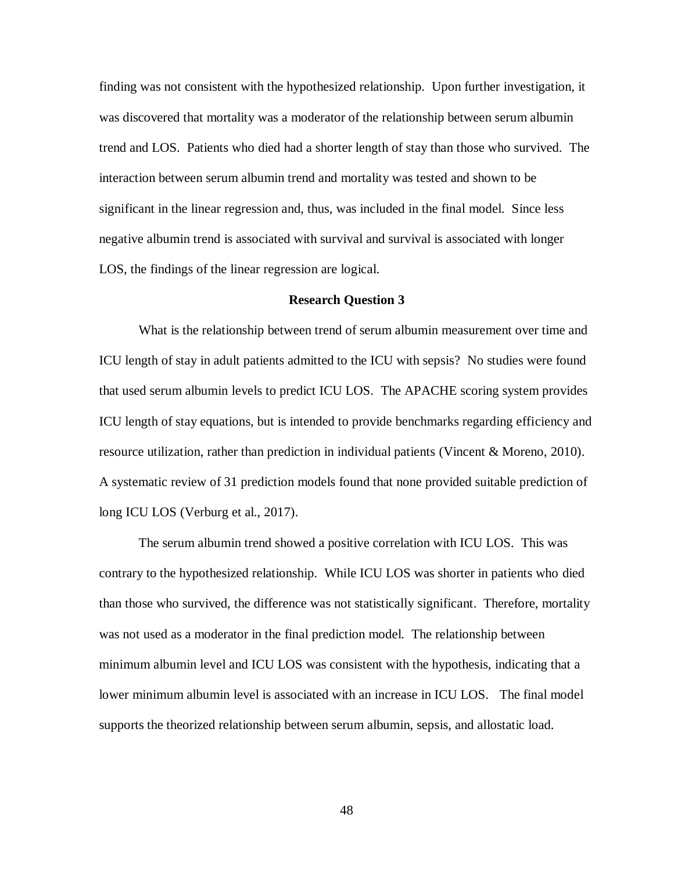finding was not consistent with the hypothesized relationship. Upon further investigation, it was discovered that mortality was a moderator of the relationship between serum albumin trend and LOS. Patients who died had a shorter length of stay than those who survived. The interaction between serum albumin trend and mortality was tested and shown to be significant in the linear regression and, thus, was included in the final model. Since less negative albumin trend is associated with survival and survival is associated with longer LOS, the findings of the linear regression are logical.

#### **Research Question 3**

What is the relationship between trend of serum albumin measurement over time and ICU length of stay in adult patients admitted to the ICU with sepsis? No studies were found that used serum albumin levels to predict ICU LOS. The APACHE scoring system provides ICU length of stay equations, but is intended to provide benchmarks regarding efficiency and resource utilization, rather than prediction in individual patients (Vincent & Moreno, 2010). A systematic review of 31 prediction models found that none provided suitable prediction of long ICU LOS (Verburg et al., 2017).

The serum albumin trend showed a positive correlation with ICU LOS. This was contrary to the hypothesized relationship. While ICU LOS was shorter in patients who died than those who survived, the difference was not statistically significant. Therefore, mortality was not used as a moderator in the final prediction model. The relationship between minimum albumin level and ICU LOS was consistent with the hypothesis, indicating that a lower minimum albumin level is associated with an increase in ICU LOS. The final model supports the theorized relationship between serum albumin, sepsis, and allostatic load.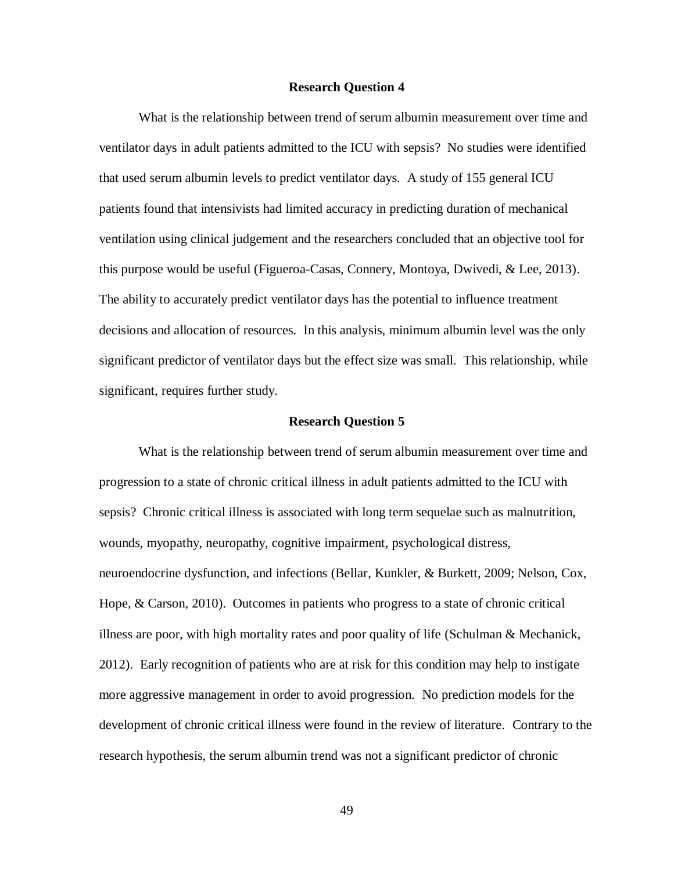### **Research Question 4**

What is the relationship between trend of serum albumin measurement over time and ventilator days in adult patients admitted to the ICU with sepsis? No studies were identified that used serum albumin levels to predict ventilator days. A study of 155 general ICU patients found that intensivists had limited accuracy in predicting duration of mechanical ventilation using clinical judgement and the researchers concluded that an objective tool for this purpose would be useful (Figueroa-Casas, Connery, Montoya, Dwivedi, & Lee, 2013). The ability to accurately predict ventilator days has the potential to influence treatment decisions and allocation of resources. In this analysis, minimum albumin level was the only significant predictor of ventilator days but the effect size was small. This relationship, while significant, requires further study.

### **Research Question 5**

What is the relationship between trend of serum albumin measurement over time and progression to a state of chronic critical illness in adult patients admitted to the ICU with sepsis? Chronic critical illness is associated with long term sequelae such as malnutrition, wounds, myopathy, neuropathy, cognitive impairment, psychological distress, neuroendocrine dysfunction, and infections (Bellar, Kunkler, & Burkett, 2009; Nelson, Cox, Hope, & Carson, 2010). Outcomes in patients who progress to a state of chronic critical illness are poor, with high mortality rates and poor quality of life (Schulman  $\&$  Mechanick, 2012). Early recognition of patients who are at risk for this condition may help to instigate more aggressive management in order to avoid progression. No prediction models for the development of chronic critical illness were found in the review of literature. Contrary to the research hypothesis, the serum albumin trend was not a significant predictor of chronic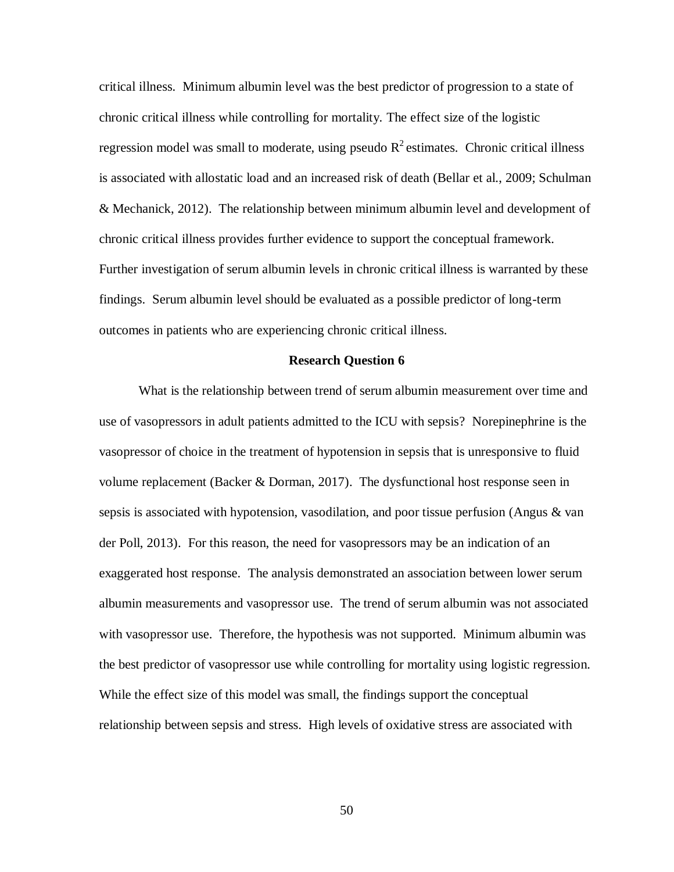critical illness. Minimum albumin level was the best predictor of progression to a state of chronic critical illness while controlling for mortality. The effect size of the logistic regression model was small to moderate, using pseudo  $R^2$  estimates. Chronic critical illness is associated with allostatic load and an increased risk of death (Bellar et al., 2009; Schulman & Mechanick, 2012). The relationship between minimum albumin level and development of chronic critical illness provides further evidence to support the conceptual framework. Further investigation of serum albumin levels in chronic critical illness is warranted by these findings. Serum albumin level should be evaluated as a possible predictor of long-term outcomes in patients who are experiencing chronic critical illness.

### **Research Question 6**

What is the relationship between trend of serum albumin measurement over time and use of vasopressors in adult patients admitted to the ICU with sepsis? Norepinephrine is the vasopressor of choice in the treatment of hypotension in sepsis that is unresponsive to fluid volume replacement (Backer & Dorman, 2017). The dysfunctional host response seen in sepsis is associated with hypotension, vasodilation, and poor tissue perfusion (Angus & van der Poll, 2013). For this reason, the need for vasopressors may be an indication of an exaggerated host response. The analysis demonstrated an association between lower serum albumin measurements and vasopressor use. The trend of serum albumin was not associated with vasopressor use. Therefore, the hypothesis was not supported. Minimum albumin was the best predictor of vasopressor use while controlling for mortality using logistic regression. While the effect size of this model was small, the findings support the conceptual relationship between sepsis and stress. High levels of oxidative stress are associated with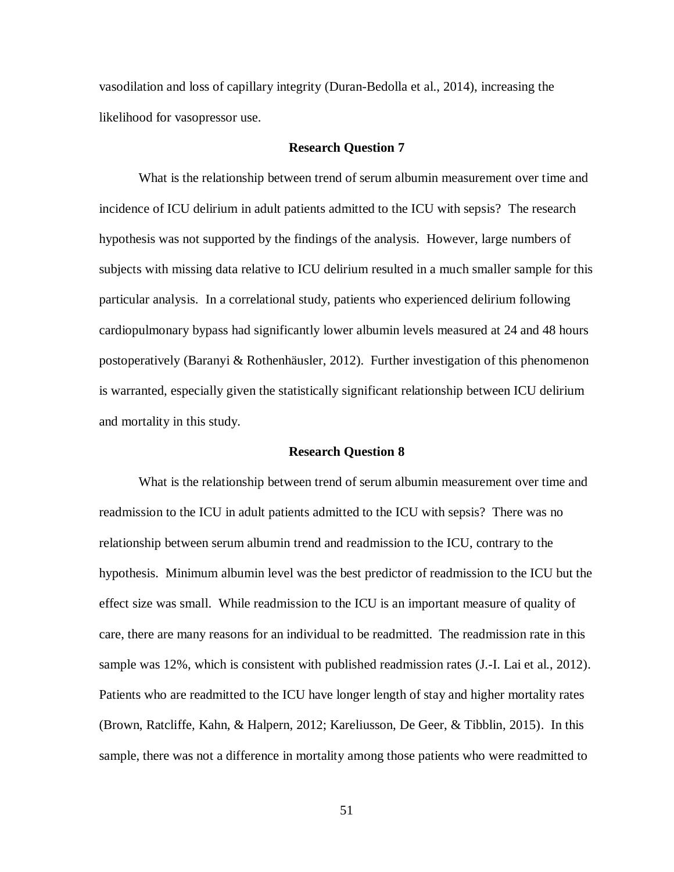vasodilation and loss of capillary integrity (Duran-Bedolla et al., 2014), increasing the likelihood for vasopressor use.

#### **Research Question 7**

What is the relationship between trend of serum albumin measurement over time and incidence of ICU delirium in adult patients admitted to the ICU with sepsis? The research hypothesis was not supported by the findings of the analysis. However, large numbers of subjects with missing data relative to ICU delirium resulted in a much smaller sample for this particular analysis. In a correlational study, patients who experienced delirium following cardiopulmonary bypass had significantly lower albumin levels measured at 24 and 48 hours postoperatively (Baranyi & Rothenhäusler, 2012). Further investigation of this phenomenon is warranted, especially given the statistically significant relationship between ICU delirium and mortality in this study.

#### **Research Question 8**

What is the relationship between trend of serum albumin measurement over time and readmission to the ICU in adult patients admitted to the ICU with sepsis? There was no relationship between serum albumin trend and readmission to the ICU, contrary to the hypothesis. Minimum albumin level was the best predictor of readmission to the ICU but the effect size was small. While readmission to the ICU is an important measure of quality of care, there are many reasons for an individual to be readmitted. The readmission rate in this sample was 12%, which is consistent with published readmission rates (J.-I. Lai et al., 2012). Patients who are readmitted to the ICU have longer length of stay and higher mortality rates (Brown, Ratcliffe, Kahn, & Halpern, 2012; Kareliusson, De Geer, & Tibblin, 2015). In this sample, there was not a difference in mortality among those patients who were readmitted to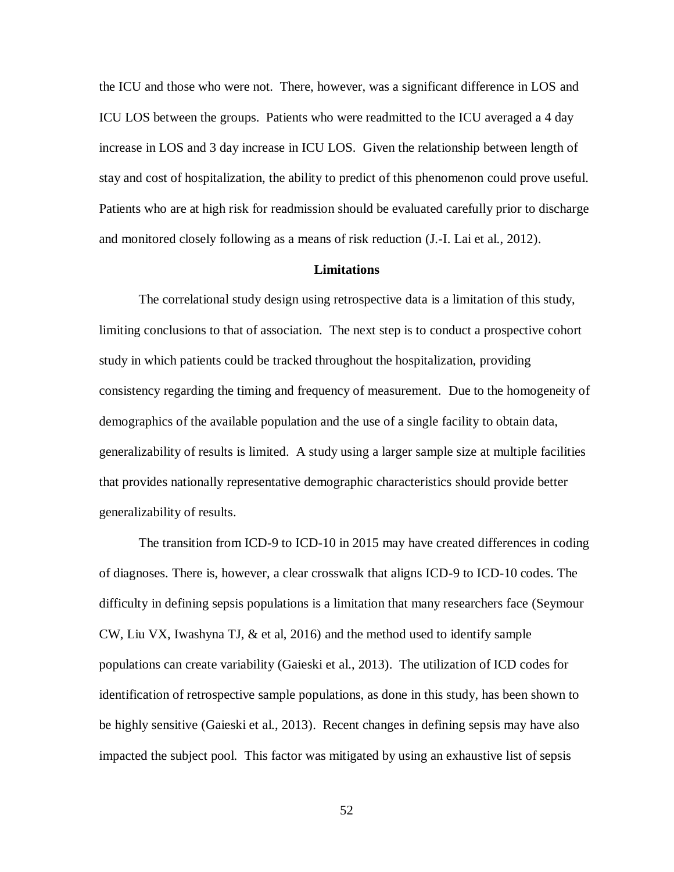the ICU and those who were not. There, however, was a significant difference in LOS and ICU LOS between the groups. Patients who were readmitted to the ICU averaged a 4 day increase in LOS and 3 day increase in ICU LOS. Given the relationship between length of stay and cost of hospitalization, the ability to predict of this phenomenon could prove useful. Patients who are at high risk for readmission should be evaluated carefully prior to discharge and monitored closely following as a means of risk reduction (J.-I. Lai et al., 2012).

### **Limitations**

The correlational study design using retrospective data is a limitation of this study, limiting conclusions to that of association. The next step is to conduct a prospective cohort study in which patients could be tracked throughout the hospitalization, providing consistency regarding the timing and frequency of measurement. Due to the homogeneity of demographics of the available population and the use of a single facility to obtain data, generalizability of results is limited. A study using a larger sample size at multiple facilities that provides nationally representative demographic characteristics should provide better generalizability of results.

The transition from ICD-9 to ICD-10 in 2015 may have created differences in coding of diagnoses. There is, however, a clear crosswalk that aligns ICD-9 to ICD-10 codes. The difficulty in defining sepsis populations is a limitation that many researchers face (Seymour CW, Liu VX, Iwashyna TJ, & et al, 2016) and the method used to identify sample populations can create variability (Gaieski et al., 2013). The utilization of ICD codes for identification of retrospective sample populations, as done in this study, has been shown to be highly sensitive (Gaieski et al., 2013). Recent changes in defining sepsis may have also impacted the subject pool. This factor was mitigated by using an exhaustive list of sepsis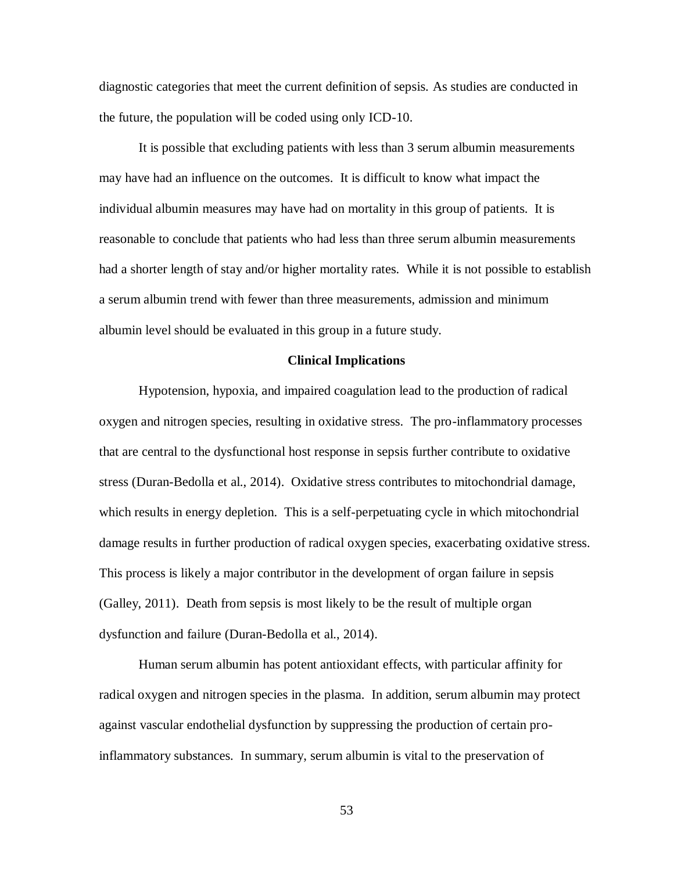diagnostic categories that meet the current definition of sepsis. As studies are conducted in the future, the population will be coded using only ICD-10.

It is possible that excluding patients with less than 3 serum albumin measurements may have had an influence on the outcomes. It is difficult to know what impact the individual albumin measures may have had on mortality in this group of patients. It is reasonable to conclude that patients who had less than three serum albumin measurements had a shorter length of stay and/or higher mortality rates. While it is not possible to establish a serum albumin trend with fewer than three measurements, admission and minimum albumin level should be evaluated in this group in a future study.

# **Clinical Implications**

Hypotension, hypoxia, and impaired coagulation lead to the production of radical oxygen and nitrogen species, resulting in oxidative stress. The pro-inflammatory processes that are central to the dysfunctional host response in sepsis further contribute to oxidative stress (Duran-Bedolla et al., 2014). Oxidative stress contributes to mitochondrial damage, which results in energy depletion. This is a self-perpetuating cycle in which mitochondrial damage results in further production of radical oxygen species, exacerbating oxidative stress. This process is likely a major contributor in the development of organ failure in sepsis (Galley, 2011). Death from sepsis is most likely to be the result of multiple organ dysfunction and failure (Duran-Bedolla et al., 2014).

Human serum albumin has potent antioxidant effects, with particular affinity for radical oxygen and nitrogen species in the plasma. In addition, serum albumin may protect against vascular endothelial dysfunction by suppressing the production of certain proinflammatory substances. In summary, serum albumin is vital to the preservation of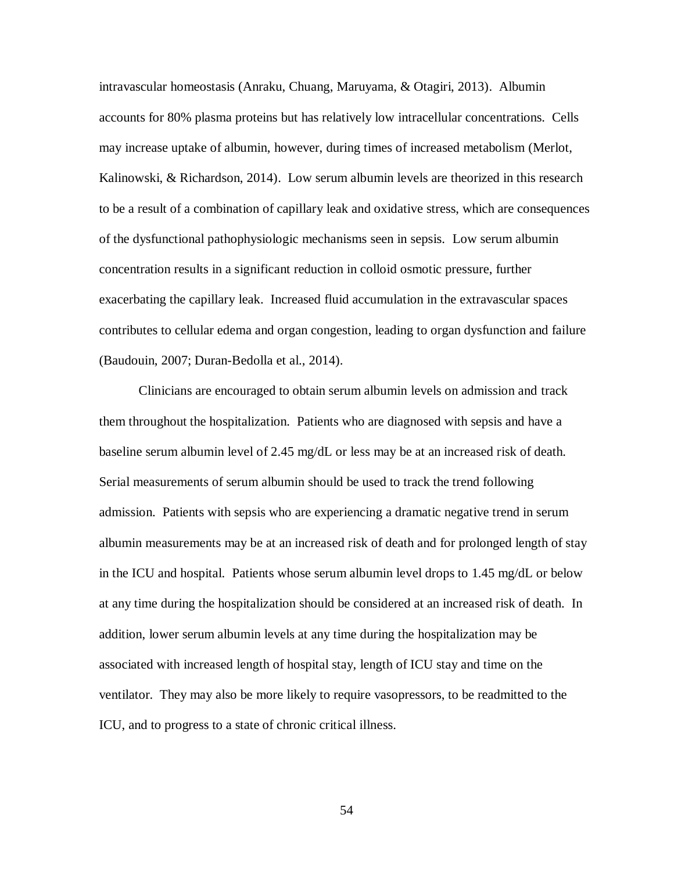intravascular homeostasis (Anraku, Chuang, Maruyama, & Otagiri, 2013). Albumin accounts for 80% plasma proteins but has relatively low intracellular concentrations. Cells may increase uptake of albumin, however, during times of increased metabolism (Merlot, Kalinowski, & Richardson, 2014). Low serum albumin levels are theorized in this research to be a result of a combination of capillary leak and oxidative stress, which are consequences of the dysfunctional pathophysiologic mechanisms seen in sepsis. Low serum albumin concentration results in a significant reduction in colloid osmotic pressure, further exacerbating the capillary leak. Increased fluid accumulation in the extravascular spaces contributes to cellular edema and organ congestion, leading to organ dysfunction and failure (Baudouin, 2007; Duran-Bedolla et al., 2014).

Clinicians are encouraged to obtain serum albumin levels on admission and track them throughout the hospitalization. Patients who are diagnosed with sepsis and have a baseline serum albumin level of 2.45 mg/dL or less may be at an increased risk of death. Serial measurements of serum albumin should be used to track the trend following admission. Patients with sepsis who are experiencing a dramatic negative trend in serum albumin measurements may be at an increased risk of death and for prolonged length of stay in the ICU and hospital. Patients whose serum albumin level drops to 1.45 mg/dL or below at any time during the hospitalization should be considered at an increased risk of death. In addition, lower serum albumin levels at any time during the hospitalization may be associated with increased length of hospital stay, length of ICU stay and time on the ventilator. They may also be more likely to require vasopressors, to be readmitted to the ICU, and to progress to a state of chronic critical illness.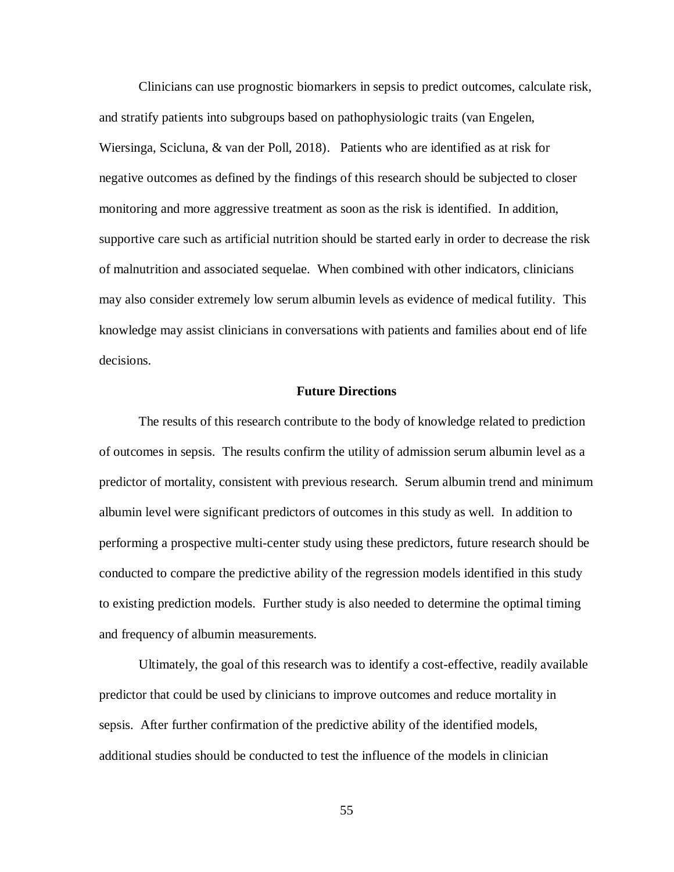Clinicians can use prognostic biomarkers in sepsis to predict outcomes, calculate risk, and stratify patients into subgroups based on pathophysiologic traits (van Engelen, Wiersinga, Scicluna, & van der Poll, 2018). Patients who are identified as at risk for negative outcomes as defined by the findings of this research should be subjected to closer monitoring and more aggressive treatment as soon as the risk is identified. In addition, supportive care such as artificial nutrition should be started early in order to decrease the risk of malnutrition and associated sequelae. When combined with other indicators, clinicians may also consider extremely low serum albumin levels as evidence of medical futility. This knowledge may assist clinicians in conversations with patients and families about end of life decisions.

### **Future Directions**

The results of this research contribute to the body of knowledge related to prediction of outcomes in sepsis. The results confirm the utility of admission serum albumin level as a predictor of mortality, consistent with previous research. Serum albumin trend and minimum albumin level were significant predictors of outcomes in this study as well. In addition to performing a prospective multi-center study using these predictors, future research should be conducted to compare the predictive ability of the regression models identified in this study to existing prediction models. Further study is also needed to determine the optimal timing and frequency of albumin measurements.

Ultimately, the goal of this research was to identify a cost-effective, readily available predictor that could be used by clinicians to improve outcomes and reduce mortality in sepsis. After further confirmation of the predictive ability of the identified models, additional studies should be conducted to test the influence of the models in clinician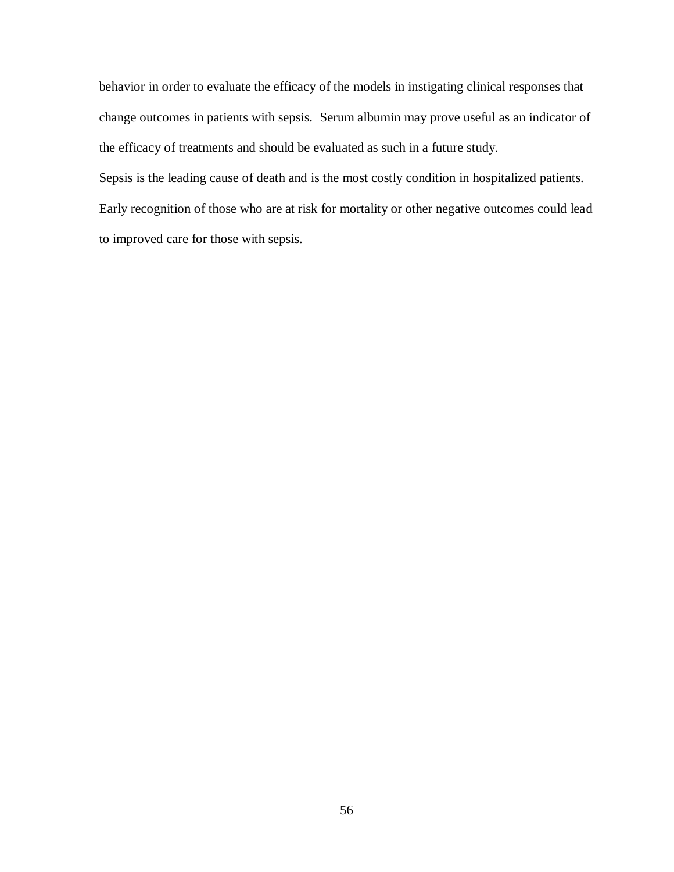behavior in order to evaluate the efficacy of the models in instigating clinical responses that change outcomes in patients with sepsis. Serum albumin may prove useful as an indicator of the efficacy of treatments and should be evaluated as such in a future study.

Sepsis is the leading cause of death and is the most costly condition in hospitalized patients. Early recognition of those who are at risk for mortality or other negative outcomes could lead to improved care for those with sepsis.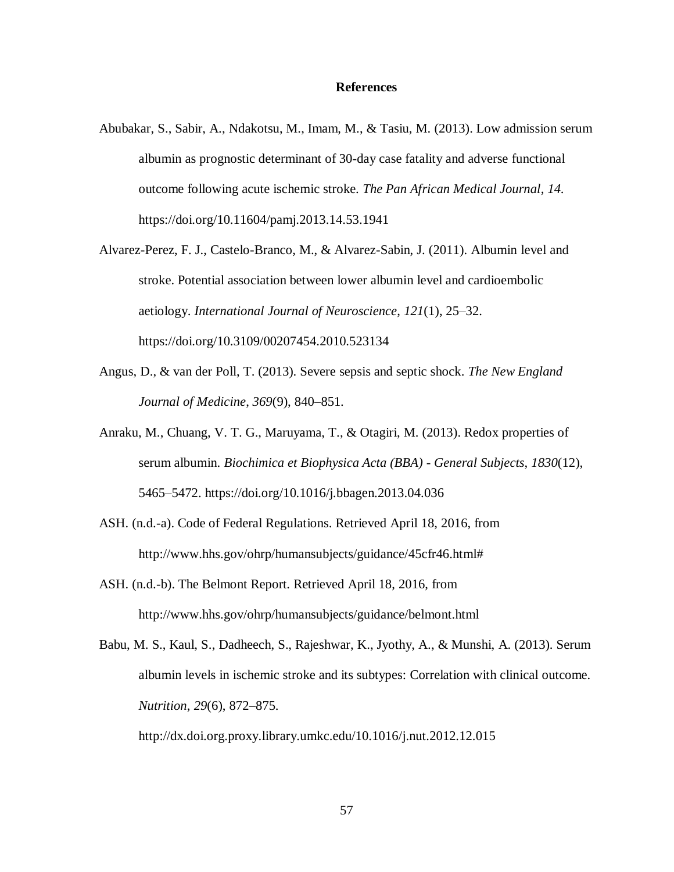### **References**

- Abubakar, S., Sabir, A., Ndakotsu, M., Imam, M., & Tasiu, M. (2013). Low admission serum albumin as prognostic determinant of 30-day case fatality and adverse functional outcome following acute ischemic stroke. *The Pan African Medical Journal*, *14*. https://doi.org/10.11604/pamj.2013.14.53.1941
- Alvarez-Perez, F. J., Castelo-Branco, M., & Alvarez-Sabin, J. (2011). Albumin level and stroke. Potential association between lower albumin level and cardioembolic aetiology. *International Journal of Neuroscience*, *121*(1), 25–32. https://doi.org/10.3109/00207454.2010.523134
- Angus, D., & van der Poll, T. (2013). Severe sepsis and septic shock. *The New England Journal of Medicine*, *369*(9), 840–851.
- Anraku, M., Chuang, V. T. G., Maruyama, T., & Otagiri, M. (2013). Redox properties of serum albumin. *Biochimica et Biophysica Acta (BBA) - General Subjects*, *1830*(12), 5465–5472. https://doi.org/10.1016/j.bbagen.2013.04.036
- ASH. (n.d.-a). Code of Federal Regulations. Retrieved April 18, 2016, from http://www.hhs.gov/ohrp/humansubjects/guidance/45cfr46.html#
- ASH. (n.d.-b). The Belmont Report. Retrieved April 18, 2016, from http://www.hhs.gov/ohrp/humansubjects/guidance/belmont.html
- Babu, M. S., Kaul, S., Dadheech, S., Rajeshwar, K., Jyothy, A., & Munshi, A. (2013). Serum albumin levels in ischemic stroke and its subtypes: Correlation with clinical outcome. *Nutrition*, *29*(6), 872–875.

http://dx.doi.org.proxy.library.umkc.edu/10.1016/j.nut.2012.12.015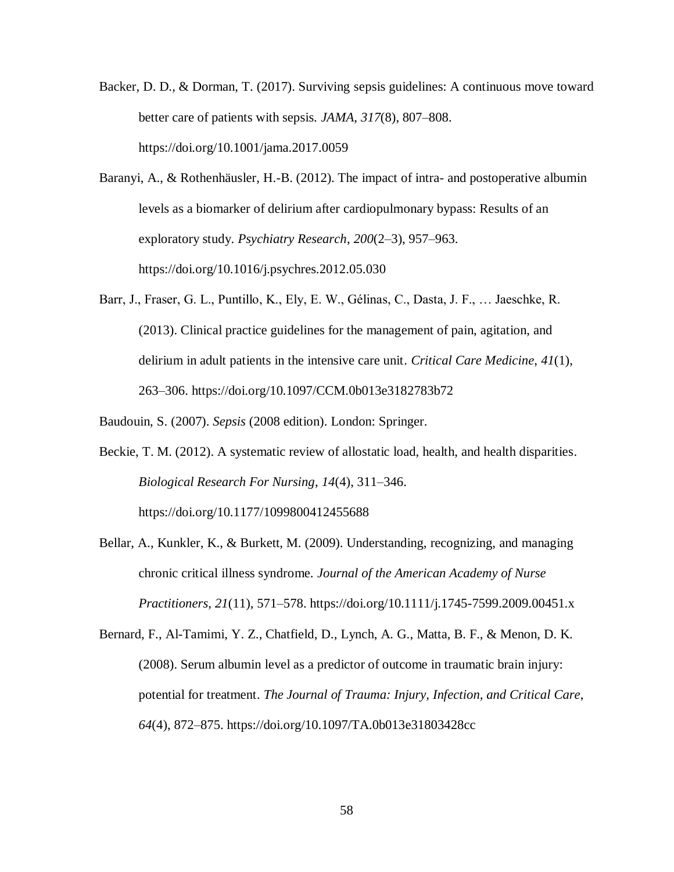- Backer, D. D., & Dorman, T. (2017). Surviving sepsis guidelines: A continuous move toward better care of patients with sepsis. *JAMA*, *317*(8), 807–808. https://doi.org/10.1001/jama.2017.0059
- Baranyi, A., & Rothenhäusler, H.-B. (2012). The impact of intra- and postoperative albumin levels as a biomarker of delirium after cardiopulmonary bypass: Results of an exploratory study. *Psychiatry Research*, *200*(2–3), 957–963. https://doi.org/10.1016/j.psychres.2012.05.030
- Barr, J., Fraser, G. L., Puntillo, K., Ely, E. W., Gélinas, C., Dasta, J. F., … Jaeschke, R. (2013). Clinical practice guidelines for the management of pain, agitation, and delirium in adult patients in the intensive care unit. *Critical Care Medicine*, *41*(1), 263–306. https://doi.org/10.1097/CCM.0b013e3182783b72

Baudouin, S. (2007). *Sepsis* (2008 edition). London: Springer.

- Beckie, T. M. (2012). A systematic review of allostatic load, health, and health disparities. *Biological Research For Nursing*, *14*(4), 311–346. https://doi.org/10.1177/1099800412455688
- Bellar, A., Kunkler, K., & Burkett, M. (2009). Understanding, recognizing, and managing chronic critical illness syndrome. *Journal of the American Academy of Nurse Practitioners*, *21*(11), 571–578. https://doi.org/10.1111/j.1745-7599.2009.00451.x
- Bernard, F., Al-Tamimi, Y. Z., Chatfield, D., Lynch, A. G., Matta, B. F., & Menon, D. K. (2008). Serum albumin level as a predictor of outcome in traumatic brain injury: potential for treatment. *The Journal of Trauma: Injury, Infection, and Critical Care*, *64*(4), 872–875. https://doi.org/10.1097/TA.0b013e31803428cc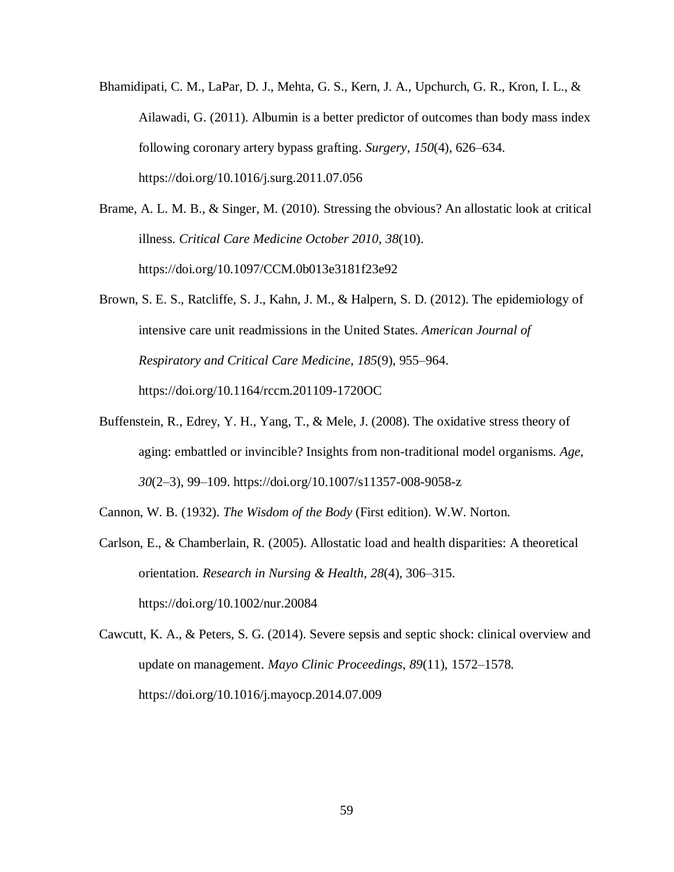- Bhamidipati, C. M., LaPar, D. J., Mehta, G. S., Kern, J. A., Upchurch, G. R., Kron, I. L., & Ailawadi, G. (2011). Albumin is a better predictor of outcomes than body mass index following coronary artery bypass grafting. *Surgery*, *150*(4), 626–634. https://doi.org/10.1016/j.surg.2011.07.056
- Brame, A. L. M. B., & Singer, M. (2010). Stressing the obvious? An allostatic look at critical illness. *Critical Care Medicine October 2010*, *38*(10). https://doi.org/10.1097/CCM.0b013e3181f23e92
- Brown, S. E. S., Ratcliffe, S. J., Kahn, J. M., & Halpern, S. D. (2012). The epidemiology of intensive care unit readmissions in the United States. *American Journal of Respiratory and Critical Care Medicine*, *185*(9), 955–964. https://doi.org/10.1164/rccm.201109-1720OC
- Buffenstein, R., Edrey, Y. H., Yang, T., & Mele, J. (2008). The oxidative stress theory of aging: embattled or invincible? Insights from non-traditional model organisms. *Age*, *30*(2–3), 99–109. https://doi.org/10.1007/s11357-008-9058-z

Cannon, W. B. (1932). *The Wisdom of the Body* (First edition). W.W. Norton.

- Carlson, E., & Chamberlain, R. (2005). Allostatic load and health disparities: A theoretical orientation. *Research in Nursing & Health*, *28*(4), 306–315. https://doi.org/10.1002/nur.20084
- Cawcutt, K. A., & Peters, S. G. (2014). Severe sepsis and septic shock: clinical overview and update on management. *Mayo Clinic Proceedings*, *89*(11), 1572–1578. https://doi.org/10.1016/j.mayocp.2014.07.009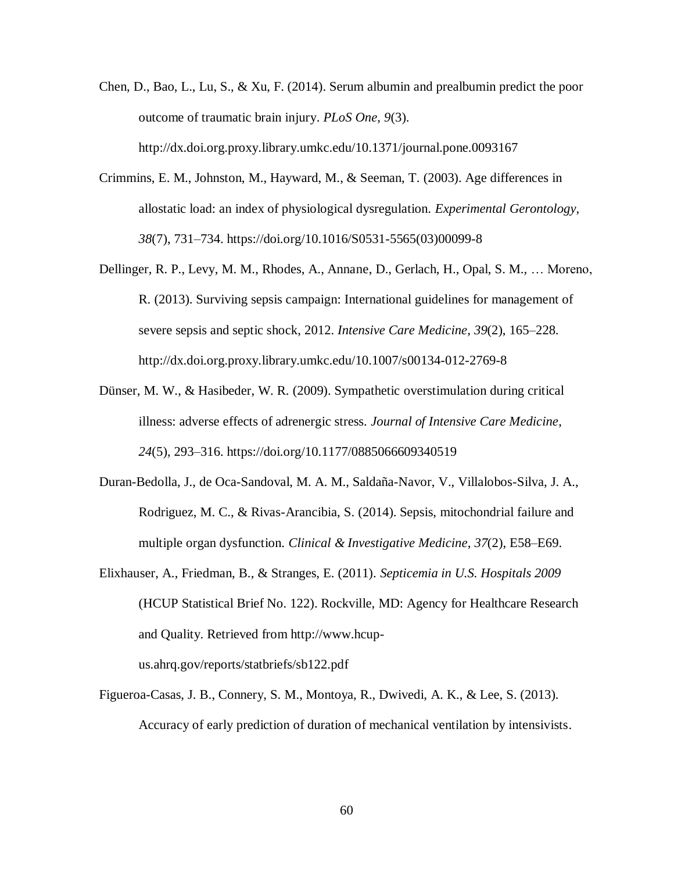- Chen, D., Bao, L., Lu, S., & Xu, F. (2014). Serum albumin and prealbumin predict the poor outcome of traumatic brain injury. *PLoS One*, *9*(3). http://dx.doi.org.proxy.library.umkc.edu/10.1371/journal.pone.0093167
- Crimmins, E. M., Johnston, M., Hayward, M., & Seeman, T. (2003). Age differences in allostatic load: an index of physiological dysregulation. *Experimental Gerontology*, *38*(7), 731–734. https://doi.org/10.1016/S0531-5565(03)00099-8
- Dellinger, R. P., Levy, M. M., Rhodes, A., Annane, D., Gerlach, H., Opal, S. M., … Moreno, R. (2013). Surviving sepsis campaign: International guidelines for management of severe sepsis and septic shock, 2012. *Intensive Care Medicine*, *39*(2), 165–228. http://dx.doi.org.proxy.library.umkc.edu/10.1007/s00134-012-2769-8
- Dünser, M. W., & Hasibeder, W. R. (2009). Sympathetic overstimulation during critical illness: adverse effects of adrenergic stress. *Journal of Intensive Care Medicine*, *24*(5), 293–316. https://doi.org/10.1177/0885066609340519
- Duran-Bedolla, J., de Oca-Sandoval, M. A. M., Saldaña-Navor, V., Villalobos-Silva, J. A., Rodriguez, M. C., & Rivas-Arancibia, S. (2014). Sepsis, mitochondrial failure and multiple organ dysfunction. *Clinical & Investigative Medicine*, *37*(2), E58–E69.
- Elixhauser, A., Friedman, B., & Stranges, E. (2011). *Septicemia in U.S. Hospitals 2009* (HCUP Statistical Brief No. 122). Rockville, MD: Agency for Healthcare Research and Quality. Retrieved from http://www.hcupus.ahrq.gov/reports/statbriefs/sb122.pdf
- Figueroa-Casas, J. B., Connery, S. M., Montoya, R., Dwivedi, A. K., & Lee, S. (2013). Accuracy of early prediction of duration of mechanical ventilation by intensivists.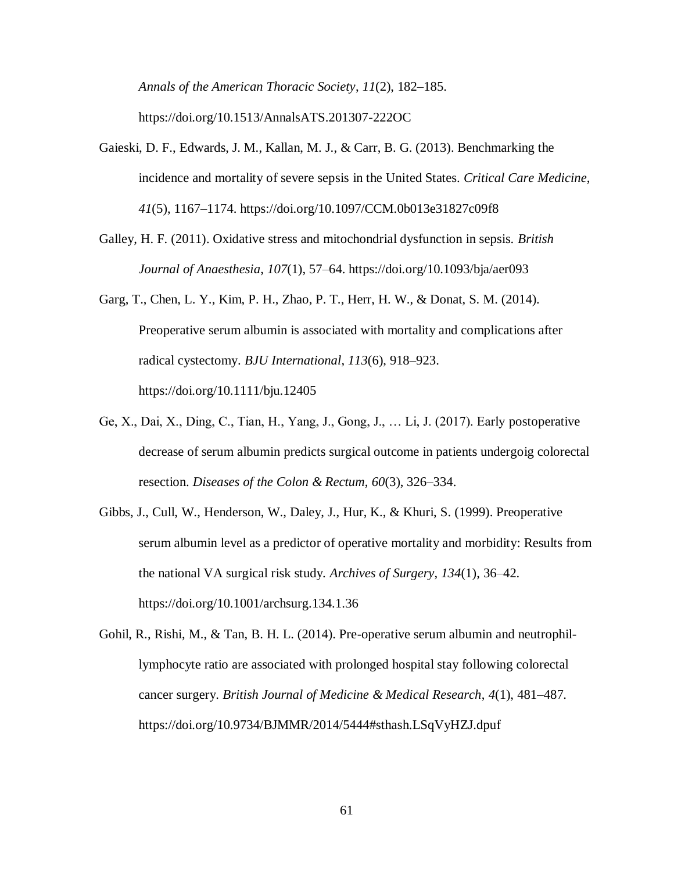*Annals of the American Thoracic Society*, *11*(2), 182–185. https://doi.org/10.1513/AnnalsATS.201307-222OC

- Gaieski, D. F., Edwards, J. M., Kallan, M. J., & Carr, B. G. (2013). Benchmarking the incidence and mortality of severe sepsis in the United States. *Critical Care Medicine*, *41*(5), 1167–1174. https://doi.org/10.1097/CCM.0b013e31827c09f8
- Galley, H. F. (2011). Oxidative stress and mitochondrial dysfunction in sepsis. *British Journal of Anaesthesia*, *107*(1), 57–64. https://doi.org/10.1093/bja/aer093
- Garg, T., Chen, L. Y., Kim, P. H., Zhao, P. T., Herr, H. W., & Donat, S. M. (2014). Preoperative serum albumin is associated with mortality and complications after radical cystectomy. *BJU International*, *113*(6), 918–923. https://doi.org/10.1111/bju.12405
- Ge, X., Dai, X., Ding, C., Tian, H., Yang, J., Gong, J., … Li, J. (2017). Early postoperative decrease of serum albumin predicts surgical outcome in patients undergoig colorectal resection. *Diseases of the Colon & Rectum*, *60*(3), 326–334.
- Gibbs, J., Cull, W., Henderson, W., Daley, J., Hur, K., & Khuri, S. (1999). Preoperative serum albumin level as a predictor of operative mortality and morbidity: Results from the national VA surgical risk study. *Archives of Surgery*, *134*(1), 36–42. https://doi.org/10.1001/archsurg.134.1.36
- Gohil, R., Rishi, M., & Tan, B. H. L. (2014). Pre-operative serum albumin and neutrophillymphocyte ratio are associated with prolonged hospital stay following colorectal cancer surgery. *British Journal of Medicine & Medical Research*, *4*(1), 481–487. https://doi.org/10.9734/BJMMR/2014/5444#sthash.LSqVyHZJ.dpuf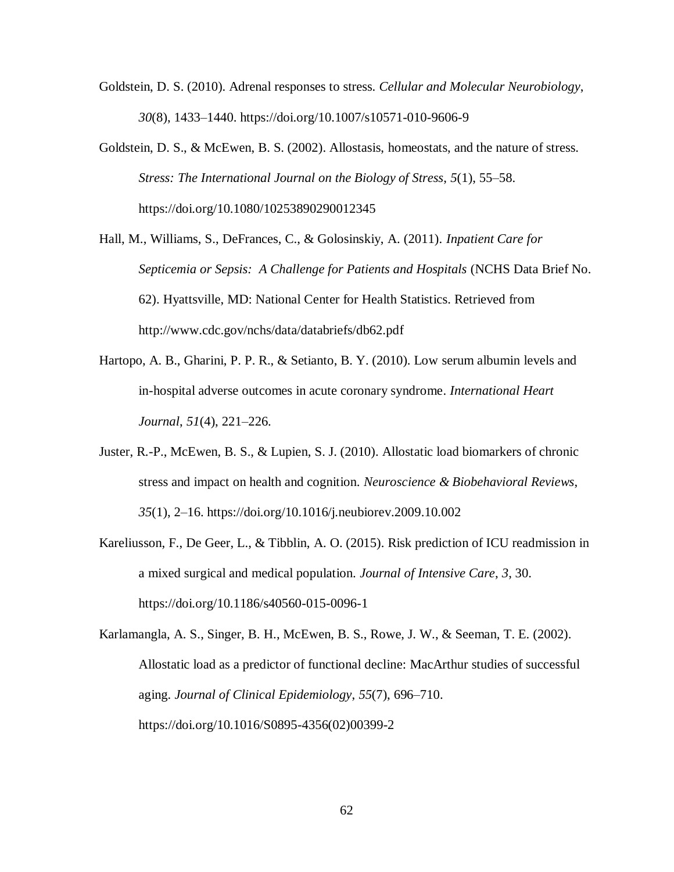- Goldstein, D. S. (2010). Adrenal responses to stress. *Cellular and Molecular Neurobiology*, *30*(8), 1433–1440. https://doi.org/10.1007/s10571-010-9606-9
- Goldstein, D. S., & McEwen, B. S. (2002). Allostasis, homeostats, and the nature of stress. *Stress: The International Journal on the Biology of Stress*, *5*(1), 55–58. https://doi.org/10.1080/10253890290012345
- Hall, M., Williams, S., DeFrances, C., & Golosinskiy, A. (2011). *Inpatient Care for Septicemia or Sepsis: A Challenge for Patients and Hospitals* (NCHS Data Brief No. 62). Hyattsville, MD: National Center for Health Statistics. Retrieved from http://www.cdc.gov/nchs/data/databriefs/db62.pdf
- Hartopo, A. B., Gharini, P. P. R., & Setianto, B. Y. (2010). Low serum albumin levels and in-hospital adverse outcomes in acute coronary syndrome. *International Heart Journal*, *51*(4), 221–226.
- Juster, R.-P., McEwen, B. S., & Lupien, S. J. (2010). Allostatic load biomarkers of chronic stress and impact on health and cognition. *Neuroscience & Biobehavioral Reviews*, *35*(1), 2–16. https://doi.org/10.1016/j.neubiorev.2009.10.002
- Kareliusson, F., De Geer, L., & Tibblin, A. O. (2015). Risk prediction of ICU readmission in a mixed surgical and medical population. *Journal of Intensive Care*, *3*, 30. https://doi.org/10.1186/s40560-015-0096-1
- Karlamangla, A. S., Singer, B. H., McEwen, B. S., Rowe, J. W., & Seeman, T. E. (2002). Allostatic load as a predictor of functional decline: MacArthur studies of successful aging. *Journal of Clinical Epidemiology*, *55*(7), 696–710. https://doi.org/10.1016/S0895-4356(02)00399-2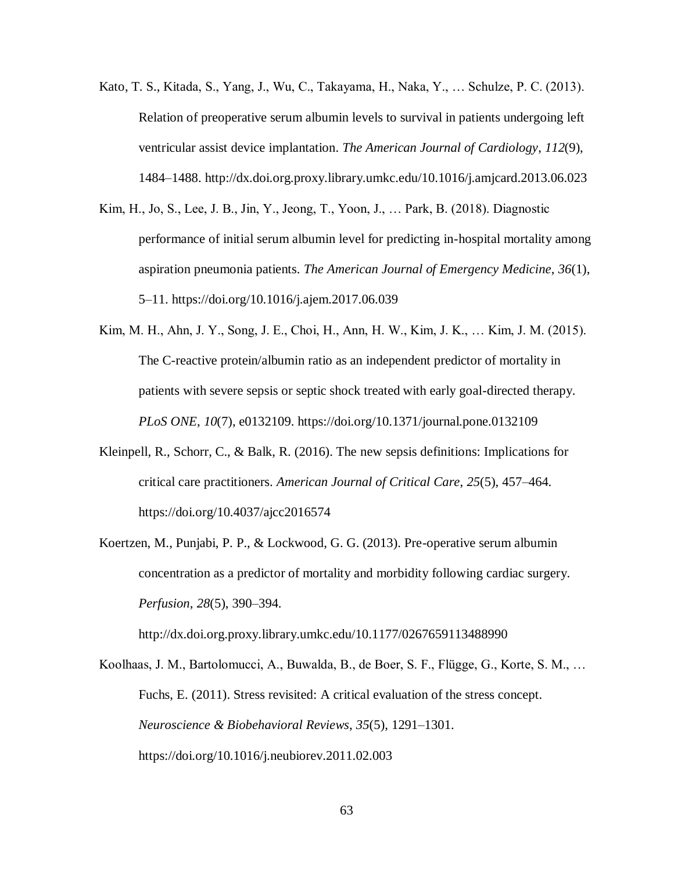- Kato, T. S., Kitada, S., Yang, J., Wu, C., Takayama, H., Naka, Y., … Schulze, P. C. (2013). Relation of preoperative serum albumin levels to survival in patients undergoing left ventricular assist device implantation. *The American Journal of Cardiology*, *112*(9), 1484–1488. http://dx.doi.org.proxy.library.umkc.edu/10.1016/j.amjcard.2013.06.023
- Kim, H., Jo, S., Lee, J. B., Jin, Y., Jeong, T., Yoon, J., … Park, B. (2018). Diagnostic performance of initial serum albumin level for predicting in-hospital mortality among aspiration pneumonia patients. *The American Journal of Emergency Medicine*, *36*(1), 5–11. https://doi.org/10.1016/j.ajem.2017.06.039
- Kim, M. H., Ahn, J. Y., Song, J. E., Choi, H., Ann, H. W., Kim, J. K., … Kim, J. M. (2015). The C-reactive protein/albumin ratio as an independent predictor of mortality in patients with severe sepsis or septic shock treated with early goal-directed therapy. *PLoS ONE*, *10*(7), e0132109. https://doi.org/10.1371/journal.pone.0132109
- Kleinpell, R., Schorr, C., & Balk, R. (2016). The new sepsis definitions: Implications for critical care practitioners. *American Journal of Critical Care*, *25*(5), 457–464. https://doi.org/10.4037/ajcc2016574
- Koertzen, M., Punjabi, P. P., & Lockwood, G. G. (2013). Pre-operative serum albumin concentration as a predictor of mortality and morbidity following cardiac surgery. *Perfusion*, *28*(5), 390–394.

http://dx.doi.org.proxy.library.umkc.edu/10.1177/0267659113488990

Koolhaas, J. M., Bartolomucci, A., Buwalda, B., de Boer, S. F., Flügge, G., Korte, S. M., … Fuchs, E. (2011). Stress revisited: A critical evaluation of the stress concept. *Neuroscience & Biobehavioral Reviews*, *35*(5), 1291–1301. https://doi.org/10.1016/j.neubiorev.2011.02.003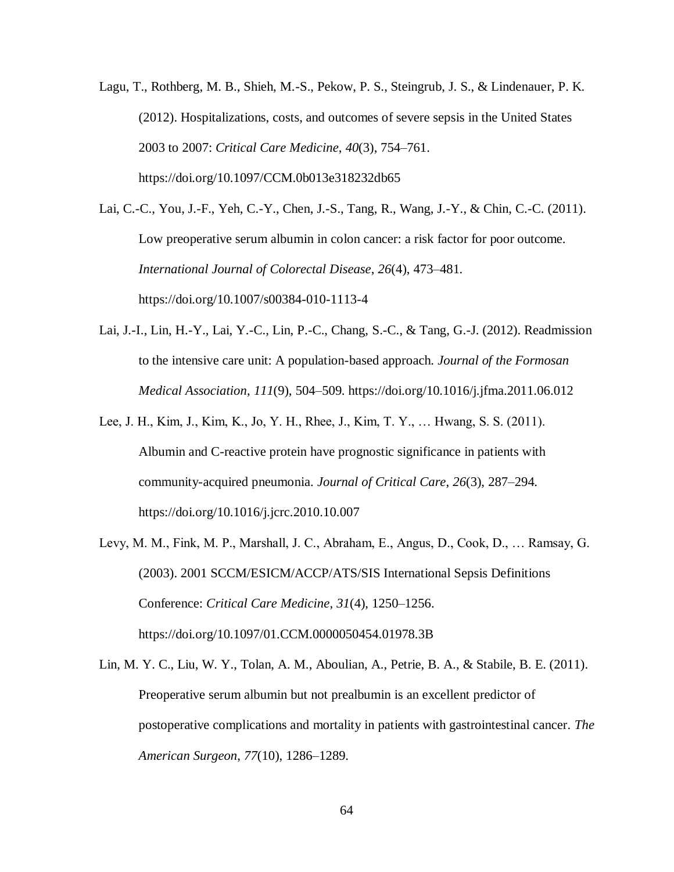Lagu, T., Rothberg, M. B., Shieh, M.-S., Pekow, P. S., Steingrub, J. S., & Lindenauer, P. K. (2012). Hospitalizations, costs, and outcomes of severe sepsis in the United States 2003 to 2007: *Critical Care Medicine*, *40*(3), 754–761. https://doi.org/10.1097/CCM.0b013e318232db65

Lai, C.-C., You, J.-F., Yeh, C.-Y., Chen, J.-S., Tang, R., Wang, J.-Y., & Chin, C.-C. (2011). Low preoperative serum albumin in colon cancer: a risk factor for poor outcome. *International Journal of Colorectal Disease*, *26*(4), 473–481. https://doi.org/10.1007/s00384-010-1113-4

- Lai, J.-I., Lin, H.-Y., Lai, Y.-C., Lin, P.-C., Chang, S.-C., & Tang, G.-J. (2012). Readmission to the intensive care unit: A population-based approach. *Journal of the Formosan Medical Association*, *111*(9), 504–509. https://doi.org/10.1016/j.jfma.2011.06.012
- Lee, J. H., Kim, J., Kim, K., Jo, Y. H., Rhee, J., Kim, T. Y., … Hwang, S. S. (2011). Albumin and C-reactive protein have prognostic significance in patients with community-acquired pneumonia. *Journal of Critical Care*, *26*(3), 287–294. https://doi.org/10.1016/j.jcrc.2010.10.007
- Levy, M. M., Fink, M. P., Marshall, J. C., Abraham, E., Angus, D., Cook, D., … Ramsay, G. (2003). 2001 SCCM/ESICM/ACCP/ATS/SIS International Sepsis Definitions Conference: *Critical Care Medicine*, *31*(4), 1250–1256. https://doi.org/10.1097/01.CCM.0000050454.01978.3B
- Lin, M. Y. C., Liu, W. Y., Tolan, A. M., Aboulian, A., Petrie, B. A., & Stabile, B. E. (2011). Preoperative serum albumin but not prealbumin is an excellent predictor of postoperative complications and mortality in patients with gastrointestinal cancer. *The American Surgeon*, *77*(10), 1286–1289.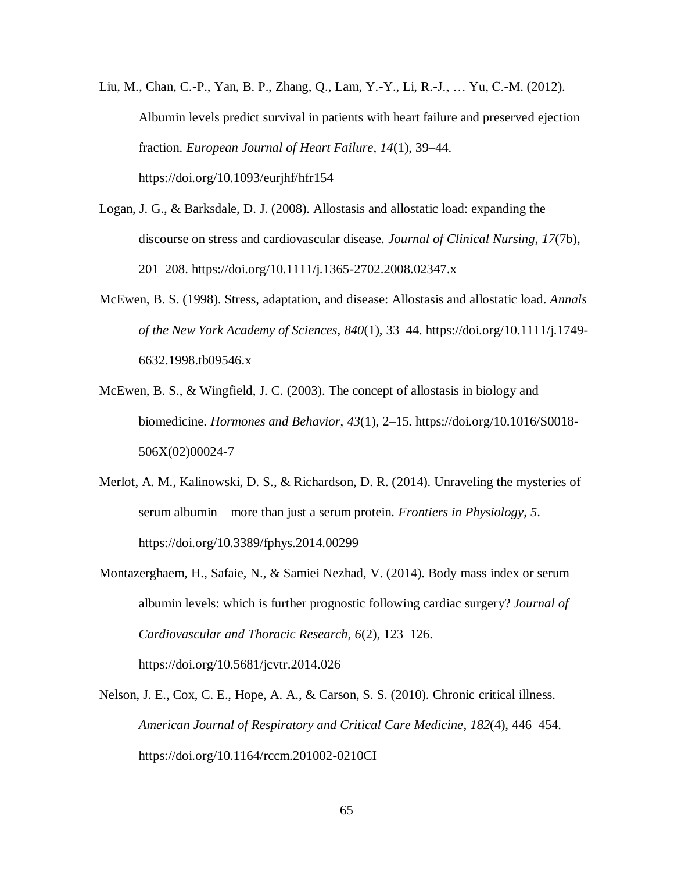Liu, M., Chan, C.-P., Yan, B. P., Zhang, Q., Lam, Y.-Y., Li, R.-J., … Yu, C.-M. (2012). Albumin levels predict survival in patients with heart failure and preserved ejection fraction. *European Journal of Heart Failure*, *14*(1), 39–44. https://doi.org/10.1093/eurjhf/hfr154

- Logan, J. G., & Barksdale, D. J. (2008). Allostasis and allostatic load: expanding the discourse on stress and cardiovascular disease. *Journal of Clinical Nursing*, *17*(7b), 201–208. https://doi.org/10.1111/j.1365-2702.2008.02347.x
- McEwen, B. S. (1998). Stress, adaptation, and disease: Allostasis and allostatic load. *Annals of the New York Academy of Sciences*, *840*(1), 33–44. https://doi.org/10.1111/j.1749- 6632.1998.tb09546.x
- McEwen, B. S., & Wingfield, J. C. (2003). The concept of allostasis in biology and biomedicine. *Hormones and Behavior*, *43*(1), 2–15. https://doi.org/10.1016/S0018- 506X(02)00024-7
- Merlot, A. M., Kalinowski, D. S., & Richardson, D. R. (2014). Unraveling the mysteries of serum albumin—more than just a serum protein. *Frontiers in Physiology*, *5*. https://doi.org/10.3389/fphys.2014.00299
- Montazerghaem, H., Safaie, N., & Samiei Nezhad, V. (2014). Body mass index or serum albumin levels: which is further prognostic following cardiac surgery? *Journal of Cardiovascular and Thoracic Research*, *6*(2), 123–126. https://doi.org/10.5681/jcvtr.2014.026
- Nelson, J. E., Cox, C. E., Hope, A. A., & Carson, S. S. (2010). Chronic critical illness. *American Journal of Respiratory and Critical Care Medicine*, *182*(4), 446–454. https://doi.org/10.1164/rccm.201002-0210CI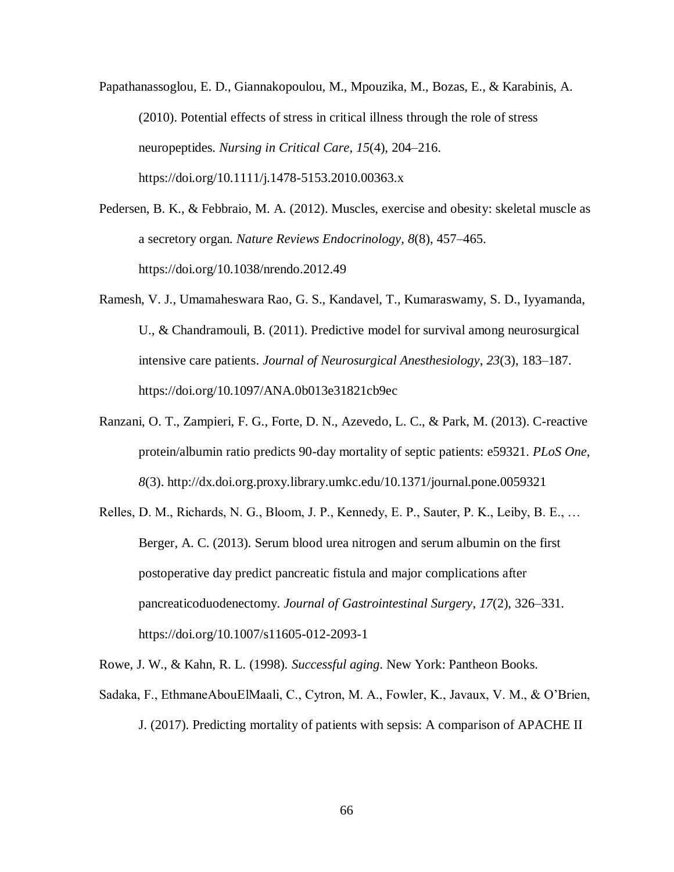Papathanassoglou, E. D., Giannakopoulou, M., Mpouzika, M., Bozas, E., & Karabinis, A. (2010). Potential effects of stress in critical illness through the role of stress neuropeptides. *Nursing in Critical Care*, *15*(4), 204–216. https://doi.org/10.1111/j.1478-5153.2010.00363.x

- Pedersen, B. K., & Febbraio, M. A. (2012). Muscles, exercise and obesity: skeletal muscle as a secretory organ. *Nature Reviews Endocrinology*, *8*(8), 457–465. https://doi.org/10.1038/nrendo.2012.49
- Ramesh, V. J., Umamaheswara Rao, G. S., Kandavel, T., Kumaraswamy, S. D., Iyyamanda, U., & Chandramouli, B. (2011). Predictive model for survival among neurosurgical intensive care patients. *Journal of Neurosurgical Anesthesiology*, *23*(3), 183–187. https://doi.org/10.1097/ANA.0b013e31821cb9ec
- Ranzani, O. T., Zampieri, F. G., Forte, D. N., Azevedo, L. C., & Park, M. (2013). C-reactive protein/albumin ratio predicts 90-day mortality of septic patients: e59321. *PLoS One*, *8*(3). http://dx.doi.org.proxy.library.umkc.edu/10.1371/journal.pone.0059321
- Relles, D. M., Richards, N. G., Bloom, J. P., Kennedy, E. P., Sauter, P. K., Leiby, B. E., … Berger, A. C. (2013). Serum blood urea nitrogen and serum albumin on the first postoperative day predict pancreatic fistula and major complications after pancreaticoduodenectomy. *Journal of Gastrointestinal Surgery*, *17*(2), 326–331. https://doi.org/10.1007/s11605-012-2093-1

Rowe, J. W., & Kahn, R. L. (1998). *Successful aging*. New York: Pantheon Books.

Sadaka, F., EthmaneAbouElMaali, C., Cytron, M. A., Fowler, K., Javaux, V. M., & O'Brien, J. (2017). Predicting mortality of patients with sepsis: A comparison of APACHE II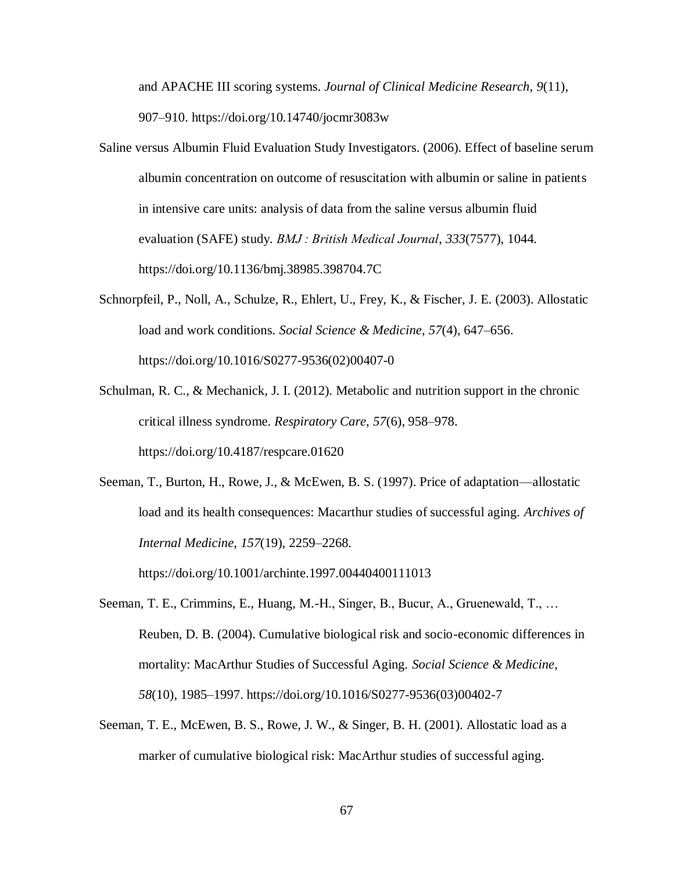and APACHE III scoring systems. *Journal of Clinical Medicine Research*, *9*(11), 907–910. https://doi.org/10.14740/jocmr3083w

- Saline versus Albumin Fluid Evaluation Study Investigators. (2006). Effect of baseline serum albumin concentration on outcome of resuscitation with albumin or saline in patients in intensive care units: analysis of data from the saline versus albumin fluid evaluation (SAFE) study. *BMJ : British Medical Journal*, *333*(7577), 1044. https://doi.org/10.1136/bmj.38985.398704.7C
- Schnorpfeil, P., Noll, A., Schulze, R., Ehlert, U., Frey, K., & Fischer, J. E. (2003). Allostatic load and work conditions. *Social Science & Medicine*, *57*(4), 647–656. https://doi.org/10.1016/S0277-9536(02)00407-0
- Schulman, R. C., & Mechanick, J. I. (2012). Metabolic and nutrition support in the chronic critical illness syndrome. *Respiratory Care*, *57*(6), 958–978. https://doi.org/10.4187/respcare.01620
- Seeman, T., Burton, H., Rowe, J., & McEwen, B. S. (1997). Price of adaptation—allostatic load and its health consequences: Macarthur studies of successful aging. *Archives of Internal Medicine*, *157*(19), 2259–2268.

https://doi.org/10.1001/archinte.1997.00440400111013

- Seeman, T. E., Crimmins, E., Huang, M.-H., Singer, B., Bucur, A., Gruenewald, T., … Reuben, D. B. (2004). Cumulative biological risk and socio-economic differences in mortality: MacArthur Studies of Successful Aging. *Social Science & Medicine*, *58*(10), 1985–1997. https://doi.org/10.1016/S0277-9536(03)00402-7
- Seeman, T. E., McEwen, B. S., Rowe, J. W., & Singer, B. H. (2001). Allostatic load as a marker of cumulative biological risk: MacArthur studies of successful aging.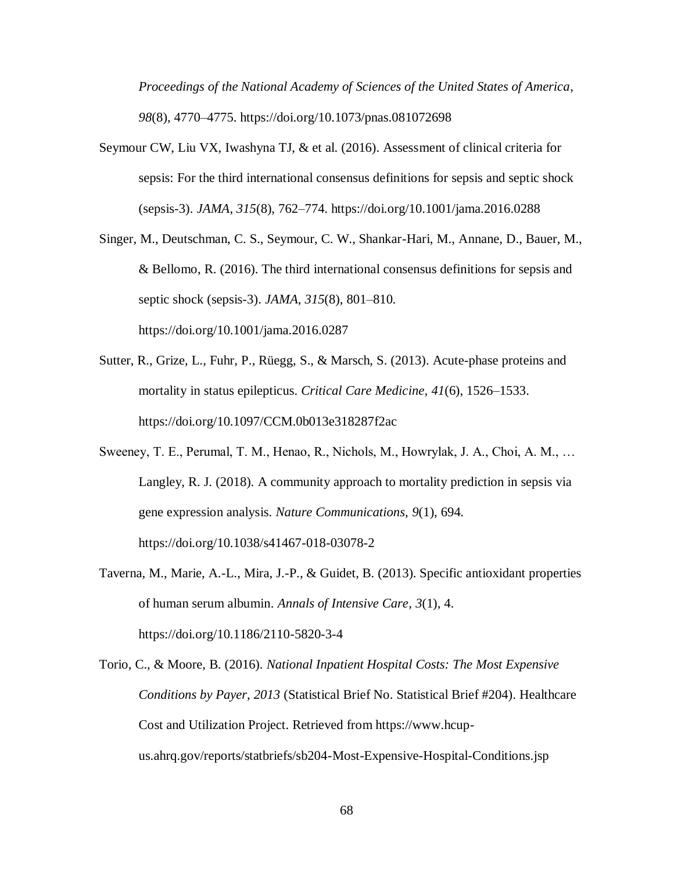*Proceedings of the National Academy of Sciences of the United States of America*, *98*(8), 4770–4775. https://doi.org/10.1073/pnas.081072698

- Seymour CW, Liu VX, Iwashyna TJ, & et al. (2016). Assessment of clinical criteria for sepsis: For the third international consensus definitions for sepsis and septic shock (sepsis-3). *JAMA*, *315*(8), 762–774. https://doi.org/10.1001/jama.2016.0288
- Singer, M., Deutschman, C. S., Seymour, C. W., Shankar-Hari, M., Annane, D., Bauer, M., & Bellomo, R. (2016). The third international consensus definitions for sepsis and septic shock (sepsis-3). *JAMA*, *315*(8), 801–810. https://doi.org/10.1001/jama.2016.0287
- Sutter, R., Grize, L., Fuhr, P., Rüegg, S., & Marsch, S. (2013). Acute-phase proteins and mortality in status epilepticus. *Critical Care Medicine*, *41*(6), 1526–1533. https://doi.org/10.1097/CCM.0b013e318287f2ac
- Sweeney, T. E., Perumal, T. M., Henao, R., Nichols, M., Howrylak, J. A., Choi, A. M., … Langley, R. J. (2018). A community approach to mortality prediction in sepsis via gene expression analysis. *Nature Communications*, *9*(1), 694. https://doi.org/10.1038/s41467-018-03078-2
- Taverna, M., Marie, A.-L., Mira, J.-P., & Guidet, B. (2013). Specific antioxidant properties of human serum albumin. *Annals of Intensive Care*, *3*(1), 4. https://doi.org/10.1186/2110-5820-3-4
- Torio, C., & Moore, B. (2016). *National Inpatient Hospital Costs: The Most Expensive Conditions by Payer, 2013* (Statistical Brief No. Statistical Brief #204). Healthcare Cost and Utilization Project. Retrieved from https://www.hcupus.ahrq.gov/reports/statbriefs/sb204-Most-Expensive-Hospital-Conditions.jsp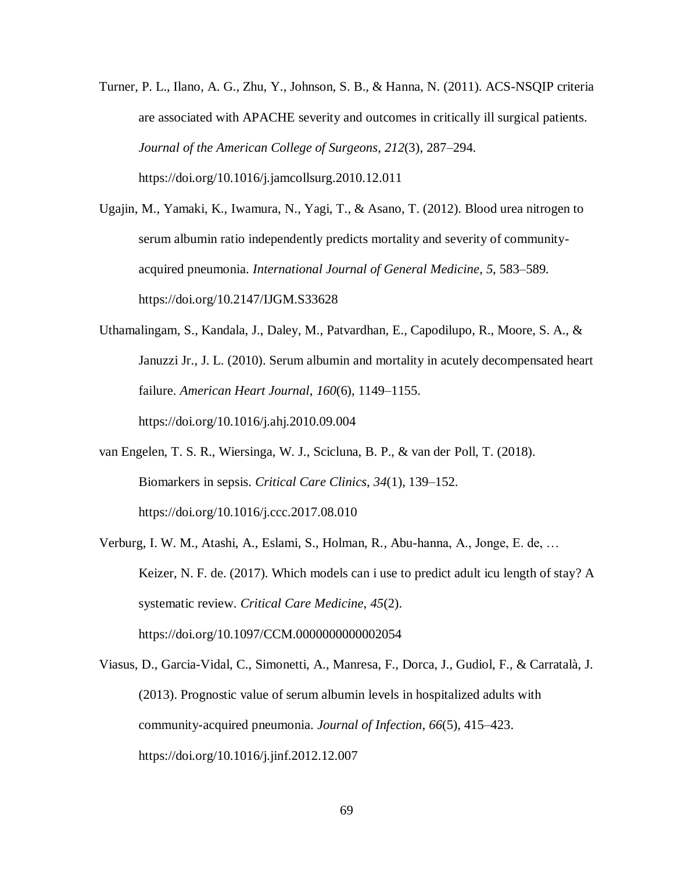- Turner, P. L., Ilano, A. G., Zhu, Y., Johnson, S. B., & Hanna, N. (2011). ACS-NSQIP criteria are associated with APACHE severity and outcomes in critically ill surgical patients. *Journal of the American College of Surgeons*, *212*(3), 287–294. https://doi.org/10.1016/j.jamcollsurg.2010.12.011
- Ugajin, M., Yamaki, K., Iwamura, N., Yagi, T., & Asano, T. (2012). Blood urea nitrogen to serum albumin ratio independently predicts mortality and severity of communityacquired pneumonia. *International Journal of General Medicine*, *5*, 583–589. https://doi.org/10.2147/IJGM.S33628
- Uthamalingam, S., Kandala, J., Daley, M., Patvardhan, E., Capodilupo, R., Moore, S. A., & Januzzi Jr., J. L. (2010). Serum albumin and mortality in acutely decompensated heart failure. *American Heart Journal*, *160*(6), 1149–1155. https://doi.org/10.1016/j.ahj.2010.09.004
- van Engelen, T. S. R., Wiersinga, W. J., Scicluna, B. P., & van der Poll, T. (2018). Biomarkers in sepsis. *Critical Care Clinics*, *34*(1), 139–152. https://doi.org/10.1016/j.ccc.2017.08.010
- Verburg, I. W. M., Atashi, A., Eslami, S., Holman, R., Abu-hanna, A., Jonge, E. de, … Keizer, N. F. de. (2017). Which models can i use to predict adult icu length of stay? A systematic review. *Critical Care Medicine*, *45*(2). https://doi.org/10.1097/CCM.0000000000002054
- Viasus, D., Garcia-Vidal, C., Simonetti, A., Manresa, F., Dorca, J., Gudiol, F., & Carratalà, J. (2013). Prognostic value of serum albumin levels in hospitalized adults with community-acquired pneumonia. *Journal of Infection*, *66*(5), 415–423. https://doi.org/10.1016/j.jinf.2012.12.007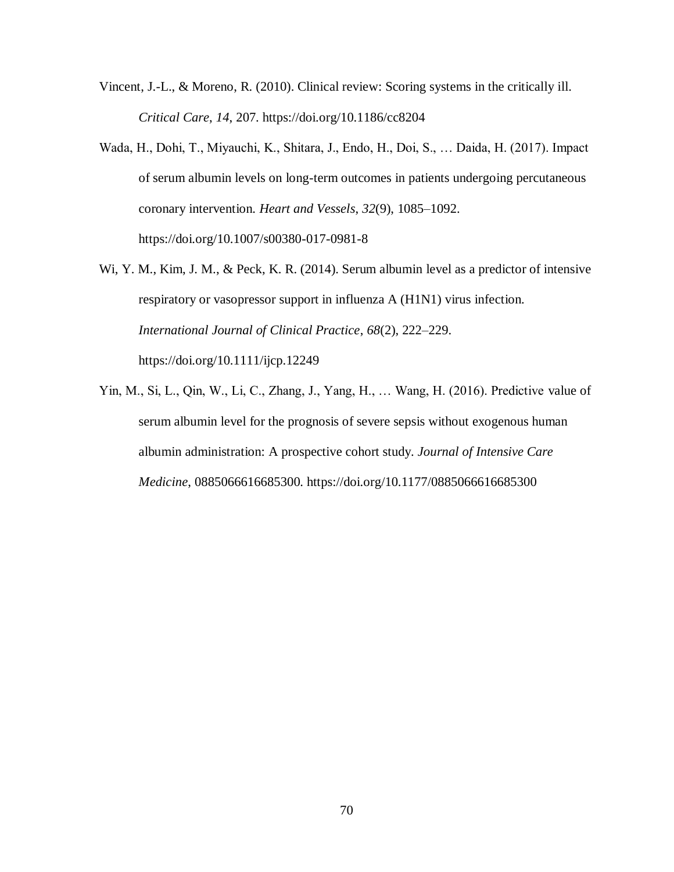- Vincent, J.-L., & Moreno, R. (2010). Clinical review: Scoring systems in the critically ill. *Critical Care*, *14*, 207. https://doi.org/10.1186/cc8204
- Wada, H., Dohi, T., Miyauchi, K., Shitara, J., Endo, H., Doi, S., … Daida, H. (2017). Impact of serum albumin levels on long-term outcomes in patients undergoing percutaneous coronary intervention. *Heart and Vessels*, *32*(9), 1085–1092. https://doi.org/10.1007/s00380-017-0981-8
- Wi, Y. M., Kim, J. M., & Peck, K. R. (2014). Serum albumin level as a predictor of intensive respiratory or vasopressor support in influenza A (H1N1) virus infection. *International Journal of Clinical Practice*, *68*(2), 222–229. https://doi.org/10.1111/ijcp.12249
- Yin, M., Si, L., Qin, W., Li, C., Zhang, J., Yang, H., … Wang, H. (2016). Predictive value of serum albumin level for the prognosis of severe sepsis without exogenous human albumin administration: A prospective cohort study. *Journal of Intensive Care Medicine*, 0885066616685300. https://doi.org/10.1177/0885066616685300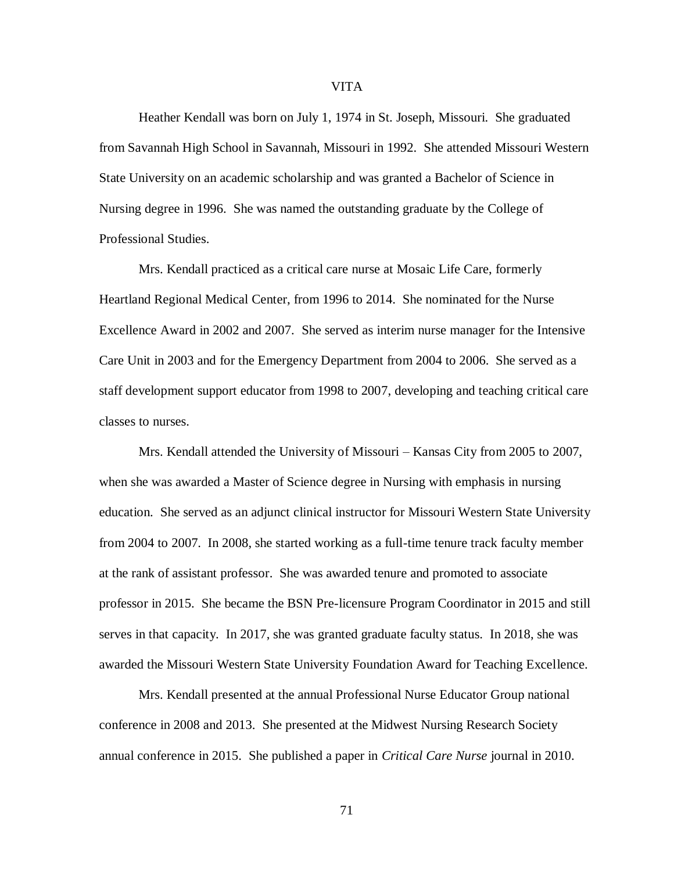Heather Kendall was born on July 1, 1974 in St. Joseph, Missouri. She graduated from Savannah High School in Savannah, Missouri in 1992. She attended Missouri Western State University on an academic scholarship and was granted a Bachelor of Science in Nursing degree in 1996. She was named the outstanding graduate by the College of Professional Studies.

Mrs. Kendall practiced as a critical care nurse at Mosaic Life Care, formerly Heartland Regional Medical Center, from 1996 to 2014. She nominated for the Nurse Excellence Award in 2002 and 2007. She served as interim nurse manager for the Intensive Care Unit in 2003 and for the Emergency Department from 2004 to 2006. She served as a staff development support educator from 1998 to 2007, developing and teaching critical care classes to nurses.

Mrs. Kendall attended the University of Missouri – Kansas City from 2005 to 2007, when she was awarded a Master of Science degree in Nursing with emphasis in nursing education. She served as an adjunct clinical instructor for Missouri Western State University from 2004 to 2007. In 2008, she started working as a full-time tenure track faculty member at the rank of assistant professor. She was awarded tenure and promoted to associate professor in 2015. She became the BSN Pre-licensure Program Coordinator in 2015 and still serves in that capacity. In 2017, she was granted graduate faculty status. In 2018, she was awarded the Missouri Western State University Foundation Award for Teaching Excellence.

Mrs. Kendall presented at the annual Professional Nurse Educator Group national conference in 2008 and 2013. She presented at the Midwest Nursing Research Society annual conference in 2015. She published a paper in *Critical Care Nurse* journal in 2010.

VITA

71